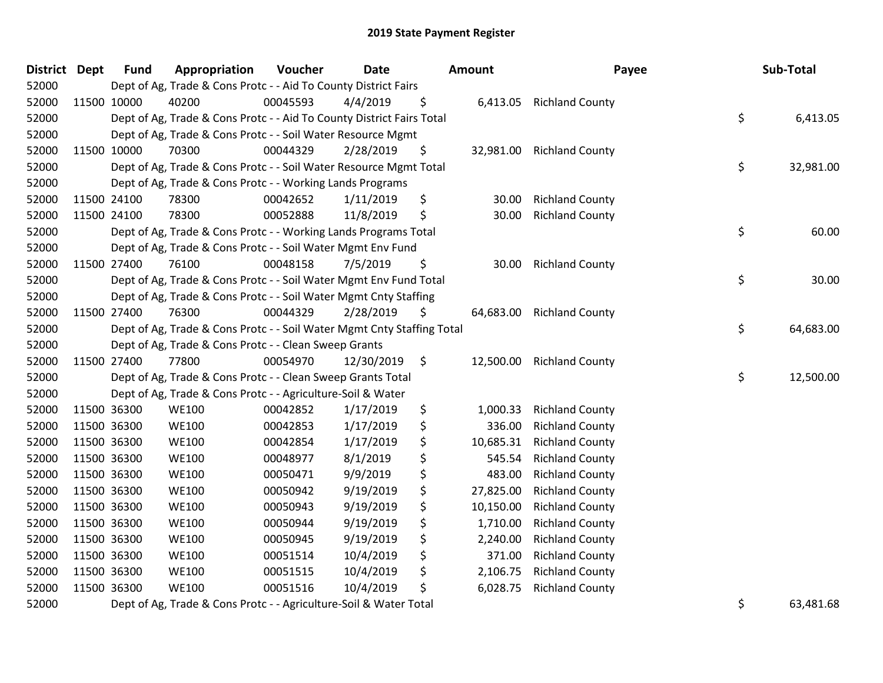| <b>District Dept</b> | <b>Fund</b> | Appropriation                                                          | Voucher  | <b>Date</b> |     | Amount    | Payee                    | Sub-Total       |
|----------------------|-------------|------------------------------------------------------------------------|----------|-------------|-----|-----------|--------------------------|-----------------|
| 52000                |             | Dept of Ag, Trade & Cons Protc - - Aid To County District Fairs        |          |             |     |           |                          |                 |
| 52000                | 11500 10000 | 40200                                                                  | 00045593 | 4/4/2019    | \$  |           | 6,413.05 Richland County |                 |
| 52000                |             | Dept of Ag, Trade & Cons Protc - - Aid To County District Fairs Total  |          |             |     |           |                          | \$<br>6,413.05  |
| 52000                |             | Dept of Ag, Trade & Cons Protc - - Soil Water Resource Mgmt            |          |             |     |           |                          |                 |
| 52000                | 11500 10000 | 70300                                                                  | 00044329 | 2/28/2019   | \$, | 32,981.00 | <b>Richland County</b>   |                 |
| 52000                |             | Dept of Ag, Trade & Cons Protc - - Soil Water Resource Mgmt Total      |          |             |     |           |                          | \$<br>32,981.00 |
| 52000                |             | Dept of Ag, Trade & Cons Protc - - Working Lands Programs              |          |             |     |           |                          |                 |
| 52000                | 11500 24100 | 78300                                                                  | 00042652 | 1/11/2019   | \$  | 30.00     | <b>Richland County</b>   |                 |
| 52000                | 11500 24100 | 78300                                                                  | 00052888 | 11/8/2019   | \$  | 30.00     | <b>Richland County</b>   |                 |
| 52000                |             | Dept of Ag, Trade & Cons Protc - - Working Lands Programs Total        |          |             |     |           |                          | \$<br>60.00     |
| 52000                |             | Dept of Ag, Trade & Cons Protc - - Soil Water Mgmt Env Fund            |          |             |     |           |                          |                 |
| 52000                | 11500 27400 | 76100                                                                  | 00048158 | 7/5/2019    | \$  | 30.00     | <b>Richland County</b>   |                 |
| 52000                |             | Dept of Ag, Trade & Cons Protc - - Soil Water Mgmt Env Fund Total      |          |             |     |           |                          | \$<br>30.00     |
| 52000                |             | Dept of Ag, Trade & Cons Protc - - Soil Water Mgmt Cnty Staffing       |          |             |     |           |                          |                 |
| 52000                | 11500 27400 | 76300                                                                  | 00044329 | 2/28/2019   | \$  | 64,683.00 | <b>Richland County</b>   |                 |
| 52000                |             | Dept of Ag, Trade & Cons Protc - - Soil Water Mgmt Cnty Staffing Total |          |             |     |           |                          | \$<br>64,683.00 |
| 52000                |             | Dept of Ag, Trade & Cons Protc - - Clean Sweep Grants                  |          |             |     |           |                          |                 |
| 52000                | 11500 27400 | 77800                                                                  | 00054970 | 12/30/2019  | \$  | 12,500.00 | <b>Richland County</b>   |                 |
| 52000                |             | Dept of Ag, Trade & Cons Protc - - Clean Sweep Grants Total            |          |             |     |           |                          | \$<br>12,500.00 |
| 52000                |             | Dept of Ag, Trade & Cons Protc - - Agriculture-Soil & Water            |          |             |     |           |                          |                 |
| 52000                | 11500 36300 | <b>WE100</b>                                                           | 00042852 | 1/17/2019   | \$  | 1,000.33  | <b>Richland County</b>   |                 |
| 52000                | 11500 36300 | <b>WE100</b>                                                           | 00042853 | 1/17/2019   | \$  | 336.00    | <b>Richland County</b>   |                 |
| 52000                | 11500 36300 | <b>WE100</b>                                                           | 00042854 | 1/17/2019   | \$  | 10,685.31 | <b>Richland County</b>   |                 |
| 52000                | 11500 36300 | <b>WE100</b>                                                           | 00048977 | 8/1/2019    | \$  | 545.54    | <b>Richland County</b>   |                 |
| 52000                | 11500 36300 | <b>WE100</b>                                                           | 00050471 | 9/9/2019    | \$  | 483.00    | <b>Richland County</b>   |                 |
| 52000                | 11500 36300 | <b>WE100</b>                                                           | 00050942 | 9/19/2019   | \$  | 27,825.00 | <b>Richland County</b>   |                 |
| 52000                | 11500 36300 | <b>WE100</b>                                                           | 00050943 | 9/19/2019   | \$  | 10,150.00 | <b>Richland County</b>   |                 |
| 52000                | 11500 36300 | <b>WE100</b>                                                           | 00050944 | 9/19/2019   | \$  | 1,710.00  | <b>Richland County</b>   |                 |
| 52000                | 11500 36300 | <b>WE100</b>                                                           | 00050945 | 9/19/2019   | \$  | 2,240.00  | <b>Richland County</b>   |                 |
| 52000                | 11500 36300 | <b>WE100</b>                                                           | 00051514 | 10/4/2019   | \$  | 371.00    | <b>Richland County</b>   |                 |
| 52000                | 11500 36300 | <b>WE100</b>                                                           | 00051515 | 10/4/2019   | \$  | 2,106.75  | <b>Richland County</b>   |                 |
| 52000                | 11500 36300 | <b>WE100</b>                                                           | 00051516 | 10/4/2019   | \$  | 6,028.75  | <b>Richland County</b>   |                 |
| <b>FOOOO</b>         |             | Dont of As Trade O Cano Drate Assistitude Cail Q Water Tatel           |          |             |     |           |                          | 0.20404         |

52000 Dept of Ag, Trade & Cons Protc - - Agriculture-Soil & Water Total 663,481.68 (53,481.68) 53,481.68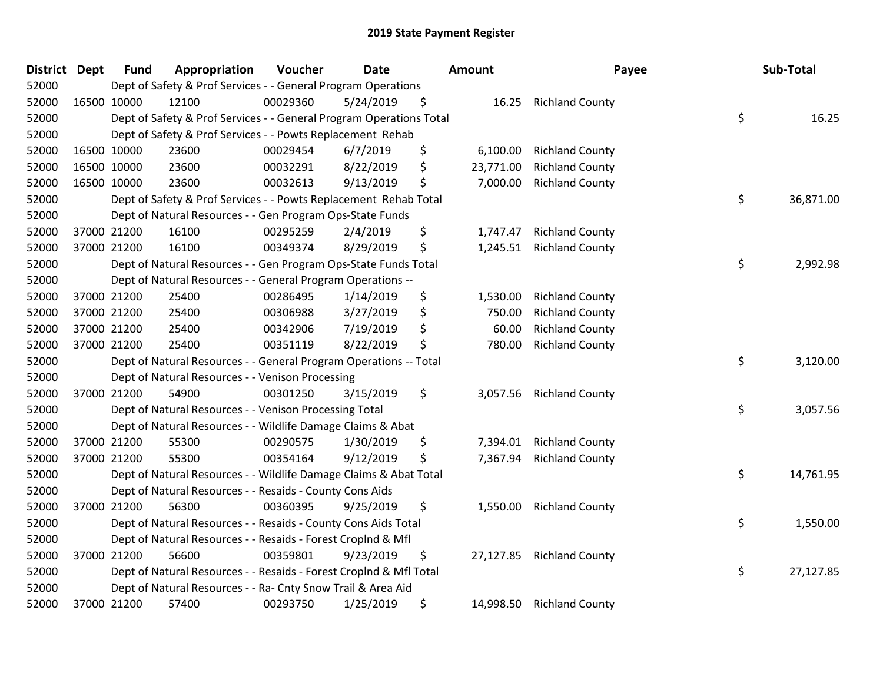| District Dept | <b>Fund</b> | Appropriation                                                       | Voucher  | <b>Date</b> | <b>Amount</b>   | Payee                  | Sub-Total       |
|---------------|-------------|---------------------------------------------------------------------|----------|-------------|-----------------|------------------------|-----------------|
| 52000         |             | Dept of Safety & Prof Services - - General Program Operations       |          |             |                 |                        |                 |
| 52000         | 16500 10000 | 12100                                                               | 00029360 | 5/24/2019   | \$<br>16.25     | <b>Richland County</b> |                 |
| 52000         |             | Dept of Safety & Prof Services - - General Program Operations Total |          |             |                 |                        | \$<br>16.25     |
| 52000         |             | Dept of Safety & Prof Services - - Powts Replacement Rehab          |          |             |                 |                        |                 |
| 52000         | 16500 10000 | 23600                                                               | 00029454 | 6/7/2019    | \$<br>6,100.00  | <b>Richland County</b> |                 |
| 52000         | 16500 10000 | 23600                                                               | 00032291 | 8/22/2019   | \$<br>23,771.00 | <b>Richland County</b> |                 |
| 52000         | 16500 10000 | 23600                                                               | 00032613 | 9/13/2019   | \$<br>7,000.00  | <b>Richland County</b> |                 |
| 52000         |             | Dept of Safety & Prof Services - - Powts Replacement Rehab Total    |          |             |                 |                        | \$<br>36,871.00 |
| 52000         |             | Dept of Natural Resources - - Gen Program Ops-State Funds           |          |             |                 |                        |                 |
| 52000         | 37000 21200 | 16100                                                               | 00295259 | 2/4/2019    | \$<br>1,747.47  | <b>Richland County</b> |                 |
| 52000         | 37000 21200 | 16100                                                               | 00349374 | 8/29/2019   | \$<br>1,245.51  | <b>Richland County</b> |                 |
| 52000         |             | Dept of Natural Resources - - Gen Program Ops-State Funds Total     |          |             |                 |                        | \$<br>2,992.98  |
| 52000         |             | Dept of Natural Resources - - General Program Operations --         |          |             |                 |                        |                 |
| 52000         | 37000 21200 | 25400                                                               | 00286495 | 1/14/2019   | \$<br>1,530.00  | <b>Richland County</b> |                 |
| 52000         | 37000 21200 | 25400                                                               | 00306988 | 3/27/2019   | \$<br>750.00    | <b>Richland County</b> |                 |
| 52000         | 37000 21200 | 25400                                                               | 00342906 | 7/19/2019   | \$<br>60.00     | <b>Richland County</b> |                 |
| 52000         | 37000 21200 | 25400                                                               | 00351119 | 8/22/2019   | \$<br>780.00    | <b>Richland County</b> |                 |
| 52000         |             | Dept of Natural Resources - - General Program Operations -- Total   |          |             |                 |                        | \$<br>3,120.00  |
| 52000         |             | Dept of Natural Resources - - Venison Processing                    |          |             |                 |                        |                 |
| 52000         | 37000 21200 | 54900                                                               | 00301250 | 3/15/2019   | \$<br>3,057.56  | <b>Richland County</b> |                 |
| 52000         |             | Dept of Natural Resources - - Venison Processing Total              |          |             |                 |                        | \$<br>3,057.56  |
| 52000         |             | Dept of Natural Resources - - Wildlife Damage Claims & Abat         |          |             |                 |                        |                 |
| 52000         | 37000 21200 | 55300                                                               | 00290575 | 1/30/2019   | \$<br>7,394.01  | <b>Richland County</b> |                 |
| 52000         | 37000 21200 | 55300                                                               | 00354164 | 9/12/2019   | \$<br>7,367.94  | <b>Richland County</b> |                 |
| 52000         |             | Dept of Natural Resources - - Wildlife Damage Claims & Abat Total   |          |             |                 |                        | \$<br>14,761.95 |
| 52000         |             | Dept of Natural Resources - - Resaids - County Cons Aids            |          |             |                 |                        |                 |
| 52000         | 37000 21200 | 56300                                                               | 00360395 | 9/25/2019   | \$<br>1,550.00  | <b>Richland County</b> |                 |
| 52000         |             | Dept of Natural Resources - - Resaids - County Cons Aids Total      |          |             |                 |                        | \$<br>1,550.00  |
| 52000         |             | Dept of Natural Resources - - Resaids - Forest Croplnd & Mfl        |          |             |                 |                        |                 |
| 52000         | 37000 21200 | 56600                                                               | 00359801 | 9/23/2019   | \$<br>27,127.85 | <b>Richland County</b> |                 |
| 52000         |             | Dept of Natural Resources - - Resaids - Forest Croplnd & Mfl Total  |          |             |                 |                        | \$<br>27,127.85 |
| 52000         |             | Dept of Natural Resources - - Ra- Cnty Snow Trail & Area Aid        |          |             |                 |                        |                 |
| 52000         | 37000 21200 | 57400                                                               | 00293750 | 1/25/2019   | \$<br>14,998.50 | <b>Richland County</b> |                 |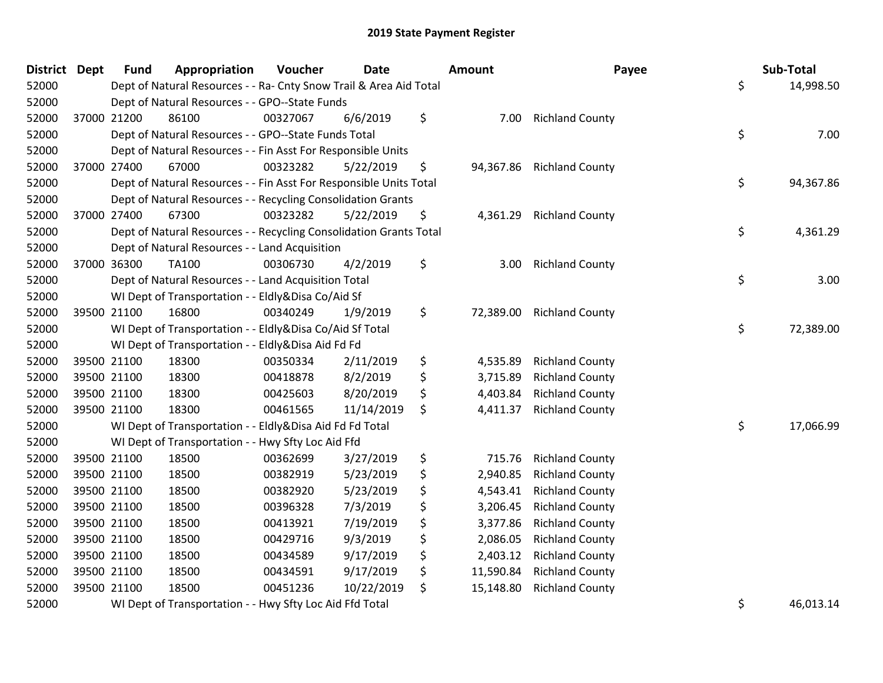| <b>District Dept</b> |             | <b>Fund</b> | Appropriation                                                      | Voucher  | <b>Date</b> | <b>Amount</b>   | Payee                  | Sub-Total       |
|----------------------|-------------|-------------|--------------------------------------------------------------------|----------|-------------|-----------------|------------------------|-----------------|
| 52000                |             |             | Dept of Natural Resources - - Ra- Cnty Snow Trail & Area Aid Total |          |             |                 |                        | \$<br>14,998.50 |
| 52000                |             |             | Dept of Natural Resources - - GPO--State Funds                     |          |             |                 |                        |                 |
| 52000                |             | 37000 21200 | 86100                                                              | 00327067 | 6/6/2019    | \$<br>7.00      | <b>Richland County</b> |                 |
| 52000                |             |             | Dept of Natural Resources - - GPO--State Funds Total               |          |             |                 |                        | \$<br>7.00      |
| 52000                |             |             | Dept of Natural Resources - - Fin Asst For Responsible Units       |          |             |                 |                        |                 |
| 52000                |             | 37000 27400 | 67000                                                              | 00323282 | 5/22/2019   | \$<br>94,367.86 | <b>Richland County</b> |                 |
| 52000                |             |             | Dept of Natural Resources - - Fin Asst For Responsible Units Total |          |             |                 |                        | \$<br>94,367.86 |
| 52000                |             |             | Dept of Natural Resources - - Recycling Consolidation Grants       |          |             |                 |                        |                 |
| 52000                |             | 37000 27400 | 67300                                                              | 00323282 | 5/22/2019   | \$<br>4,361.29  | <b>Richland County</b> |                 |
| 52000                |             |             | Dept of Natural Resources - - Recycling Consolidation Grants Total |          |             |                 |                        | \$<br>4,361.29  |
| 52000                |             |             | Dept of Natural Resources - - Land Acquisition                     |          |             |                 |                        |                 |
| 52000                |             | 37000 36300 | <b>TA100</b>                                                       | 00306730 | 4/2/2019    | \$<br>3.00      | <b>Richland County</b> |                 |
| 52000                |             |             | Dept of Natural Resources - - Land Acquisition Total               |          |             |                 |                        | \$<br>3.00      |
| 52000                |             |             | WI Dept of Transportation - - Eldly&Disa Co/Aid Sf                 |          |             |                 |                        |                 |
| 52000                |             | 39500 21100 | 16800                                                              | 00340249 | 1/9/2019    | \$<br>72,389.00 | <b>Richland County</b> |                 |
| 52000                |             |             | WI Dept of Transportation - - Eldly&Disa Co/Aid Sf Total           |          |             |                 |                        | \$<br>72,389.00 |
| 52000                |             |             | WI Dept of Transportation - - Eldly&Disa Aid Fd Fd                 |          |             |                 |                        |                 |
| 52000                |             | 39500 21100 | 18300                                                              | 00350334 | 2/11/2019   | \$<br>4,535.89  | <b>Richland County</b> |                 |
| 52000                |             | 39500 21100 | 18300                                                              | 00418878 | 8/2/2019    | \$<br>3,715.89  | <b>Richland County</b> |                 |
| 52000                |             | 39500 21100 | 18300                                                              | 00425603 | 8/20/2019   | \$<br>4,403.84  | <b>Richland County</b> |                 |
| 52000                |             | 39500 21100 | 18300                                                              | 00461565 | 11/14/2019  | \$<br>4,411.37  | <b>Richland County</b> |                 |
| 52000                |             |             | WI Dept of Transportation - - Eldly&Disa Aid Fd Fd Total           |          |             |                 |                        | \$<br>17,066.99 |
| 52000                |             |             | WI Dept of Transportation - - Hwy Sfty Loc Aid Ffd                 |          |             |                 |                        |                 |
| 52000                |             | 39500 21100 | 18500                                                              | 00362699 | 3/27/2019   | \$<br>715.76    | <b>Richland County</b> |                 |
| 52000                |             | 39500 21100 | 18500                                                              | 00382919 | 5/23/2019   | \$<br>2,940.85  | <b>Richland County</b> |                 |
| 52000                |             | 39500 21100 | 18500                                                              | 00382920 | 5/23/2019   | \$<br>4,543.41  | <b>Richland County</b> |                 |
| 52000                | 39500 21100 |             | 18500                                                              | 00396328 | 7/3/2019    | \$<br>3,206.45  | <b>Richland County</b> |                 |
| 52000                | 39500 21100 |             | 18500                                                              | 00413921 | 7/19/2019   | \$<br>3,377.86  | <b>Richland County</b> |                 |
| 52000                |             | 39500 21100 | 18500                                                              | 00429716 | 9/3/2019    | \$<br>2,086.05  | <b>Richland County</b> |                 |
| 52000                |             | 39500 21100 | 18500                                                              | 00434589 | 9/17/2019   | \$<br>2,403.12  | <b>Richland County</b> |                 |
| 52000                |             | 39500 21100 | 18500                                                              | 00434591 | 9/17/2019   | \$<br>11,590.84 | <b>Richland County</b> |                 |
| 52000                |             | 39500 21100 | 18500                                                              | 00451236 | 10/22/2019  | \$<br>15,148.80 | <b>Richland County</b> |                 |
| 52000                |             |             | WI Dept of Transportation - - Hwy Sfty Loc Aid Ffd Total           |          |             |                 |                        | \$<br>46,013.14 |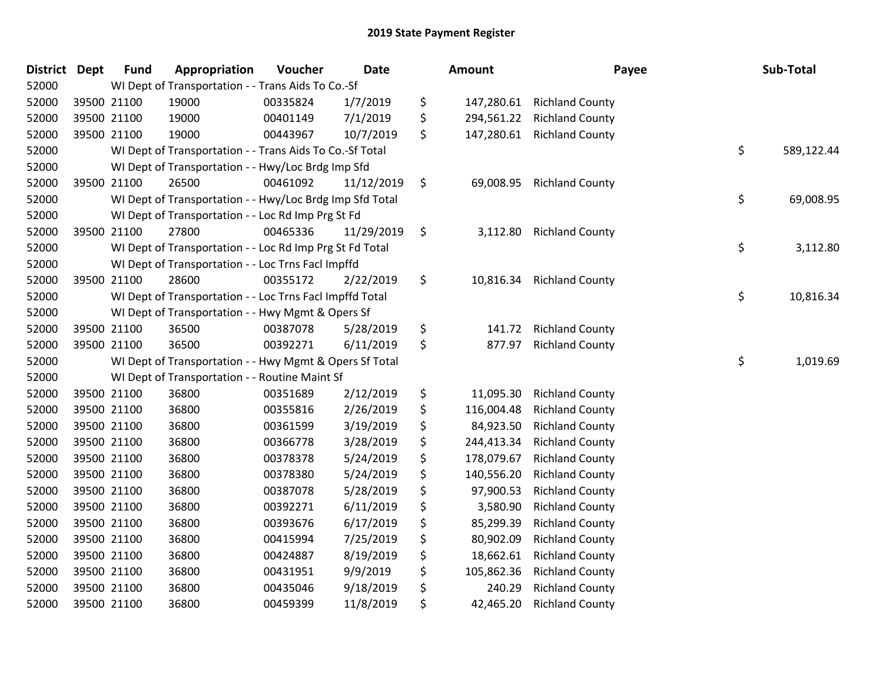| <b>District</b> | Dept        | <b>Fund</b> | Appropriation                                            | Voucher  | Date       | Amount           | Payee                  | Sub-Total        |
|-----------------|-------------|-------------|----------------------------------------------------------|----------|------------|------------------|------------------------|------------------|
| 52000           |             |             | WI Dept of Transportation - - Trans Aids To Co.-Sf       |          |            |                  |                        |                  |
| 52000           |             | 39500 21100 | 19000                                                    | 00335824 | 1/7/2019   | \$<br>147,280.61 | <b>Richland County</b> |                  |
| 52000           |             | 39500 21100 | 19000                                                    | 00401149 | 7/1/2019   | \$<br>294,561.22 | <b>Richland County</b> |                  |
| 52000           |             | 39500 21100 | 19000                                                    | 00443967 | 10/7/2019  | \$<br>147,280.61 | <b>Richland County</b> |                  |
| 52000           |             |             | WI Dept of Transportation - - Trans Aids To Co.-Sf Total |          |            |                  |                        | \$<br>589,122.44 |
| 52000           |             |             | WI Dept of Transportation - - Hwy/Loc Brdg Imp Sfd       |          |            |                  |                        |                  |
| 52000           |             | 39500 21100 | 26500                                                    | 00461092 | 11/12/2019 | \$<br>69,008.95  | <b>Richland County</b> |                  |
| 52000           |             |             | WI Dept of Transportation - - Hwy/Loc Brdg Imp Sfd Total |          |            |                  |                        | \$<br>69,008.95  |
| 52000           |             |             | WI Dept of Transportation - - Loc Rd Imp Prg St Fd       |          |            |                  |                        |                  |
| 52000           |             | 39500 21100 | 27800                                                    | 00465336 | 11/29/2019 | \$<br>3,112.80   | <b>Richland County</b> |                  |
| 52000           |             |             | WI Dept of Transportation - - Loc Rd Imp Prg St Fd Total |          |            |                  |                        | \$<br>3,112.80   |
| 52000           |             |             | WI Dept of Transportation - - Loc Trns Facl Impffd       |          |            |                  |                        |                  |
| 52000           |             | 39500 21100 | 28600                                                    | 00355172 | 2/22/2019  | \$<br>10,816.34  | <b>Richland County</b> |                  |
| 52000           |             |             | WI Dept of Transportation - - Loc Trns Facl Impffd Total |          |            |                  |                        | \$<br>10,816.34  |
| 52000           |             |             | WI Dept of Transportation - - Hwy Mgmt & Opers Sf        |          |            |                  |                        |                  |
| 52000           |             | 39500 21100 | 36500                                                    | 00387078 | 5/28/2019  | \$<br>141.72     | <b>Richland County</b> |                  |
| 52000           |             | 39500 21100 | 36500                                                    | 00392271 | 6/11/2019  | \$<br>877.97     | <b>Richland County</b> |                  |
| 52000           |             |             | WI Dept of Transportation - - Hwy Mgmt & Opers Sf Total  |          |            |                  |                        | \$<br>1,019.69   |
| 52000           |             |             | WI Dept of Transportation - - Routine Maint Sf           |          |            |                  |                        |                  |
| 52000           |             | 39500 21100 | 36800                                                    | 00351689 | 2/12/2019  | \$<br>11,095.30  | <b>Richland County</b> |                  |
| 52000           |             | 39500 21100 | 36800                                                    | 00355816 | 2/26/2019  | \$<br>116,004.48 | <b>Richland County</b> |                  |
| 52000           | 39500 21100 |             | 36800                                                    | 00361599 | 3/19/2019  | \$<br>84,923.50  | <b>Richland County</b> |                  |
| 52000           | 39500 21100 |             | 36800                                                    | 00366778 | 3/28/2019  | \$<br>244,413.34 | <b>Richland County</b> |                  |
| 52000           |             | 39500 21100 | 36800                                                    | 00378378 | 5/24/2019  | \$<br>178,079.67 | <b>Richland County</b> |                  |
| 52000           |             | 39500 21100 | 36800                                                    | 00378380 | 5/24/2019  | \$<br>140,556.20 | <b>Richland County</b> |                  |
| 52000           |             | 39500 21100 | 36800                                                    | 00387078 | 5/28/2019  | \$<br>97,900.53  | <b>Richland County</b> |                  |
| 52000           |             | 39500 21100 | 36800                                                    | 00392271 | 6/11/2019  | \$<br>3,580.90   | <b>Richland County</b> |                  |
| 52000           | 39500 21100 |             | 36800                                                    | 00393676 | 6/17/2019  | \$<br>85,299.39  | <b>Richland County</b> |                  |
| 52000           |             | 39500 21100 | 36800                                                    | 00415994 | 7/25/2019  | \$<br>80,902.09  | <b>Richland County</b> |                  |
| 52000           |             | 39500 21100 | 36800                                                    | 00424887 | 8/19/2019  | \$<br>18,662.61  | <b>Richland County</b> |                  |
| 52000           |             | 39500 21100 | 36800                                                    | 00431951 | 9/9/2019   | \$<br>105,862.36 | <b>Richland County</b> |                  |
| 52000           |             | 39500 21100 | 36800                                                    | 00435046 | 9/18/2019  | \$<br>240.29     | <b>Richland County</b> |                  |
| 52000           |             | 39500 21100 | 36800                                                    | 00459399 | 11/8/2019  | \$<br>42,465.20  | <b>Richland County</b> |                  |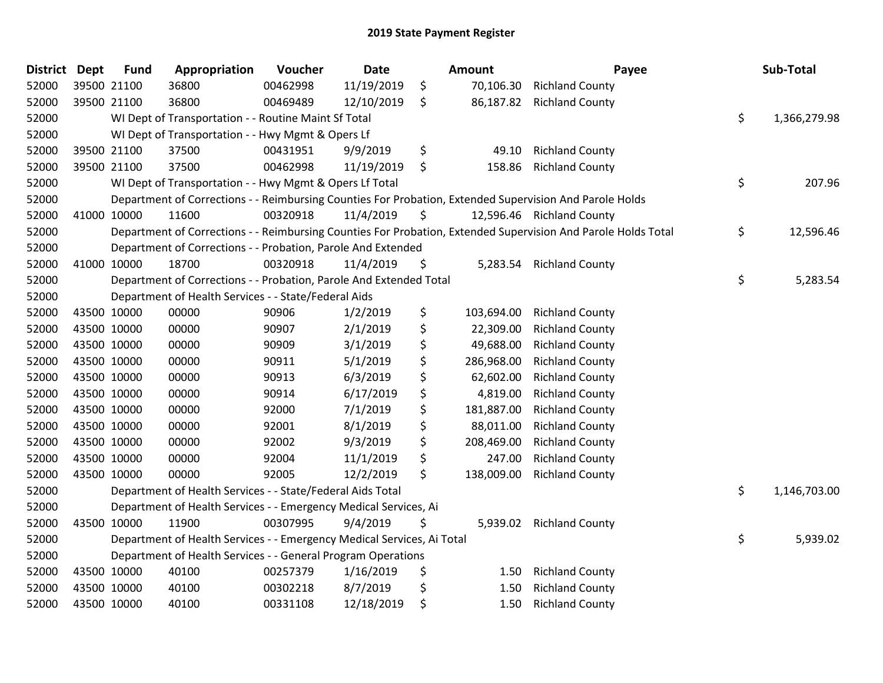| <b>District</b> | <b>Dept</b> | <b>Fund</b> | Appropriation                                                          | Voucher  | <b>Date</b> | Amount           | Payee                                                                                                         | Sub-Total          |
|-----------------|-------------|-------------|------------------------------------------------------------------------|----------|-------------|------------------|---------------------------------------------------------------------------------------------------------------|--------------------|
| 52000           |             | 39500 21100 | 36800                                                                  | 00462998 | 11/19/2019  | \$<br>70,106.30  | <b>Richland County</b>                                                                                        |                    |
| 52000           |             | 39500 21100 | 36800                                                                  | 00469489 | 12/10/2019  | \$<br>86,187.82  | <b>Richland County</b>                                                                                        |                    |
| 52000           |             |             | WI Dept of Transportation - - Routine Maint Sf Total                   |          |             |                  |                                                                                                               | \$<br>1,366,279.98 |
| 52000           |             |             | WI Dept of Transportation - - Hwy Mgmt & Opers Lf                      |          |             |                  |                                                                                                               |                    |
| 52000           |             | 39500 21100 | 37500                                                                  | 00431951 | 9/9/2019    | \$<br>49.10      | <b>Richland County</b>                                                                                        |                    |
| 52000           |             | 39500 21100 | 37500                                                                  | 00462998 | 11/19/2019  | \$<br>158.86     | <b>Richland County</b>                                                                                        |                    |
| 52000           |             |             | WI Dept of Transportation - - Hwy Mgmt & Opers Lf Total                |          |             |                  |                                                                                                               | \$<br>207.96       |
| 52000           |             |             |                                                                        |          |             |                  | Department of Corrections - - Reimbursing Counties For Probation, Extended Supervision And Parole Holds       |                    |
| 52000           |             | 41000 10000 | 11600                                                                  | 00320918 | 11/4/2019   | \$               | 12,596.46 Richland County                                                                                     |                    |
| 52000           |             |             |                                                                        |          |             |                  | Department of Corrections - - Reimbursing Counties For Probation, Extended Supervision And Parole Holds Total | \$<br>12,596.46    |
| 52000           |             |             | Department of Corrections - - Probation, Parole And Extended           |          |             |                  |                                                                                                               |                    |
| 52000           | 41000 10000 |             | 18700                                                                  | 00320918 | 11/4/2019   | \$<br>5,283.54   | <b>Richland County</b>                                                                                        |                    |
| 52000           |             |             | Department of Corrections - - Probation, Parole And Extended Total     |          |             |                  |                                                                                                               | \$<br>5,283.54     |
| 52000           |             |             | Department of Health Services - - State/Federal Aids                   |          |             |                  |                                                                                                               |                    |
| 52000           |             | 43500 10000 | 00000                                                                  | 90906    | 1/2/2019    | \$<br>103,694.00 | <b>Richland County</b>                                                                                        |                    |
| 52000           |             | 43500 10000 | 00000                                                                  | 90907    | 2/1/2019    | \$<br>22,309.00  | <b>Richland County</b>                                                                                        |                    |
| 52000           |             | 43500 10000 | 00000                                                                  | 90909    | 3/1/2019    | \$<br>49,688.00  | <b>Richland County</b>                                                                                        |                    |
| 52000           | 43500 10000 |             | 00000                                                                  | 90911    | 5/1/2019    | \$<br>286,968.00 | <b>Richland County</b>                                                                                        |                    |
| 52000           | 43500 10000 |             | 00000                                                                  | 90913    | 6/3/2019    | \$<br>62,602.00  | <b>Richland County</b>                                                                                        |                    |
| 52000           | 43500 10000 |             | 00000                                                                  | 90914    | 6/17/2019   | \$<br>4,819.00   | <b>Richland County</b>                                                                                        |                    |
| 52000           |             | 43500 10000 | 00000                                                                  | 92000    | 7/1/2019    | \$<br>181,887.00 | <b>Richland County</b>                                                                                        |                    |
| 52000           |             | 43500 10000 | 00000                                                                  | 92001    | 8/1/2019    | \$<br>88,011.00  | <b>Richland County</b>                                                                                        |                    |
| 52000           | 43500 10000 |             | 00000                                                                  | 92002    | 9/3/2019    | \$<br>208,469.00 | <b>Richland County</b>                                                                                        |                    |
| 52000           | 43500 10000 |             | 00000                                                                  | 92004    | 11/1/2019   | \$<br>247.00     | <b>Richland County</b>                                                                                        |                    |
| 52000           |             | 43500 10000 | 00000                                                                  | 92005    | 12/2/2019   | \$<br>138,009.00 | <b>Richland County</b>                                                                                        |                    |
| 52000           |             |             | Department of Health Services - - State/Federal Aids Total             |          |             |                  |                                                                                                               | \$<br>1,146,703.00 |
| 52000           |             |             | Department of Health Services - - Emergency Medical Services, Ai       |          |             |                  |                                                                                                               |                    |
| 52000           |             | 43500 10000 | 11900                                                                  | 00307995 | 9/4/2019    | \$<br>5,939.02   | <b>Richland County</b>                                                                                        |                    |
| 52000           |             |             | Department of Health Services - - Emergency Medical Services, Ai Total |          |             |                  |                                                                                                               | \$<br>5,939.02     |
| 52000           |             |             | Department of Health Services - - General Program Operations           |          |             |                  |                                                                                                               |                    |
| 52000           |             | 43500 10000 | 40100                                                                  | 00257379 | 1/16/2019   | \$<br>1.50       | <b>Richland County</b>                                                                                        |                    |
| 52000           |             | 43500 10000 | 40100                                                                  | 00302218 | 8/7/2019    | \$<br>1.50       | <b>Richland County</b>                                                                                        |                    |
| 52000           |             | 43500 10000 | 40100                                                                  | 00331108 | 12/18/2019  | \$<br>1.50       | <b>Richland County</b>                                                                                        |                    |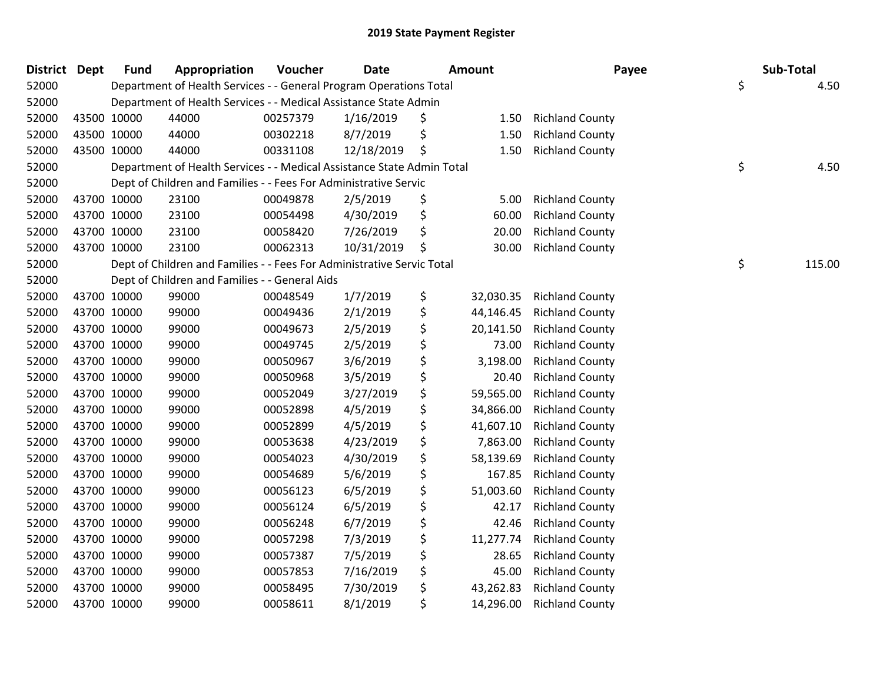| <b>District Dept</b> |             | <b>Fund</b> | Appropriation                                                          | Voucher  | <b>Date</b> | <b>Amount</b>   | Payee                  | Sub-Total    |
|----------------------|-------------|-------------|------------------------------------------------------------------------|----------|-------------|-----------------|------------------------|--------------|
| 52000                |             |             | Department of Health Services - - General Program Operations Total     |          |             |                 |                        | \$<br>4.50   |
| 52000                |             |             | Department of Health Services - - Medical Assistance State Admin       |          |             |                 |                        |              |
| 52000                |             | 43500 10000 | 44000                                                                  | 00257379 | 1/16/2019   | \$<br>1.50      | <b>Richland County</b> |              |
| 52000                | 43500 10000 |             | 44000                                                                  | 00302218 | 8/7/2019    | \$<br>1.50      | <b>Richland County</b> |              |
| 52000                | 43500 10000 |             | 44000                                                                  | 00331108 | 12/18/2019  | \$<br>1.50      | <b>Richland County</b> |              |
| 52000                |             |             | Department of Health Services - - Medical Assistance State Admin Total |          |             |                 |                        | \$<br>4.50   |
| 52000                |             |             | Dept of Children and Families - - Fees For Administrative Servic       |          |             |                 |                        |              |
| 52000                |             | 43700 10000 | 23100                                                                  | 00049878 | 2/5/2019    | \$<br>5.00      | <b>Richland County</b> |              |
| 52000                |             | 43700 10000 | 23100                                                                  | 00054498 | 4/30/2019   | \$<br>60.00     | <b>Richland County</b> |              |
| 52000                |             | 43700 10000 | 23100                                                                  | 00058420 | 7/26/2019   | \$<br>20.00     | <b>Richland County</b> |              |
| 52000                | 43700 10000 |             | 23100                                                                  | 00062313 | 10/31/2019  | \$<br>30.00     | <b>Richland County</b> |              |
| 52000                |             |             | Dept of Children and Families - - Fees For Administrative Servic Total |          |             |                 |                        | \$<br>115.00 |
| 52000                |             |             | Dept of Children and Families - - General Aids                         |          |             |                 |                        |              |
| 52000                | 43700 10000 |             | 99000                                                                  | 00048549 | 1/7/2019    | \$<br>32,030.35 | <b>Richland County</b> |              |
| 52000                |             | 43700 10000 | 99000                                                                  | 00049436 | 2/1/2019    | \$<br>44,146.45 | <b>Richland County</b> |              |
| 52000                | 43700 10000 |             | 99000                                                                  | 00049673 | 2/5/2019    | \$<br>20,141.50 | <b>Richland County</b> |              |
| 52000                |             | 43700 10000 | 99000                                                                  | 00049745 | 2/5/2019    | \$<br>73.00     | <b>Richland County</b> |              |
| 52000                | 43700 10000 |             | 99000                                                                  | 00050967 | 3/6/2019    | \$<br>3,198.00  | <b>Richland County</b> |              |
| 52000                | 43700 10000 |             | 99000                                                                  | 00050968 | 3/5/2019    | \$<br>20.40     | <b>Richland County</b> |              |
| 52000                | 43700 10000 |             | 99000                                                                  | 00052049 | 3/27/2019   | \$<br>59,565.00 | <b>Richland County</b> |              |
| 52000                | 43700 10000 |             | 99000                                                                  | 00052898 | 4/5/2019    | \$<br>34,866.00 | <b>Richland County</b> |              |
| 52000                |             | 43700 10000 | 99000                                                                  | 00052899 | 4/5/2019    | \$<br>41,607.10 | <b>Richland County</b> |              |
| 52000                | 43700 10000 |             | 99000                                                                  | 00053638 | 4/23/2019   | \$<br>7,863.00  | <b>Richland County</b> |              |
| 52000                | 43700 10000 |             | 99000                                                                  | 00054023 | 4/30/2019   | \$<br>58,139.69 | <b>Richland County</b> |              |
| 52000                | 43700 10000 |             | 99000                                                                  | 00054689 | 5/6/2019    | \$<br>167.85    | <b>Richland County</b> |              |
| 52000                | 43700 10000 |             | 99000                                                                  | 00056123 | 6/5/2019    | \$<br>51,003.60 | <b>Richland County</b> |              |
| 52000                |             | 43700 10000 | 99000                                                                  | 00056124 | 6/5/2019    | \$<br>42.17     | <b>Richland County</b> |              |
| 52000                | 43700 10000 |             | 99000                                                                  | 00056248 | 6/7/2019    | \$<br>42.46     | <b>Richland County</b> |              |
| 52000                | 43700 10000 |             | 99000                                                                  | 00057298 | 7/3/2019    | \$<br>11,277.74 | <b>Richland County</b> |              |
| 52000                | 43700 10000 |             | 99000                                                                  | 00057387 | 7/5/2019    | \$<br>28.65     | <b>Richland County</b> |              |
| 52000                | 43700 10000 |             | 99000                                                                  | 00057853 | 7/16/2019   | \$<br>45.00     | <b>Richland County</b> |              |
| 52000                |             | 43700 10000 | 99000                                                                  | 00058495 | 7/30/2019   | \$<br>43,262.83 | <b>Richland County</b> |              |
| 52000                | 43700 10000 |             | 99000                                                                  | 00058611 | 8/1/2019    | \$<br>14,296.00 | <b>Richland County</b> |              |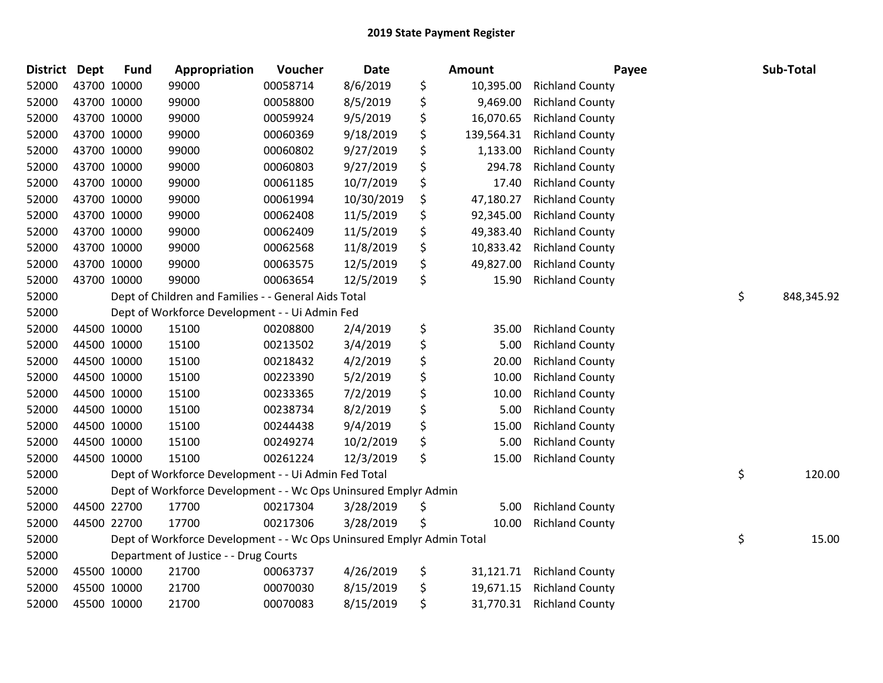| <b>District</b> | <b>Dept</b> | <b>Fund</b> | Appropriation                                                         | Voucher  | Date       | Amount           | Payee                  | Sub-Total        |
|-----------------|-------------|-------------|-----------------------------------------------------------------------|----------|------------|------------------|------------------------|------------------|
| 52000           | 43700 10000 |             | 99000                                                                 | 00058714 | 8/6/2019   | \$<br>10,395.00  | <b>Richland County</b> |                  |
| 52000           | 43700 10000 |             | 99000                                                                 | 00058800 | 8/5/2019   | \$<br>9,469.00   | <b>Richland County</b> |                  |
| 52000           | 43700 10000 |             | 99000                                                                 | 00059924 | 9/5/2019   | \$<br>16,070.65  | <b>Richland County</b> |                  |
| 52000           | 43700 10000 |             | 99000                                                                 | 00060369 | 9/18/2019  | \$<br>139,564.31 | <b>Richland County</b> |                  |
| 52000           | 43700 10000 |             | 99000                                                                 | 00060802 | 9/27/2019  | \$<br>1,133.00   | <b>Richland County</b> |                  |
| 52000           |             | 43700 10000 | 99000                                                                 | 00060803 | 9/27/2019  | \$<br>294.78     | <b>Richland County</b> |                  |
| 52000           | 43700 10000 |             | 99000                                                                 | 00061185 | 10/7/2019  | \$<br>17.40      | <b>Richland County</b> |                  |
| 52000           | 43700 10000 |             | 99000                                                                 | 00061994 | 10/30/2019 | \$<br>47,180.27  | <b>Richland County</b> |                  |
| 52000           |             | 43700 10000 | 99000                                                                 | 00062408 | 11/5/2019  | \$<br>92,345.00  | <b>Richland County</b> |                  |
| 52000           | 43700 10000 |             | 99000                                                                 | 00062409 | 11/5/2019  | \$<br>49,383.40  | <b>Richland County</b> |                  |
| 52000           |             | 43700 10000 | 99000                                                                 | 00062568 | 11/8/2019  | \$<br>10,833.42  | <b>Richland County</b> |                  |
| 52000           | 43700 10000 |             | 99000                                                                 | 00063575 | 12/5/2019  | \$<br>49,827.00  | <b>Richland County</b> |                  |
| 52000           | 43700 10000 |             | 99000                                                                 | 00063654 | 12/5/2019  | \$<br>15.90      | <b>Richland County</b> |                  |
| 52000           |             |             | Dept of Children and Families - - General Aids Total                  |          |            |                  |                        | \$<br>848,345.92 |
| 52000           |             |             | Dept of Workforce Development - - Ui Admin Fed                        |          |            |                  |                        |                  |
| 52000           |             | 44500 10000 | 15100                                                                 | 00208800 | 2/4/2019   | \$<br>35.00      | <b>Richland County</b> |                  |
| 52000           |             | 44500 10000 | 15100                                                                 | 00213502 | 3/4/2019   | \$<br>5.00       | <b>Richland County</b> |                  |
| 52000           |             | 44500 10000 | 15100                                                                 | 00218432 | 4/2/2019   | \$<br>20.00      | <b>Richland County</b> |                  |
| 52000           |             | 44500 10000 | 15100                                                                 | 00223390 | 5/2/2019   | \$<br>10.00      | <b>Richland County</b> |                  |
| 52000           |             | 44500 10000 | 15100                                                                 | 00233365 | 7/2/2019   | \$<br>10.00      | <b>Richland County</b> |                  |
| 52000           |             | 44500 10000 | 15100                                                                 | 00238734 | 8/2/2019   | \$<br>5.00       | <b>Richland County</b> |                  |
| 52000           | 44500 10000 |             | 15100                                                                 | 00244438 | 9/4/2019   | \$<br>15.00      | <b>Richland County</b> |                  |
| 52000           | 44500 10000 |             | 15100                                                                 | 00249274 | 10/2/2019  | \$<br>5.00       | <b>Richland County</b> |                  |
| 52000           | 44500 10000 |             | 15100                                                                 | 00261224 | 12/3/2019  | \$<br>15.00      | <b>Richland County</b> |                  |
| 52000           |             |             | Dept of Workforce Development - - Ui Admin Fed Total                  |          |            |                  |                        | \$<br>120.00     |
| 52000           |             |             | Dept of Workforce Development - - Wc Ops Uninsured Emplyr Admin       |          |            |                  |                        |                  |
| 52000           |             | 44500 22700 | 17700                                                                 | 00217304 | 3/28/2019  | \$<br>5.00       | <b>Richland County</b> |                  |
| 52000           |             | 44500 22700 | 17700                                                                 | 00217306 | 3/28/2019  | \$<br>10.00      | <b>Richland County</b> |                  |
| 52000           |             |             | Dept of Workforce Development - - Wc Ops Uninsured Emplyr Admin Total |          |            |                  |                        | \$<br>15.00      |
| 52000           |             |             | Department of Justice - - Drug Courts                                 |          |            |                  |                        |                  |
| 52000           |             | 45500 10000 | 21700                                                                 | 00063737 | 4/26/2019  | \$<br>31,121.71  | <b>Richland County</b> |                  |
| 52000           |             | 45500 10000 | 21700                                                                 | 00070030 | 8/15/2019  | \$<br>19,671.15  | <b>Richland County</b> |                  |
| 52000           | 45500 10000 |             | 21700                                                                 | 00070083 | 8/15/2019  | \$<br>31,770.31  | <b>Richland County</b> |                  |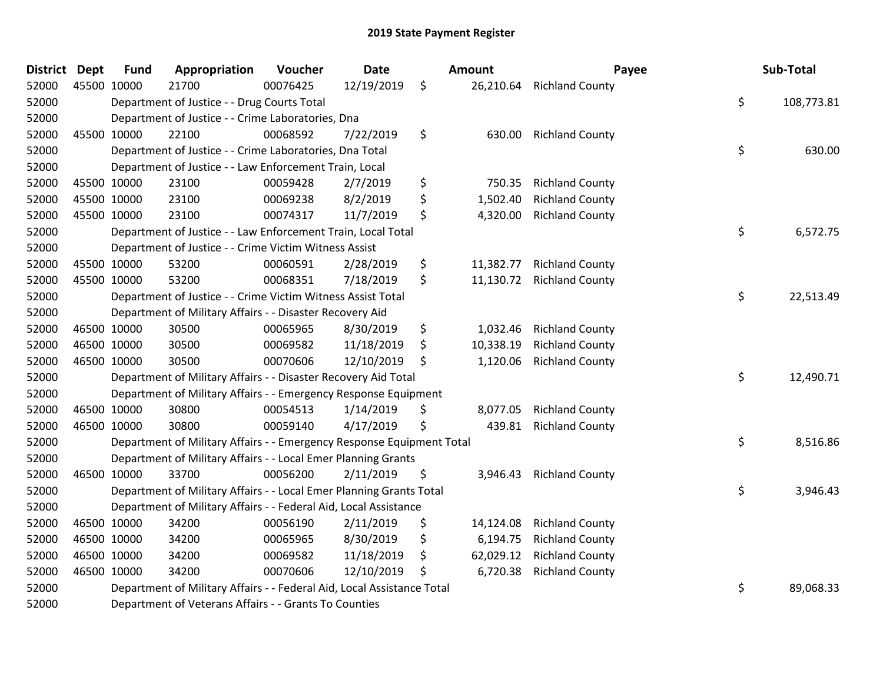| <b>District</b> | <b>Dept</b> | <b>Fund</b> | Appropriation                                                          | Voucher  | <b>Date</b> | Amount          |                        | Payee | Sub-Total  |
|-----------------|-------------|-------------|------------------------------------------------------------------------|----------|-------------|-----------------|------------------------|-------|------------|
| 52000           | 45500 10000 |             | 21700                                                                  | 00076425 | 12/19/2019  | \$<br>26,210.64 | <b>Richland County</b> |       |            |
| 52000           |             |             | Department of Justice - - Drug Courts Total                            |          |             |                 |                        | \$    | 108,773.81 |
| 52000           |             |             | Department of Justice - - Crime Laboratories, Dna                      |          |             |                 |                        |       |            |
| 52000           | 45500 10000 |             | 22100                                                                  | 00068592 | 7/22/2019   | \$<br>630.00    | <b>Richland County</b> |       |            |
| 52000           |             |             | Department of Justice - - Crime Laboratories, Dna Total                |          |             |                 |                        | \$    | 630.00     |
| 52000           |             |             | Department of Justice - - Law Enforcement Train, Local                 |          |             |                 |                        |       |            |
| 52000           | 45500 10000 |             | 23100                                                                  | 00059428 | 2/7/2019    | \$<br>750.35    | <b>Richland County</b> |       |            |
| 52000           | 45500 10000 |             | 23100                                                                  | 00069238 | 8/2/2019    | \$<br>1,502.40  | <b>Richland County</b> |       |            |
| 52000           | 45500 10000 |             | 23100                                                                  | 00074317 | 11/7/2019   | \$<br>4,320.00  | <b>Richland County</b> |       |            |
| 52000           |             |             | Department of Justice - - Law Enforcement Train, Local Total           |          |             |                 |                        | \$    | 6,572.75   |
| 52000           |             |             | Department of Justice - - Crime Victim Witness Assist                  |          |             |                 |                        |       |            |
| 52000           | 45500 10000 |             | 53200                                                                  | 00060591 | 2/28/2019   | \$<br>11,382.77 | <b>Richland County</b> |       |            |
| 52000           | 45500 10000 |             | 53200                                                                  | 00068351 | 7/18/2019   | \$<br>11,130.72 | <b>Richland County</b> |       |            |
| 52000           |             |             | Department of Justice - - Crime Victim Witness Assist Total            |          |             |                 |                        | \$    | 22,513.49  |
| 52000           |             |             | Department of Military Affairs - - Disaster Recovery Aid               |          |             |                 |                        |       |            |
| 52000           | 46500 10000 |             | 30500                                                                  | 00065965 | 8/30/2019   | \$<br>1,032.46  | <b>Richland County</b> |       |            |
| 52000           | 46500 10000 |             | 30500                                                                  | 00069582 | 11/18/2019  | \$<br>10,338.19 | <b>Richland County</b> |       |            |
| 52000           | 46500 10000 |             | 30500                                                                  | 00070606 | 12/10/2019  | \$<br>1,120.06  | <b>Richland County</b> |       |            |
| 52000           |             |             | Department of Military Affairs - - Disaster Recovery Aid Total         |          |             |                 |                        | \$    | 12,490.71  |
| 52000           |             |             | Department of Military Affairs - - Emergency Response Equipment        |          |             |                 |                        |       |            |
| 52000           | 46500 10000 |             | 30800                                                                  | 00054513 | 1/14/2019   | \$<br>8,077.05  | <b>Richland County</b> |       |            |
| 52000           | 46500 10000 |             | 30800                                                                  | 00059140 | 4/17/2019   | \$<br>439.81    | <b>Richland County</b> |       |            |
| 52000           |             |             | Department of Military Affairs - - Emergency Response Equipment Total  |          |             |                 |                        | \$    | 8,516.86   |
| 52000           |             |             | Department of Military Affairs - - Local Emer Planning Grants          |          |             |                 |                        |       |            |
| 52000           | 46500 10000 |             | 33700                                                                  | 00056200 | 2/11/2019   | \$<br>3,946.43  | <b>Richland County</b> |       |            |
| 52000           |             |             | Department of Military Affairs - - Local Emer Planning Grants Total    |          |             |                 |                        | \$    | 3,946.43   |
| 52000           |             |             | Department of Military Affairs - - Federal Aid, Local Assistance       |          |             |                 |                        |       |            |
| 52000           | 46500 10000 |             | 34200                                                                  | 00056190 | 2/11/2019   | \$<br>14,124.08 | <b>Richland County</b> |       |            |
| 52000           | 46500 10000 |             | 34200                                                                  | 00065965 | 8/30/2019   | \$<br>6,194.75  | <b>Richland County</b> |       |            |
| 52000           | 46500 10000 |             | 34200                                                                  | 00069582 | 11/18/2019  | \$<br>62,029.12 | <b>Richland County</b> |       |            |
| 52000           | 46500 10000 |             | 34200                                                                  | 00070606 | 12/10/2019  | \$<br>6,720.38  | <b>Richland County</b> |       |            |
| 52000           |             |             | Department of Military Affairs - - Federal Aid, Local Assistance Total |          |             |                 |                        | \$    | 89,068.33  |
| 52000           |             |             | Department of Veterans Affairs - - Grants To Counties                  |          |             |                 |                        |       |            |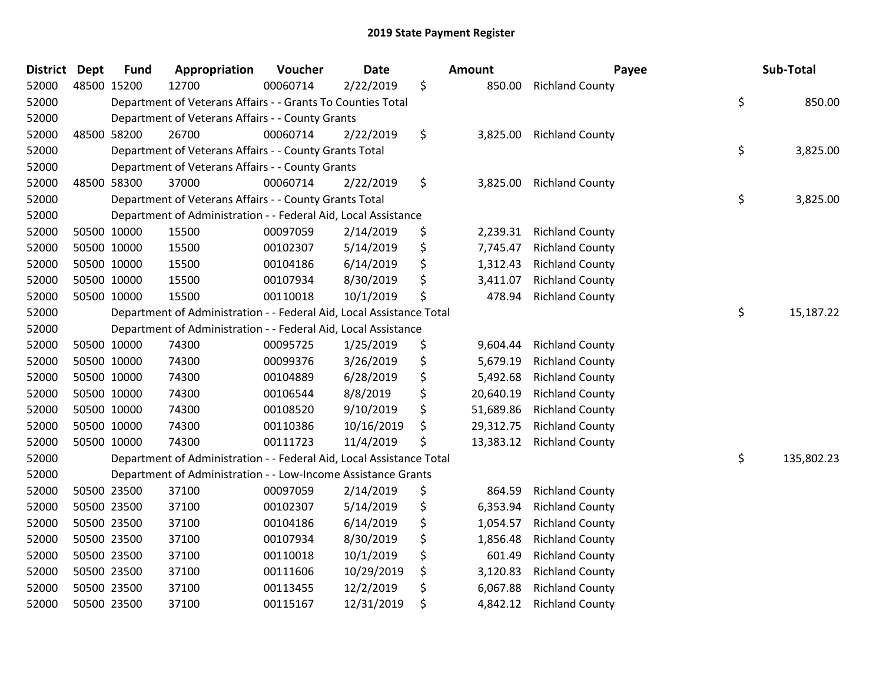| <b>District</b> | <b>Dept</b> | <b>Fund</b> | Appropriation                                                        | Voucher  | <b>Date</b> | Amount          | Payee                  | Sub-Total        |
|-----------------|-------------|-------------|----------------------------------------------------------------------|----------|-------------|-----------------|------------------------|------------------|
| 52000           | 48500 15200 |             | 12700                                                                | 00060714 | 2/22/2019   | \$<br>850.00    | <b>Richland County</b> |                  |
| 52000           |             |             | Department of Veterans Affairs - - Grants To Counties Total          |          |             |                 |                        | \$<br>850.00     |
| 52000           |             |             | Department of Veterans Affairs - - County Grants                     |          |             |                 |                        |                  |
| 52000           |             | 48500 58200 | 26700                                                                | 00060714 | 2/22/2019   | \$<br>3,825.00  | <b>Richland County</b> |                  |
| 52000           |             |             | Department of Veterans Affairs - - County Grants Total               |          |             |                 |                        | \$<br>3,825.00   |
| 52000           |             |             | Department of Veterans Affairs - - County Grants                     |          |             |                 |                        |                  |
| 52000           | 48500 58300 |             | 37000                                                                | 00060714 | 2/22/2019   | \$<br>3,825.00  | <b>Richland County</b> |                  |
| 52000           |             |             | Department of Veterans Affairs - - County Grants Total               |          |             |                 |                        | \$<br>3,825.00   |
| 52000           |             |             | Department of Administration - - Federal Aid, Local Assistance       |          |             |                 |                        |                  |
| 52000           |             | 50500 10000 | 15500                                                                | 00097059 | 2/14/2019   | \$<br>2,239.31  | <b>Richland County</b> |                  |
| 52000           |             | 50500 10000 | 15500                                                                | 00102307 | 5/14/2019   | \$<br>7,745.47  | <b>Richland County</b> |                  |
| 52000           |             | 50500 10000 | 15500                                                                | 00104186 | 6/14/2019   | \$<br>1,312.43  | <b>Richland County</b> |                  |
| 52000           | 50500 10000 |             | 15500                                                                | 00107934 | 8/30/2019   | \$<br>3,411.07  | <b>Richland County</b> |                  |
| 52000           |             | 50500 10000 | 15500                                                                | 00110018 | 10/1/2019   | \$<br>478.94    | <b>Richland County</b> |                  |
| 52000           |             |             | Department of Administration - - Federal Aid, Local Assistance Total |          |             |                 |                        | \$<br>15,187.22  |
| 52000           |             |             | Department of Administration - - Federal Aid, Local Assistance       |          |             |                 |                        |                  |
| 52000           |             | 50500 10000 | 74300                                                                | 00095725 | 1/25/2019   | \$<br>9,604.44  | <b>Richland County</b> |                  |
| 52000           | 50500 10000 |             | 74300                                                                | 00099376 | 3/26/2019   | \$<br>5,679.19  | <b>Richland County</b> |                  |
| 52000           | 50500 10000 |             | 74300                                                                | 00104889 | 6/28/2019   | \$<br>5,492.68  | <b>Richland County</b> |                  |
| 52000           | 50500 10000 |             | 74300                                                                | 00106544 | 8/8/2019    | \$<br>20,640.19 | <b>Richland County</b> |                  |
| 52000           |             | 50500 10000 | 74300                                                                | 00108520 | 9/10/2019   | \$<br>51,689.86 | <b>Richland County</b> |                  |
| 52000           |             | 50500 10000 | 74300                                                                | 00110386 | 10/16/2019  | \$<br>29,312.75 | <b>Richland County</b> |                  |
| 52000           | 50500 10000 |             | 74300                                                                | 00111723 | 11/4/2019   | \$<br>13,383.12 | <b>Richland County</b> |                  |
| 52000           |             |             | Department of Administration - - Federal Aid, Local Assistance Total |          |             |                 |                        | \$<br>135,802.23 |
| 52000           |             |             | Department of Administration - - Low-Income Assistance Grants        |          |             |                 |                        |                  |
| 52000           |             | 50500 23500 | 37100                                                                | 00097059 | 2/14/2019   | \$<br>864.59    | <b>Richland County</b> |                  |
| 52000           |             | 50500 23500 | 37100                                                                | 00102307 | 5/14/2019   | \$<br>6,353.94  | <b>Richland County</b> |                  |
| 52000           | 50500 23500 |             | 37100                                                                | 00104186 | 6/14/2019   | \$<br>1,054.57  | <b>Richland County</b> |                  |
| 52000           | 50500 23500 |             | 37100                                                                | 00107934 | 8/30/2019   | \$<br>1,856.48  | <b>Richland County</b> |                  |
| 52000           | 50500 23500 |             | 37100                                                                | 00110018 | 10/1/2019   | \$<br>601.49    | <b>Richland County</b> |                  |
| 52000           |             | 50500 23500 | 37100                                                                | 00111606 | 10/29/2019  | \$<br>3,120.83  | <b>Richland County</b> |                  |
| 52000           |             | 50500 23500 | 37100                                                                | 00113455 | 12/2/2019   | \$<br>6,067.88  | <b>Richland County</b> |                  |
| 52000           |             | 50500 23500 | 37100                                                                | 00115167 | 12/31/2019  | \$<br>4,842.12  | <b>Richland County</b> |                  |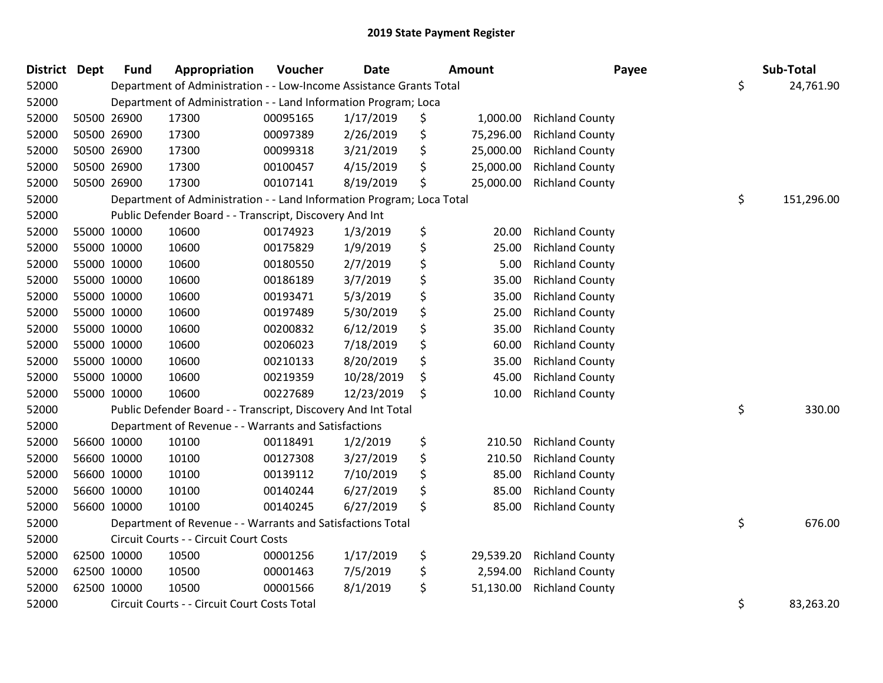| <b>District</b> | <b>Dept</b> | <b>Fund</b> | Appropriation                                                         | Voucher  | <b>Date</b> | <b>Amount</b>   | Payee                  | Sub-Total        |
|-----------------|-------------|-------------|-----------------------------------------------------------------------|----------|-------------|-----------------|------------------------|------------------|
| 52000           |             |             | Department of Administration - - Low-Income Assistance Grants Total   |          |             |                 |                        | \$<br>24,761.90  |
| 52000           |             |             | Department of Administration - - Land Information Program; Loca       |          |             |                 |                        |                  |
| 52000           |             | 50500 26900 | 17300                                                                 | 00095165 | 1/17/2019   | \$<br>1,000.00  | <b>Richland County</b> |                  |
| 52000           |             | 50500 26900 | 17300                                                                 | 00097389 | 2/26/2019   | \$<br>75,296.00 | <b>Richland County</b> |                  |
| 52000           |             | 50500 26900 | 17300                                                                 | 00099318 | 3/21/2019   | \$<br>25,000.00 | <b>Richland County</b> |                  |
| 52000           |             | 50500 26900 | 17300                                                                 | 00100457 | 4/15/2019   | \$<br>25,000.00 | <b>Richland County</b> |                  |
| 52000           |             | 50500 26900 | 17300                                                                 | 00107141 | 8/19/2019   | \$<br>25,000.00 | <b>Richland County</b> |                  |
| 52000           |             |             | Department of Administration - - Land Information Program; Loca Total |          |             |                 |                        | \$<br>151,296.00 |
| 52000           |             |             | Public Defender Board - - Transcript, Discovery And Int               |          |             |                 |                        |                  |
| 52000           |             | 55000 10000 | 10600                                                                 | 00174923 | 1/3/2019    | \$<br>20.00     | <b>Richland County</b> |                  |
| 52000           |             | 55000 10000 | 10600                                                                 | 00175829 | 1/9/2019    | \$<br>25.00     | <b>Richland County</b> |                  |
| 52000           |             | 55000 10000 | 10600                                                                 | 00180550 | 2/7/2019    | \$<br>5.00      | <b>Richland County</b> |                  |
| 52000           | 55000 10000 |             | 10600                                                                 | 00186189 | 3/7/2019    | \$<br>35.00     | <b>Richland County</b> |                  |
| 52000           | 55000 10000 |             | 10600                                                                 | 00193471 | 5/3/2019    | \$<br>35.00     | <b>Richland County</b> |                  |
| 52000           |             | 55000 10000 | 10600                                                                 | 00197489 | 5/30/2019   | \$<br>25.00     | <b>Richland County</b> |                  |
| 52000           |             | 55000 10000 | 10600                                                                 | 00200832 | 6/12/2019   | \$<br>35.00     | <b>Richland County</b> |                  |
| 52000           |             | 55000 10000 | 10600                                                                 | 00206023 | 7/18/2019   | \$<br>60.00     | <b>Richland County</b> |                  |
| 52000           |             | 55000 10000 | 10600                                                                 | 00210133 | 8/20/2019   | \$<br>35.00     | <b>Richland County</b> |                  |
| 52000           | 55000 10000 |             | 10600                                                                 | 00219359 | 10/28/2019  | \$<br>45.00     | <b>Richland County</b> |                  |
| 52000           |             | 55000 10000 | 10600                                                                 | 00227689 | 12/23/2019  | \$<br>10.00     | <b>Richland County</b> |                  |
| 52000           |             |             | Public Defender Board - - Transcript, Discovery And Int Total         |          |             |                 |                        | \$<br>330.00     |
| 52000           |             |             | Department of Revenue - - Warrants and Satisfactions                  |          |             |                 |                        |                  |
| 52000           |             | 56600 10000 | 10100                                                                 | 00118491 | 1/2/2019    | \$<br>210.50    | <b>Richland County</b> |                  |
| 52000           | 56600 10000 |             | 10100                                                                 | 00127308 | 3/27/2019   | \$<br>210.50    | <b>Richland County</b> |                  |
| 52000           |             | 56600 10000 | 10100                                                                 | 00139112 | 7/10/2019   | \$<br>85.00     | <b>Richland County</b> |                  |
| 52000           |             | 56600 10000 | 10100                                                                 | 00140244 | 6/27/2019   | \$<br>85.00     | <b>Richland County</b> |                  |
| 52000           |             | 56600 10000 | 10100                                                                 | 00140245 | 6/27/2019   | \$<br>85.00     | <b>Richland County</b> |                  |
| 52000           |             |             | Department of Revenue - - Warrants and Satisfactions Total            |          |             |                 |                        | \$<br>676.00     |
| 52000           |             |             | Circuit Courts - - Circuit Court Costs                                |          |             |                 |                        |                  |
| 52000           |             | 62500 10000 | 10500                                                                 | 00001256 | 1/17/2019   | \$<br>29,539.20 | <b>Richland County</b> |                  |
| 52000           |             | 62500 10000 | 10500                                                                 | 00001463 | 7/5/2019    | \$<br>2,594.00  | <b>Richland County</b> |                  |
| 52000           |             | 62500 10000 | 10500                                                                 | 00001566 | 8/1/2019    | \$<br>51,130.00 | <b>Richland County</b> |                  |
| 52000           |             |             | Circuit Courts - - Circuit Court Costs Total                          |          |             |                 |                        | \$<br>83,263.20  |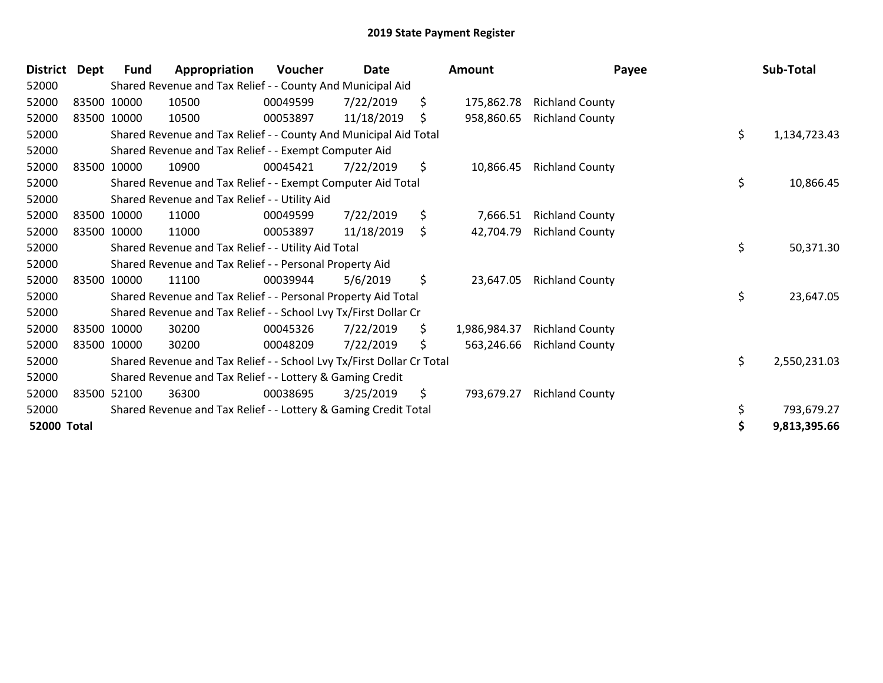| <b>District</b>    | Dept | <b>Fund</b> | Appropriation                                                         | Voucher  | Date       |    | Amount       | Payee                  | Sub-Total          |
|--------------------|------|-------------|-----------------------------------------------------------------------|----------|------------|----|--------------|------------------------|--------------------|
| 52000              |      |             | Shared Revenue and Tax Relief - - County And Municipal Aid            |          |            |    |              |                        |                    |
| 52000              |      | 83500 10000 | 10500                                                                 | 00049599 | 7/22/2019  | \$ | 175,862.78   | <b>Richland County</b> |                    |
| 52000              |      | 83500 10000 | 10500                                                                 | 00053897 | 11/18/2019 | \$ | 958,860.65   | <b>Richland County</b> |                    |
| 52000              |      |             | Shared Revenue and Tax Relief - - County And Municipal Aid Total      |          |            |    |              |                        | \$<br>1,134,723.43 |
| 52000              |      |             | Shared Revenue and Tax Relief - - Exempt Computer Aid                 |          |            |    |              |                        |                    |
| 52000              |      | 83500 10000 | 10900                                                                 | 00045421 | 7/22/2019  | \$ | 10,866.45    | <b>Richland County</b> |                    |
| 52000              |      |             | Shared Revenue and Tax Relief - - Exempt Computer Aid Total           |          |            |    |              |                        | \$<br>10,866.45    |
| 52000              |      |             | Shared Revenue and Tax Relief - - Utility Aid                         |          |            |    |              |                        |                    |
| 52000              |      | 83500 10000 | 11000                                                                 | 00049599 | 7/22/2019  | \$ | 7,666.51     | <b>Richland County</b> |                    |
| 52000              |      | 83500 10000 | 11000                                                                 | 00053897 | 11/18/2019 | \$ | 42,704.79    | <b>Richland County</b> |                    |
| 52000              |      |             | Shared Revenue and Tax Relief - - Utility Aid Total                   |          |            |    |              |                        | \$<br>50,371.30    |
| 52000              |      |             | Shared Revenue and Tax Relief - - Personal Property Aid               |          |            |    |              |                        |                    |
| 52000              |      | 83500 10000 | 11100                                                                 | 00039944 | 5/6/2019   | \$ | 23,647.05    | <b>Richland County</b> |                    |
| 52000              |      |             | Shared Revenue and Tax Relief - - Personal Property Aid Total         |          |            |    |              |                        | \$<br>23,647.05    |
| 52000              |      |             | Shared Revenue and Tax Relief - - School Lvy Tx/First Dollar Cr       |          |            |    |              |                        |                    |
| 52000              |      | 83500 10000 | 30200                                                                 | 00045326 | 7/22/2019  | \$ | 1,986,984.37 | <b>Richland County</b> |                    |
| 52000              |      | 83500 10000 | 30200                                                                 | 00048209 | 7/22/2019  | S  | 563,246.66   | <b>Richland County</b> |                    |
| 52000              |      |             | Shared Revenue and Tax Relief - - School Lvy Tx/First Dollar Cr Total |          |            |    |              |                        | \$<br>2,550,231.03 |
| 52000              |      |             | Shared Revenue and Tax Relief - - Lottery & Gaming Credit             |          |            |    |              |                        |                    |
| 52000              |      | 83500 52100 | 36300                                                                 | 00038695 | 3/25/2019  | \$ | 793,679.27   | <b>Richland County</b> |                    |
| 52000              |      |             | Shared Revenue and Tax Relief - - Lottery & Gaming Credit Total       |          |            |    |              |                        | \$<br>793,679.27   |
| <b>52000 Total</b> |      |             |                                                                       |          |            |    |              |                        | 9,813,395.66       |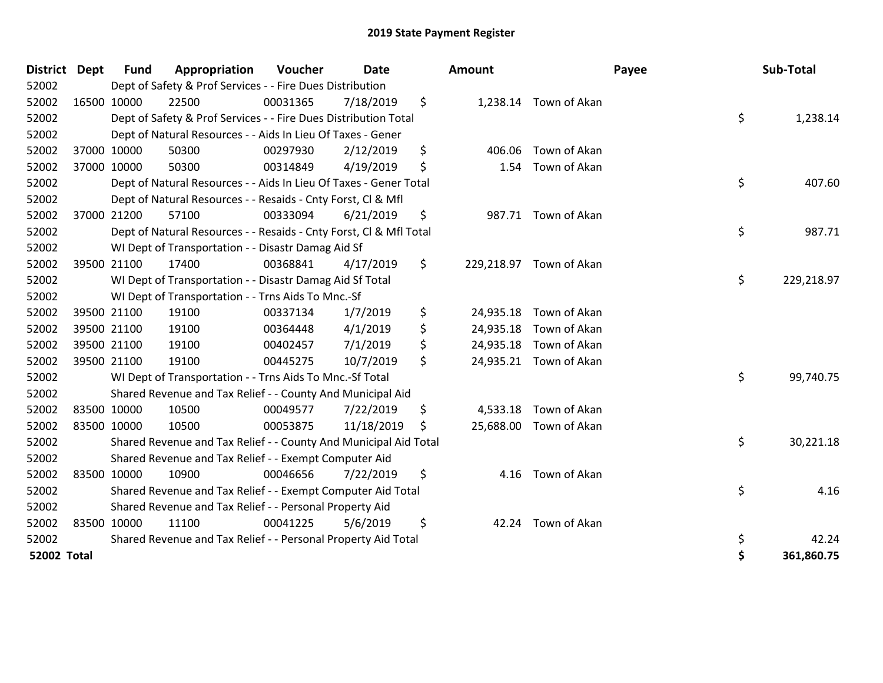| <b>District</b>    | Dept | <b>Fund</b> | Appropriation                                                      | Voucher  | <b>Date</b> | <b>Amount</b>   |                         | Payee | Sub-Total  |
|--------------------|------|-------------|--------------------------------------------------------------------|----------|-------------|-----------------|-------------------------|-------|------------|
| 52002              |      |             | Dept of Safety & Prof Services - - Fire Dues Distribution          |          |             |                 |                         |       |            |
| 52002              |      | 16500 10000 | 22500                                                              | 00031365 | 7/18/2019   | \$              | 1,238.14 Town of Akan   |       |            |
| 52002              |      |             | Dept of Safety & Prof Services - - Fire Dues Distribution Total    |          |             |                 |                         | \$    | 1,238.14   |
| 52002              |      |             | Dept of Natural Resources - - Aids In Lieu Of Taxes - Gener        |          |             |                 |                         |       |            |
| 52002              |      | 37000 10000 | 50300                                                              | 00297930 | 2/12/2019   | \$<br>406.06    | Town of Akan            |       |            |
| 52002              |      | 37000 10000 | 50300                                                              | 00314849 | 4/19/2019   | \$<br>1.54      | Town of Akan            |       |            |
| 52002              |      |             | Dept of Natural Resources - - Aids In Lieu Of Taxes - Gener Total  |          |             |                 |                         | \$    | 407.60     |
| 52002              |      |             | Dept of Natural Resources - - Resaids - Cnty Forst, CI & Mfl       |          |             |                 |                         |       |            |
| 52002              |      | 37000 21200 | 57100                                                              | 00333094 | 6/21/2019   | \$              | 987.71 Town of Akan     |       |            |
| 52002              |      |             | Dept of Natural Resources - - Resaids - Cnty Forst, CI & Mfl Total |          |             |                 |                         | \$    | 987.71     |
| 52002              |      |             | WI Dept of Transportation - - Disastr Damag Aid Sf                 |          |             |                 |                         |       |            |
| 52002              |      | 39500 21100 | 17400                                                              | 00368841 | 4/17/2019   | \$              | 229,218.97 Town of Akan |       |            |
| 52002              |      |             | WI Dept of Transportation - - Disastr Damag Aid Sf Total           |          |             |                 |                         | \$    | 229,218.97 |
| 52002              |      |             | WI Dept of Transportation - - Trns Aids To Mnc.-Sf                 |          |             |                 |                         |       |            |
| 52002              |      | 39500 21100 | 19100                                                              | 00337134 | 1/7/2019    | \$<br>24,935.18 | Town of Akan            |       |            |
| 52002              |      | 39500 21100 | 19100                                                              | 00364448 | 4/1/2019    | \$              | 24,935.18 Town of Akan  |       |            |
| 52002              |      | 39500 21100 | 19100                                                              | 00402457 | 7/1/2019    | \$              | 24,935.18 Town of Akan  |       |            |
| 52002              |      | 39500 21100 | 19100                                                              | 00445275 | 10/7/2019   | \$              | 24,935.21 Town of Akan  |       |            |
| 52002              |      |             | WI Dept of Transportation - - Trns Aids To Mnc.-Sf Total           |          |             |                 |                         | \$    | 99,740.75  |
| 52002              |      |             | Shared Revenue and Tax Relief - - County And Municipal Aid         |          |             |                 |                         |       |            |
| 52002              |      | 83500 10000 | 10500                                                              | 00049577 | 7/22/2019   | \$              | 4,533.18 Town of Akan   |       |            |
| 52002              |      | 83500 10000 | 10500                                                              | 00053875 | 11/18/2019  | \$              | 25,688.00 Town of Akan  |       |            |
| 52002              |      |             | Shared Revenue and Tax Relief - - County And Municipal Aid Total   |          |             |                 |                         | \$    | 30,221.18  |
| 52002              |      |             | Shared Revenue and Tax Relief - - Exempt Computer Aid              |          |             |                 |                         |       |            |
| 52002              |      | 83500 10000 | 10900                                                              | 00046656 | 7/22/2019   | \$<br>4.16      | Town of Akan            |       |            |
| 52002              |      |             | Shared Revenue and Tax Relief - - Exempt Computer Aid Total        |          |             |                 |                         | \$    | 4.16       |
| 52002              |      |             | Shared Revenue and Tax Relief - - Personal Property Aid            |          |             |                 |                         |       |            |
| 52002              |      | 83500 10000 | 11100                                                              | 00041225 | 5/6/2019    | \$              | 42.24 Town of Akan      |       |            |
| 52002              |      |             | Shared Revenue and Tax Relief - - Personal Property Aid Total      |          |             |                 |                         | \$    | 42.24      |
| <b>52002 Total</b> |      |             |                                                                    |          |             |                 |                         | \$    | 361,860.75 |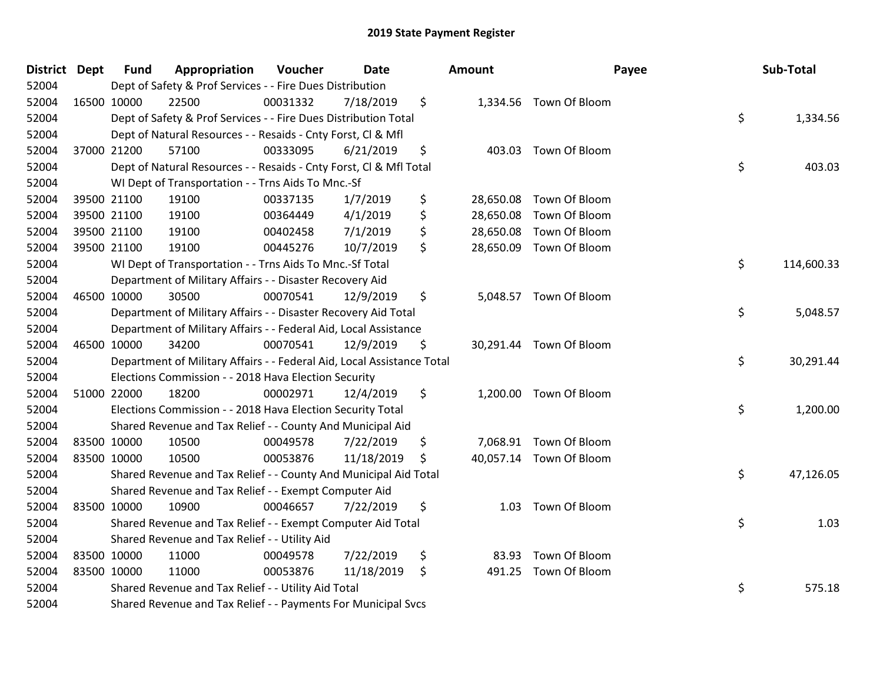| District Dept |             | <b>Fund</b> | Appropriation                                                          | Voucher  | <b>Date</b> | Amount      | Payee                   | Sub-Total        |
|---------------|-------------|-------------|------------------------------------------------------------------------|----------|-------------|-------------|-------------------------|------------------|
| 52004         |             |             | Dept of Safety & Prof Services - - Fire Dues Distribution              |          |             |             |                         |                  |
| 52004         | 16500 10000 |             | 22500                                                                  | 00031332 | 7/18/2019   | \$          | 1,334.56 Town Of Bloom  |                  |
| 52004         |             |             | Dept of Safety & Prof Services - - Fire Dues Distribution Total        |          |             |             |                         | \$<br>1,334.56   |
| 52004         |             |             | Dept of Natural Resources - - Resaids - Cnty Forst, Cl & Mfl           |          |             |             |                         |                  |
| 52004         |             | 37000 21200 | 57100                                                                  | 00333095 | 6/21/2019   | \$          | 403.03 Town Of Bloom    |                  |
| 52004         |             |             | Dept of Natural Resources - - Resaids - Cnty Forst, Cl & Mfl Total     |          |             |             |                         | \$<br>403.03     |
| 52004         |             |             | WI Dept of Transportation - - Trns Aids To Mnc.-Sf                     |          |             |             |                         |                  |
| 52004         |             | 39500 21100 | 19100                                                                  | 00337135 | 1/7/2019    | \$          | 28,650.08 Town Of Bloom |                  |
| 52004         |             | 39500 21100 | 19100                                                                  | 00364449 | 4/1/2019    | \$          | 28,650.08 Town Of Bloom |                  |
| 52004         |             | 39500 21100 | 19100                                                                  | 00402458 | 7/1/2019    | \$          | 28,650.08 Town Of Bloom |                  |
| 52004         |             | 39500 21100 | 19100                                                                  | 00445276 | 10/7/2019   | \$          | 28,650.09 Town Of Bloom |                  |
| 52004         |             |             | WI Dept of Transportation - - Trns Aids To Mnc.-Sf Total               |          |             |             |                         | \$<br>114,600.33 |
| 52004         |             |             | Department of Military Affairs - - Disaster Recovery Aid               |          |             |             |                         |                  |
| 52004         | 46500 10000 |             | 30500                                                                  | 00070541 | 12/9/2019   | \$          | 5,048.57 Town Of Bloom  |                  |
| 52004         |             |             | Department of Military Affairs - - Disaster Recovery Aid Total         |          |             |             |                         | \$<br>5,048.57   |
| 52004         |             |             | Department of Military Affairs - - Federal Aid, Local Assistance       |          |             |             |                         |                  |
| 52004         |             | 46500 10000 | 34200                                                                  | 00070541 | 12/9/2019   | \$          | 30,291.44 Town Of Bloom |                  |
| 52004         |             |             | Department of Military Affairs - - Federal Aid, Local Assistance Total |          |             |             |                         | \$<br>30,291.44  |
| 52004         |             |             | Elections Commission - - 2018 Hava Election Security                   |          |             |             |                         |                  |
| 52004         |             | 51000 22000 | 18200                                                                  | 00002971 | 12/4/2019   | \$          | 1,200.00 Town Of Bloom  |                  |
| 52004         |             |             | Elections Commission - - 2018 Hava Election Security Total             |          |             |             |                         | \$<br>1,200.00   |
| 52004         |             |             | Shared Revenue and Tax Relief - - County And Municipal Aid             |          |             |             |                         |                  |
| 52004         | 83500 10000 |             | 10500                                                                  | 00049578 | 7/22/2019   | \$          | 7,068.91 Town Of Bloom  |                  |
| 52004         | 83500 10000 |             | 10500                                                                  | 00053876 | 11/18/2019  | \$          | 40,057.14 Town Of Bloom |                  |
| 52004         |             |             | Shared Revenue and Tax Relief - - County And Municipal Aid Total       |          |             |             |                         | \$<br>47,126.05  |
| 52004         |             |             | Shared Revenue and Tax Relief - - Exempt Computer Aid                  |          |             |             |                         |                  |
| 52004         |             | 83500 10000 | 10900                                                                  | 00046657 | 7/22/2019   | \$          | 1.03 Town Of Bloom      |                  |
| 52004         |             |             | Shared Revenue and Tax Relief - - Exempt Computer Aid Total            |          |             |             |                         | \$<br>1.03       |
| 52004         |             |             | Shared Revenue and Tax Relief - - Utility Aid                          |          |             |             |                         |                  |
| 52004         |             | 83500 10000 | 11000                                                                  | 00049578 | 7/22/2019   | \$<br>83.93 | Town Of Bloom           |                  |
| 52004         | 83500 10000 |             | 11000                                                                  | 00053876 | 11/18/2019  | \$          | 491.25 Town Of Bloom    |                  |
| 52004         |             |             | Shared Revenue and Tax Relief - - Utility Aid Total                    |          |             |             |                         | \$<br>575.18     |
| 52004         |             |             | Shared Revenue and Tax Relief - - Payments For Municipal Svcs          |          |             |             |                         |                  |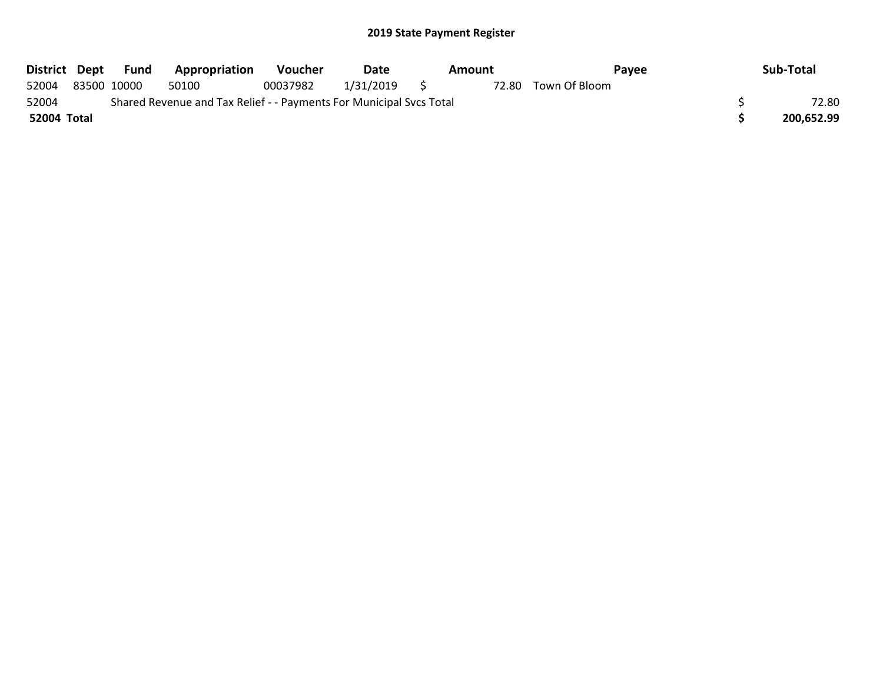|             | District Dept Fund | <b>Appropriation</b>                                                | Voucher  | Date           | Amount | Pavee         | Sub-Total  |
|-------------|--------------------|---------------------------------------------------------------------|----------|----------------|--------|---------------|------------|
| 52004       | 83500 10000        | 50100                                                               | 00037982 | $1/31/2019$ \$ | 72.80  | Town Of Bloom |            |
| 52004       |                    | Shared Revenue and Tax Relief - - Payments For Municipal Svcs Total |          |                |        |               | 72.80      |
| 52004 Total |                    |                                                                     |          |                |        |               | 200,652.99 |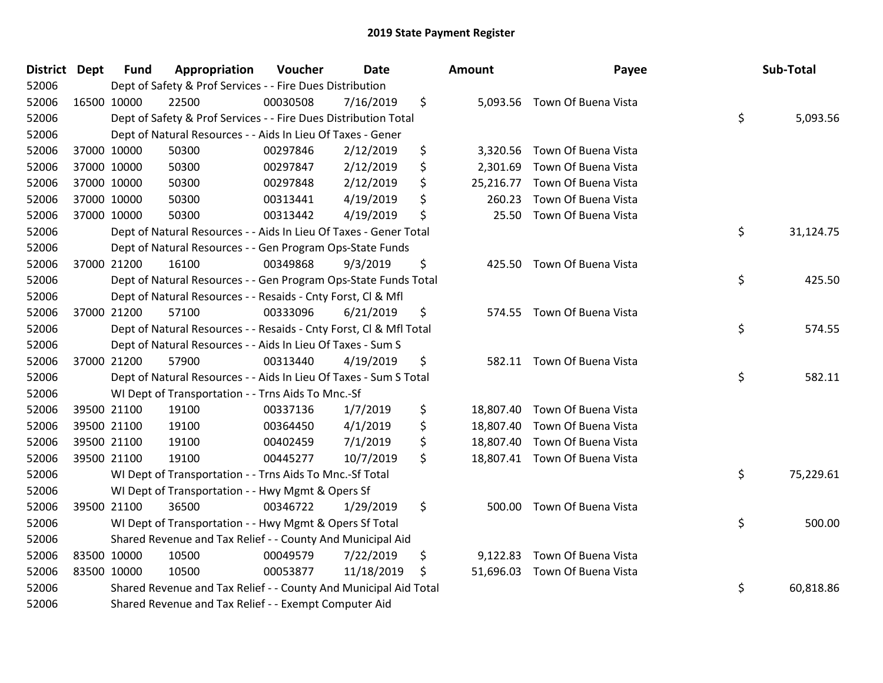| District Dept | <b>Fund</b> | Appropriation                                                      | Voucher  | <b>Date</b> | Amount          | Payee                         | Sub-Total       |
|---------------|-------------|--------------------------------------------------------------------|----------|-------------|-----------------|-------------------------------|-----------------|
| 52006         |             | Dept of Safety & Prof Services - - Fire Dues Distribution          |          |             |                 |                               |                 |
| 52006         | 16500 10000 | 22500                                                              | 00030508 | 7/16/2019   | \$              | 5,093.56 Town Of Buena Vista  |                 |
| 52006         |             | Dept of Safety & Prof Services - - Fire Dues Distribution Total    |          |             |                 |                               | \$<br>5,093.56  |
| 52006         |             | Dept of Natural Resources - - Aids In Lieu Of Taxes - Gener        |          |             |                 |                               |                 |
| 52006         | 37000 10000 | 50300                                                              | 00297846 | 2/12/2019   | \$<br>3,320.56  | Town Of Buena Vista           |                 |
| 52006         | 37000 10000 | 50300                                                              | 00297847 | 2/12/2019   | \$<br>2,301.69  | Town Of Buena Vista           |                 |
| 52006         | 37000 10000 | 50300                                                              | 00297848 | 2/12/2019   | \$<br>25,216.77 | Town Of Buena Vista           |                 |
| 52006         | 37000 10000 | 50300                                                              | 00313441 | 4/19/2019   | \$<br>260.23    | Town Of Buena Vista           |                 |
| 52006         | 37000 10000 | 50300                                                              | 00313442 | 4/19/2019   | \$<br>25.50     | Town Of Buena Vista           |                 |
| 52006         |             | Dept of Natural Resources - - Aids In Lieu Of Taxes - Gener Total  |          |             |                 |                               | \$<br>31,124.75 |
| 52006         |             | Dept of Natural Resources - - Gen Program Ops-State Funds          |          |             |                 |                               |                 |
| 52006         | 37000 21200 | 16100                                                              | 00349868 | 9/3/2019    | \$<br>425.50    | Town Of Buena Vista           |                 |
| 52006         |             | Dept of Natural Resources - - Gen Program Ops-State Funds Total    |          |             |                 |                               | \$<br>425.50    |
| 52006         |             | Dept of Natural Resources - - Resaids - Cnty Forst, Cl & Mfl       |          |             |                 |                               |                 |
| 52006         | 37000 21200 | 57100                                                              | 00333096 | 6/21/2019   | \$              | 574.55 Town Of Buena Vista    |                 |
| 52006         |             | Dept of Natural Resources - - Resaids - Cnty Forst, Cl & Mfl Total |          |             |                 |                               | \$<br>574.55    |
| 52006         |             | Dept of Natural Resources - - Aids In Lieu Of Taxes - Sum S        |          |             |                 |                               |                 |
| 52006         | 37000 21200 | 57900                                                              | 00313440 | 4/19/2019   | \$              | 582.11 Town Of Buena Vista    |                 |
| 52006         |             | Dept of Natural Resources - - Aids In Lieu Of Taxes - Sum S Total  |          |             |                 |                               | \$<br>582.11    |
| 52006         |             | WI Dept of Transportation - - Trns Aids To Mnc.-Sf                 |          |             |                 |                               |                 |
| 52006         | 39500 21100 | 19100                                                              | 00337136 | 1/7/2019    | \$              | 18,807.40 Town Of Buena Vista |                 |
| 52006         | 39500 21100 | 19100                                                              | 00364450 | 4/1/2019    | \$              | 18,807.40 Town Of Buena Vista |                 |
| 52006         | 39500 21100 | 19100                                                              | 00402459 | 7/1/2019    | \$              | 18,807.40 Town Of Buena Vista |                 |
| 52006         | 39500 21100 | 19100                                                              | 00445277 | 10/7/2019   | \$              | 18,807.41 Town Of Buena Vista |                 |
| 52006         |             | WI Dept of Transportation - - Trns Aids To Mnc.-Sf Total           |          |             |                 |                               | \$<br>75,229.61 |
| 52006         |             | WI Dept of Transportation - - Hwy Mgmt & Opers Sf                  |          |             |                 |                               |                 |
| 52006         | 39500 21100 | 36500                                                              | 00346722 | 1/29/2019   | \$<br>500.00    | Town Of Buena Vista           |                 |
| 52006         |             | WI Dept of Transportation - - Hwy Mgmt & Opers Sf Total            |          |             |                 |                               | \$<br>500.00    |
| 52006         |             | Shared Revenue and Tax Relief - - County And Municipal Aid         |          |             |                 |                               |                 |
| 52006         | 83500 10000 | 10500                                                              | 00049579 | 7/22/2019   | \$<br>9,122.83  | Town Of Buena Vista           |                 |
| 52006         | 83500 10000 | 10500                                                              | 00053877 | 11/18/2019  | \$<br>51,696.03 | Town Of Buena Vista           |                 |
| 52006         |             | Shared Revenue and Tax Relief - - County And Municipal Aid Total   |          |             |                 |                               | \$<br>60,818.86 |
| 52006         |             | Shared Revenue and Tax Relief - - Exempt Computer Aid              |          |             |                 |                               |                 |

| วนทt      | Payee                         | Sub-Total       |
|-----------|-------------------------------|-----------------|
| 5,093.56  | Town Of Buena Vista           | \$<br>5,093.56  |
| 3,320.56  | Town Of Buena Vista           |                 |
| 2,301.69  | Town Of Buena Vista           |                 |
| 25,216.77 | Town Of Buena Vista           |                 |
| 260.23    | Town Of Buena Vista           |                 |
|           | 25.50 Town Of Buena Vista     |                 |
|           |                               | \$<br>31,124.75 |
|           | 425.50 Town Of Buena Vista    |                 |
|           |                               | \$<br>425.50    |
| 574.55    | Town Of Buena Vista           |                 |
|           |                               | \$<br>574.55    |
| 582.11    | Town Of Buena Vista           |                 |
|           |                               | \$<br>582.11    |
|           | 18,807.40 Town Of Buena Vista |                 |
| 18,807.40 | Town Of Buena Vista           |                 |
| 18,807.40 | Town Of Buena Vista           |                 |
| 18,807.41 | Town Of Buena Vista           |                 |
|           |                               | \$<br>75,229.61 |
| 500.00    | Town Of Buena Vista           |                 |
|           |                               | \$<br>500.00    |
|           | 9,122.83 Town Of Buena Vista  |                 |
| 51,696.03 | Town Of Buena Vista           |                 |
|           |                               | \$<br>60,818.86 |
|           |                               |                 |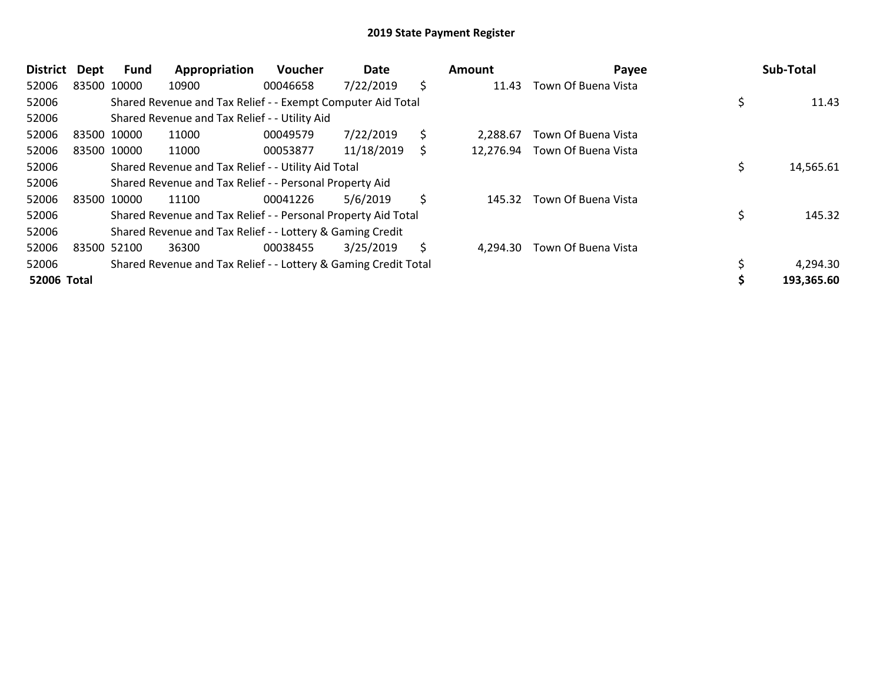| <b>District</b> | <b>Dept</b> | Fund        | Appropriation                                                   | <b>Voucher</b> | Date       |    | Amount    | Payee               | Sub-Total    |
|-----------------|-------------|-------------|-----------------------------------------------------------------|----------------|------------|----|-----------|---------------------|--------------|
| 52006           |             | 83500 10000 | 10900                                                           | 00046658       | 7/22/2019  | \$ | 11.43     | Town Of Buena Vista |              |
| 52006           |             |             | Shared Revenue and Tax Relief - - Exempt Computer Aid Total     |                |            |    |           |                     | 11.43        |
| 52006           |             |             | Shared Revenue and Tax Relief - - Utility Aid                   |                |            |    |           |                     |              |
| 52006           |             | 83500 10000 | 11000                                                           | 00049579       | 7/22/2019  | \$ | 2.288.67  | Town Of Buena Vista |              |
| 52006           |             | 83500 10000 | 11000                                                           | 00053877       | 11/18/2019 | Ś  | 12,276.94 | Town Of Buena Vista |              |
| 52006           |             |             | Shared Revenue and Tax Relief - - Utility Aid Total             |                |            |    |           |                     | 14,565.61    |
| 52006           |             |             | Shared Revenue and Tax Relief - - Personal Property Aid         |                |            |    |           |                     |              |
| 52006           |             | 83500 10000 | 11100                                                           | 00041226       | 5/6/2019   | \$ | 145.32    | Town Of Buena Vista |              |
| 52006           |             |             | Shared Revenue and Tax Relief - - Personal Property Aid Total   |                |            |    |           |                     | \$<br>145.32 |
| 52006           |             |             | Shared Revenue and Tax Relief - - Lottery & Gaming Credit       |                |            |    |           |                     |              |
| 52006           |             | 83500 52100 | 36300                                                           | 00038455       | 3/25/2019  | S  | 4.294.30  | Town Of Buena Vista |              |
| 52006           |             |             | Shared Revenue and Tax Relief - - Lottery & Gaming Credit Total |                |            |    |           |                     | 4,294.30     |
| 52006 Total     |             |             |                                                                 |                |            |    |           |                     | 193,365.60   |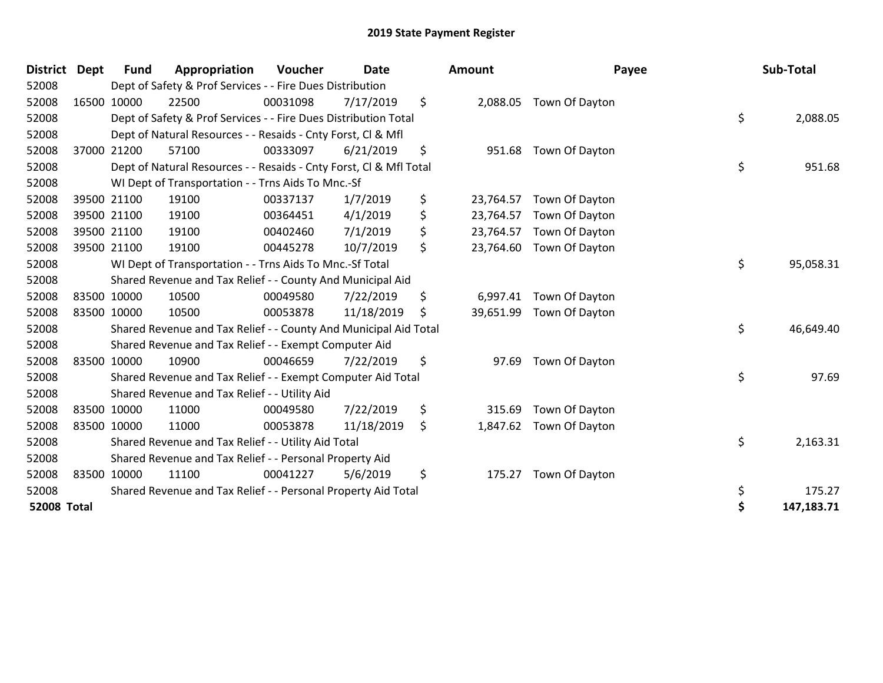| <b>District</b>    | <b>Dept</b> | <b>Fund</b> | Appropriation                                                      | Voucher  | <b>Date</b> | Amount          | Payee          | Sub-Total        |
|--------------------|-------------|-------------|--------------------------------------------------------------------|----------|-------------|-----------------|----------------|------------------|
| 52008              |             |             | Dept of Safety & Prof Services - - Fire Dues Distribution          |          |             |                 |                |                  |
| 52008              | 16500 10000 |             | 22500                                                              | 00031098 | 7/17/2019   | \$<br>2,088.05  | Town Of Dayton |                  |
| 52008              |             |             | Dept of Safety & Prof Services - - Fire Dues Distribution Total    |          |             |                 |                | \$<br>2,088.05   |
| 52008              |             |             | Dept of Natural Resources - - Resaids - Cnty Forst, CI & Mfl       |          |             |                 |                |                  |
| 52008              |             | 37000 21200 | 57100                                                              | 00333097 | 6/21/2019   | \$<br>951.68    | Town Of Dayton |                  |
| 52008              |             |             | Dept of Natural Resources - - Resaids - Cnty Forst, CI & Mfl Total |          |             |                 |                | \$<br>951.68     |
| 52008              |             |             | WI Dept of Transportation - - Trns Aids To Mnc.-Sf                 |          |             |                 |                |                  |
| 52008              |             | 39500 21100 | 19100                                                              | 00337137 | 1/7/2019    | \$<br>23,764.57 | Town Of Dayton |                  |
| 52008              | 39500 21100 |             | 19100                                                              | 00364451 | 4/1/2019    | \$<br>23,764.57 | Town Of Dayton |                  |
| 52008              |             | 39500 21100 | 19100                                                              | 00402460 | 7/1/2019    | \$<br>23,764.57 | Town Of Dayton |                  |
| 52008              | 39500 21100 |             | 19100                                                              | 00445278 | 10/7/2019   | \$<br>23,764.60 | Town Of Dayton |                  |
| 52008              |             |             | WI Dept of Transportation - - Trns Aids To Mnc.-Sf Total           |          |             |                 |                | \$<br>95,058.31  |
| 52008              |             |             | Shared Revenue and Tax Relief - - County And Municipal Aid         |          |             |                 |                |                  |
| 52008              | 83500 10000 |             | 10500                                                              | 00049580 | 7/22/2019   | \$<br>6,997.41  | Town Of Dayton |                  |
| 52008              | 83500 10000 |             | 10500                                                              | 00053878 | 11/18/2019  | \$<br>39,651.99 | Town Of Dayton |                  |
| 52008              |             |             | Shared Revenue and Tax Relief - - County And Municipal Aid Total   |          |             |                 |                | \$<br>46,649.40  |
| 52008              |             |             | Shared Revenue and Tax Relief - - Exempt Computer Aid              |          |             |                 |                |                  |
| 52008              | 83500 10000 |             | 10900                                                              | 00046659 | 7/22/2019   | \$<br>97.69     | Town Of Dayton |                  |
| 52008              |             |             | Shared Revenue and Tax Relief - - Exempt Computer Aid Total        |          |             |                 |                | \$<br>97.69      |
| 52008              |             |             | Shared Revenue and Tax Relief - - Utility Aid                      |          |             |                 |                |                  |
| 52008              | 83500 10000 |             | 11000                                                              | 00049580 | 7/22/2019   | \$<br>315.69    | Town Of Dayton |                  |
| 52008              | 83500 10000 |             | 11000                                                              | 00053878 | 11/18/2019  | \$<br>1,847.62  | Town Of Dayton |                  |
| 52008              |             |             | Shared Revenue and Tax Relief - - Utility Aid Total                |          |             |                 |                | \$<br>2,163.31   |
| 52008              |             |             | Shared Revenue and Tax Relief - - Personal Property Aid            |          |             |                 |                |                  |
| 52008              | 83500 10000 |             | 11100                                                              | 00041227 | 5/6/2019    | \$<br>175.27    | Town Of Dayton |                  |
| 52008              |             |             | Shared Revenue and Tax Relief - - Personal Property Aid Total      |          |             |                 |                | \$<br>175.27     |
| <b>52008 Total</b> |             |             |                                                                    |          |             |                 |                | \$<br>147,183.71 |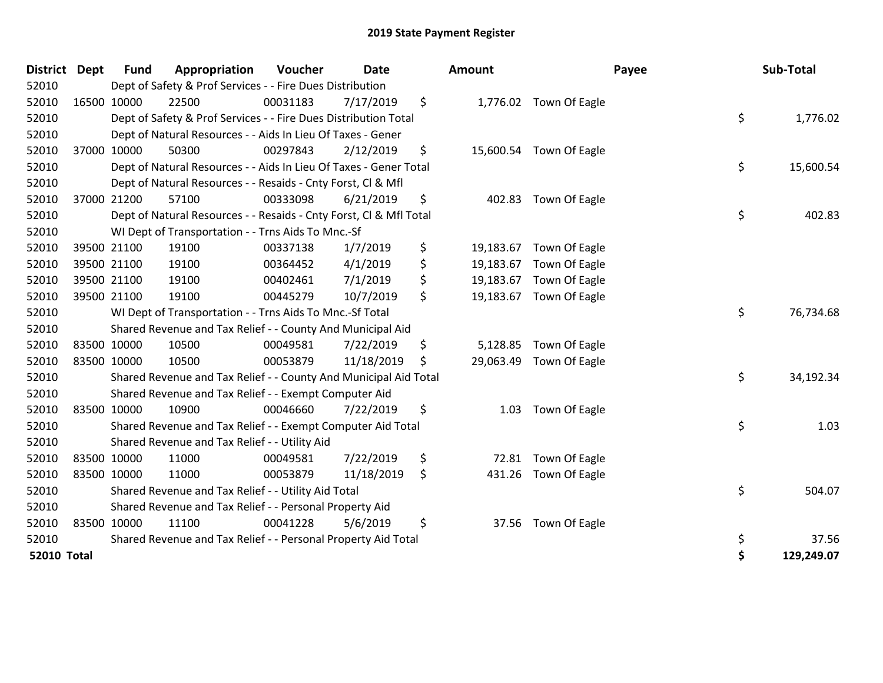| <b>District</b>    | <b>Dept</b> | <b>Fund</b> | Appropriation                                                      | Voucher  | Date       | <b>Amount</b>   |                         | Payee | Sub-Total  |
|--------------------|-------------|-------------|--------------------------------------------------------------------|----------|------------|-----------------|-------------------------|-------|------------|
| 52010              |             |             | Dept of Safety & Prof Services - - Fire Dues Distribution          |          |            |                 |                         |       |            |
| 52010              |             | 16500 10000 | 22500                                                              | 00031183 | 7/17/2019  | \$              | 1,776.02 Town Of Eagle  |       |            |
| 52010              |             |             | Dept of Safety & Prof Services - - Fire Dues Distribution Total    |          |            |                 |                         | \$    | 1,776.02   |
| 52010              |             |             | Dept of Natural Resources - - Aids In Lieu Of Taxes - Gener        |          |            |                 |                         |       |            |
| 52010              |             | 37000 10000 | 50300                                                              | 00297843 | 2/12/2019  | \$              | 15,600.54 Town Of Eagle |       |            |
| 52010              |             |             | Dept of Natural Resources - - Aids In Lieu Of Taxes - Gener Total  |          |            |                 |                         | \$    | 15,600.54  |
| 52010              |             |             | Dept of Natural Resources - - Resaids - Cnty Forst, CI & Mfl       |          |            |                 |                         |       |            |
| 52010              |             | 37000 21200 | 57100                                                              | 00333098 | 6/21/2019  | \$<br>402.83    | Town Of Eagle           |       |            |
| 52010              |             |             | Dept of Natural Resources - - Resaids - Cnty Forst, Cl & Mfl Total |          |            |                 |                         | \$    | 402.83     |
| 52010              |             |             | WI Dept of Transportation - - Trns Aids To Mnc.-Sf                 |          |            |                 |                         |       |            |
| 52010              |             | 39500 21100 | 19100                                                              | 00337138 | 1/7/2019   | \$<br>19,183.67 | Town Of Eagle           |       |            |
| 52010              |             | 39500 21100 | 19100                                                              | 00364452 | 4/1/2019   | \$<br>19,183.67 | Town Of Eagle           |       |            |
| 52010              |             | 39500 21100 | 19100                                                              | 00402461 | 7/1/2019   | \$<br>19,183.67 | Town Of Eagle           |       |            |
| 52010              |             | 39500 21100 | 19100                                                              | 00445279 | 10/7/2019  | \$              | 19,183.67 Town Of Eagle |       |            |
| 52010              |             |             | WI Dept of Transportation - - Trns Aids To Mnc.-Sf Total           |          |            |                 |                         | \$    | 76,734.68  |
| 52010              |             |             | Shared Revenue and Tax Relief - - County And Municipal Aid         |          |            |                 |                         |       |            |
| 52010              |             | 83500 10000 | 10500                                                              | 00049581 | 7/22/2019  | \$<br>5,128.85  | Town Of Eagle           |       |            |
| 52010              |             | 83500 10000 | 10500                                                              | 00053879 | 11/18/2019 | \$<br>29,063.49 | Town Of Eagle           |       |            |
| 52010              |             |             | Shared Revenue and Tax Relief - - County And Municipal Aid Total   |          |            |                 |                         | \$    | 34,192.34  |
| 52010              |             |             | Shared Revenue and Tax Relief - - Exempt Computer Aid              |          |            |                 |                         |       |            |
| 52010              |             | 83500 10000 | 10900                                                              | 00046660 | 7/22/2019  | \$<br>1.03      | Town Of Eagle           |       |            |
| 52010              |             |             | Shared Revenue and Tax Relief - - Exempt Computer Aid Total        |          |            |                 |                         | \$    | 1.03       |
| 52010              |             |             | Shared Revenue and Tax Relief - - Utility Aid                      |          |            |                 |                         |       |            |
| 52010              |             | 83500 10000 | 11000                                                              | 00049581 | 7/22/2019  | \$<br>72.81     | Town Of Eagle           |       |            |
| 52010              |             | 83500 10000 | 11000                                                              | 00053879 | 11/18/2019 | \$<br>431.26    | Town Of Eagle           |       |            |
| 52010              |             |             | Shared Revenue and Tax Relief - - Utility Aid Total                |          |            |                 |                         | \$    | 504.07     |
| 52010              |             |             | Shared Revenue and Tax Relief - - Personal Property Aid            |          |            |                 |                         |       |            |
| 52010              |             | 83500 10000 | 11100                                                              | 00041228 | 5/6/2019   | \$<br>37.56     | Town Of Eagle           |       |            |
| 52010              |             |             | Shared Revenue and Tax Relief - - Personal Property Aid Total      |          |            |                 |                         | \$    | 37.56      |
| <b>52010 Total</b> |             |             |                                                                    |          |            |                 |                         | \$    | 129,249.07 |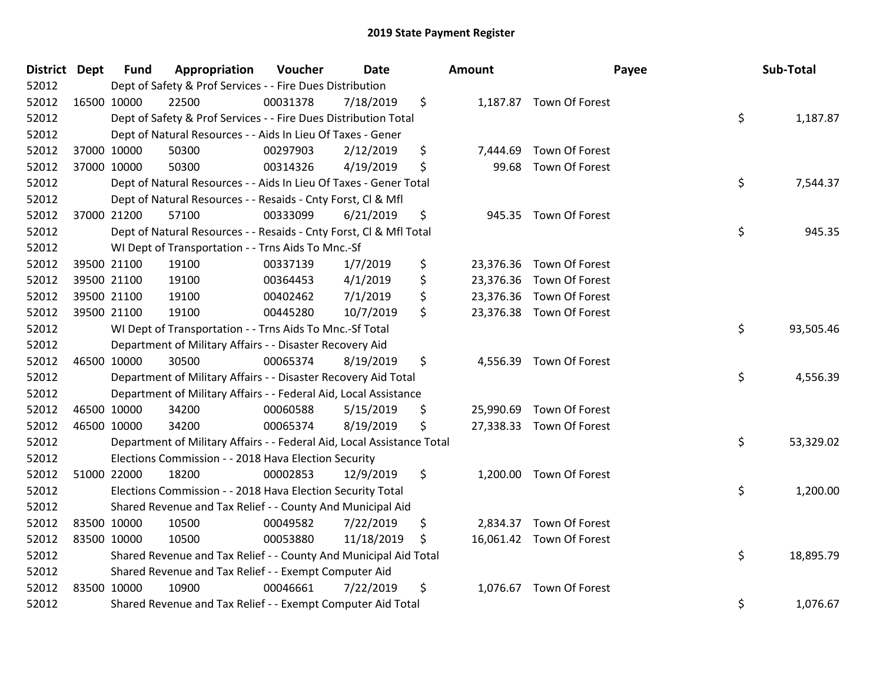| District Dept |             | <b>Fund</b> | Appropriation                                                          | Voucher  | <b>Date</b> | Amount         |                          | Payee | Sub-Total |
|---------------|-------------|-------------|------------------------------------------------------------------------|----------|-------------|----------------|--------------------------|-------|-----------|
| 52012         |             |             | Dept of Safety & Prof Services - - Fire Dues Distribution              |          |             |                |                          |       |           |
| 52012         | 16500 10000 |             | 22500                                                                  | 00031378 | 7/18/2019   | \$             | 1,187.87 Town Of Forest  |       |           |
| 52012         |             |             | Dept of Safety & Prof Services - - Fire Dues Distribution Total        |          |             |                |                          | \$    | 1,187.87  |
| 52012         |             |             | Dept of Natural Resources - - Aids In Lieu Of Taxes - Gener            |          |             |                |                          |       |           |
| 52012         |             | 37000 10000 | 50300                                                                  | 00297903 | 2/12/2019   | \$<br>7,444.69 | Town Of Forest           |       |           |
| 52012         |             | 37000 10000 | 50300                                                                  | 00314326 | 4/19/2019   | \$<br>99.68    | Town Of Forest           |       |           |
| 52012         |             |             | Dept of Natural Resources - - Aids In Lieu Of Taxes - Gener Total      |          |             |                |                          | \$    | 7,544.37  |
| 52012         |             |             | Dept of Natural Resources - - Resaids - Cnty Forst, Cl & Mfl           |          |             |                |                          |       |           |
| 52012         | 37000 21200 |             | 57100                                                                  | 00333099 | 6/21/2019   | \$             | 945.35 Town Of Forest    |       |           |
| 52012         |             |             | Dept of Natural Resources - - Resaids - Cnty Forst, Cl & Mfl Total     |          |             |                |                          | \$    | 945.35    |
| 52012         |             |             | WI Dept of Transportation - - Trns Aids To Mnc.-Sf                     |          |             |                |                          |       |           |
| 52012         |             | 39500 21100 | 19100                                                                  | 00337139 | 1/7/2019    | \$             | 23,376.36 Town Of Forest |       |           |
| 52012         | 39500 21100 |             | 19100                                                                  | 00364453 | 4/1/2019    | \$             | 23,376.36 Town Of Forest |       |           |
| 52012         |             | 39500 21100 | 19100                                                                  | 00402462 | 7/1/2019    | \$             | 23,376.36 Town Of Forest |       |           |
| 52012         |             | 39500 21100 | 19100                                                                  | 00445280 | 10/7/2019   | \$             | 23,376.38 Town Of Forest |       |           |
| 52012         |             |             | WI Dept of Transportation - - Trns Aids To Mnc.-Sf Total               |          |             |                |                          | \$    | 93,505.46 |
| 52012         |             |             | Department of Military Affairs - - Disaster Recovery Aid               |          |             |                |                          |       |           |
| 52012         | 46500 10000 |             | 30500                                                                  | 00065374 | 8/19/2019   | \$             | 4,556.39 Town Of Forest  |       |           |
| 52012         |             |             | Department of Military Affairs - - Disaster Recovery Aid Total         |          |             |                |                          | \$    | 4,556.39  |
| 52012         |             |             | Department of Military Affairs - - Federal Aid, Local Assistance       |          |             |                |                          |       |           |
| 52012         |             | 46500 10000 | 34200                                                                  | 00060588 | 5/15/2019   | \$             | 25,990.69 Town Of Forest |       |           |
| 52012         | 46500 10000 |             | 34200                                                                  | 00065374 | 8/19/2019   | \$             | 27,338.33 Town Of Forest |       |           |
| 52012         |             |             | Department of Military Affairs - - Federal Aid, Local Assistance Total |          |             |                |                          | \$    | 53,329.02 |
| 52012         |             |             | Elections Commission - - 2018 Hava Election Security                   |          |             |                |                          |       |           |
| 52012         | 51000 22000 |             | 18200                                                                  | 00002853 | 12/9/2019   | \$             | 1,200.00 Town Of Forest  |       |           |
| 52012         |             |             | Elections Commission - - 2018 Hava Election Security Total             |          |             |                |                          | \$    | 1,200.00  |
| 52012         |             |             | Shared Revenue and Tax Relief - - County And Municipal Aid             |          |             |                |                          |       |           |
| 52012         | 83500 10000 |             | 10500                                                                  | 00049582 | 7/22/2019   | \$             | 2,834.37 Town Of Forest  |       |           |
| 52012         | 83500 10000 |             | 10500                                                                  | 00053880 | 11/18/2019  | \$             | 16,061.42 Town Of Forest |       |           |
| 52012         |             |             | Shared Revenue and Tax Relief - - County And Municipal Aid Total       |          |             |                |                          | \$    | 18,895.79 |
| 52012         |             |             | Shared Revenue and Tax Relief - - Exempt Computer Aid                  |          |             |                |                          |       |           |
| 52012         | 83500 10000 |             | 10900                                                                  | 00046661 | 7/22/2019   | \$             | 1,076.67 Town Of Forest  |       |           |
| 52012         |             |             | Shared Revenue and Tax Relief - - Exempt Computer Aid Total            |          |             |                |                          | \$    | 1,076.67  |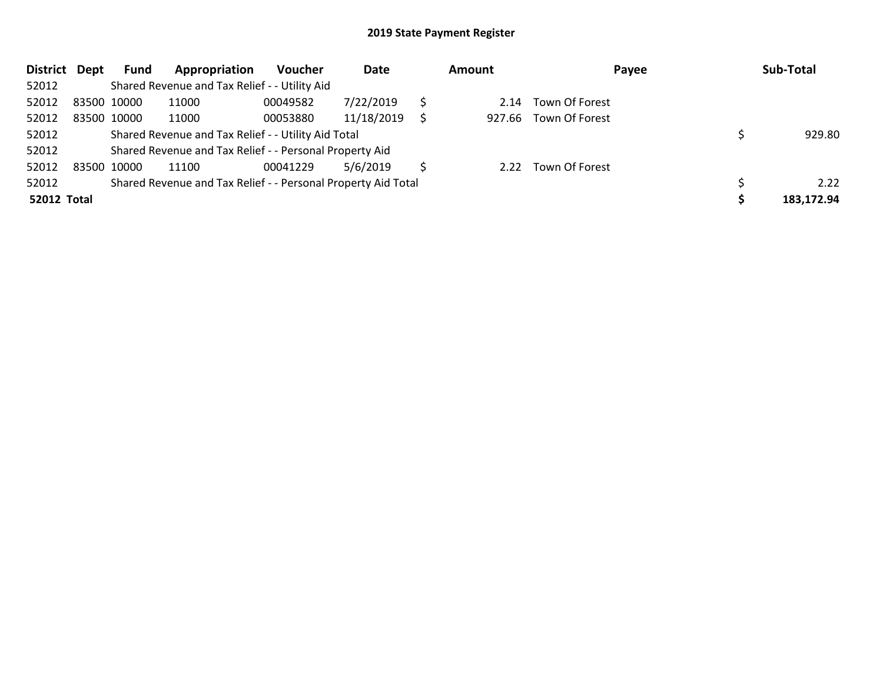| <b>District</b>    | Dept | Fund        | Appropriation                                                 | <b>Voucher</b> | Date       |   | <b>Amount</b> | Payee                 | Sub-Total  |
|--------------------|------|-------------|---------------------------------------------------------------|----------------|------------|---|---------------|-----------------------|------------|
| 52012              |      |             | Shared Revenue and Tax Relief - - Utility Aid                 |                |            |   |               |                       |            |
| 52012              |      | 83500 10000 | 11000                                                         | 00049582       | 7/22/2019  |   | 2.14          | Town Of Forest        |            |
| 52012              |      | 83500 10000 | 11000                                                         | 00053880       | 11/18/2019 | S |               | 927.66 Town Of Forest |            |
| 52012              |      |             | Shared Revenue and Tax Relief - - Utility Aid Total           |                |            |   |               |                       | 929.80     |
| 52012              |      |             | Shared Revenue and Tax Relief - - Personal Property Aid       |                |            |   |               |                       |            |
| 52012              |      | 83500 10000 | 11100                                                         | 00041229       | 5/6/2019   |   | 2.22          | Town Of Forest        |            |
| 52012              |      |             | Shared Revenue and Tax Relief - - Personal Property Aid Total |                |            |   |               |                       | 2.22       |
| <b>52012 Total</b> |      |             |                                                               |                |            |   |               |                       | 183,172.94 |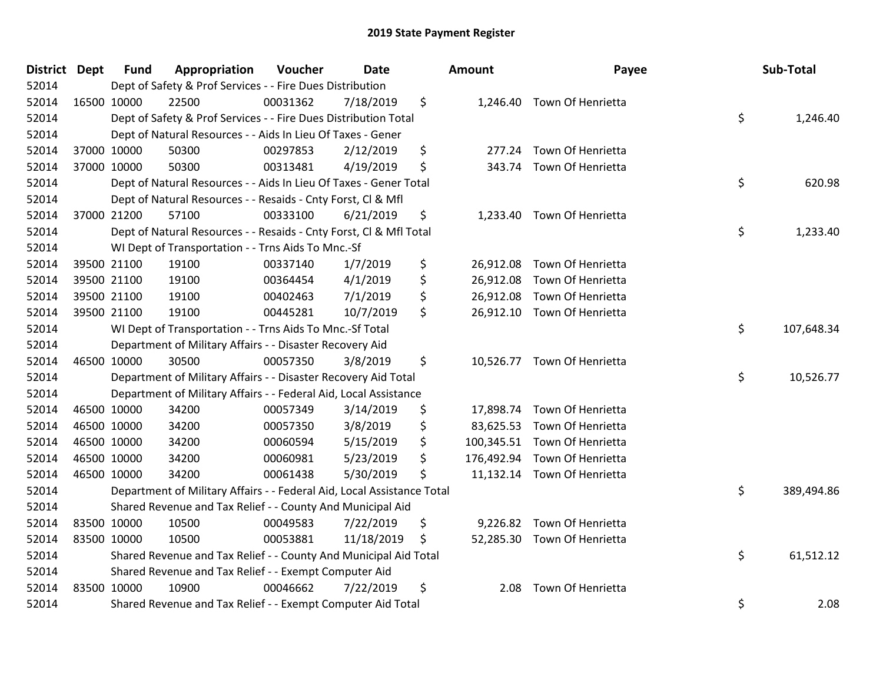| District Dept | <b>Fund</b> | Appropriation                                                          | Voucher  | <b>Date</b> |     | Amount | Payee                        | Sub-Total        |
|---------------|-------------|------------------------------------------------------------------------|----------|-------------|-----|--------|------------------------------|------------------|
| 52014         |             | Dept of Safety & Prof Services - - Fire Dues Distribution              |          |             |     |        |                              |                  |
| 52014         | 16500 10000 | 22500                                                                  | 00031362 | 7/18/2019   | \$  |        | 1,246.40 Town Of Henrietta   |                  |
| 52014         |             | Dept of Safety & Prof Services - - Fire Dues Distribution Total        |          |             |     |        |                              | \$<br>1,246.40   |
| 52014         |             | Dept of Natural Resources - - Aids In Lieu Of Taxes - Gener            |          |             |     |        |                              |                  |
| 52014         | 37000 10000 | 50300                                                                  | 00297853 | 2/12/2019   | \$  | 277.24 | Town Of Henrietta            |                  |
| 52014         | 37000 10000 | 50300                                                                  | 00313481 | 4/19/2019   | \$  | 343.74 | Town Of Henrietta            |                  |
| 52014         |             | Dept of Natural Resources - - Aids In Lieu Of Taxes - Gener Total      |          |             |     |        |                              | \$<br>620.98     |
| 52014         |             | Dept of Natural Resources - - Resaids - Cnty Forst, Cl & Mfl           |          |             |     |        |                              |                  |
| 52014         | 37000 21200 | 57100                                                                  | 00333100 | 6/21/2019   | \$  |        | 1,233.40 Town Of Henrietta   |                  |
| 52014         |             | Dept of Natural Resources - - Resaids - Cnty Forst, CI & Mfl Total     |          |             |     |        |                              | \$<br>1,233.40   |
| 52014         |             | WI Dept of Transportation - - Trns Aids To Mnc.-Sf                     |          |             |     |        |                              |                  |
| 52014         | 39500 21100 | 19100                                                                  | 00337140 | 1/7/2019    | \$  |        | 26,912.08 Town Of Henrietta  |                  |
| 52014         | 39500 21100 | 19100                                                                  | 00364454 | 4/1/2019    | \$  |        | 26,912.08 Town Of Henrietta  |                  |
| 52014         | 39500 21100 | 19100                                                                  | 00402463 | 7/1/2019    | \$  |        | 26,912.08 Town Of Henrietta  |                  |
| 52014         | 39500 21100 | 19100                                                                  | 00445281 | 10/7/2019   | \$  |        | 26,912.10 Town Of Henrietta  |                  |
| 52014         |             | WI Dept of Transportation - - Trns Aids To Mnc.-Sf Total               |          |             |     |        |                              | \$<br>107,648.34 |
| 52014         |             | Department of Military Affairs - - Disaster Recovery Aid               |          |             |     |        |                              |                  |
| 52014         | 46500 10000 | 30500                                                                  | 00057350 | 3/8/2019    | \$  |        | 10,526.77 Town Of Henrietta  |                  |
| 52014         |             | Department of Military Affairs - - Disaster Recovery Aid Total         |          |             |     |        |                              | \$<br>10,526.77  |
| 52014         |             | Department of Military Affairs - - Federal Aid, Local Assistance       |          |             |     |        |                              |                  |
| 52014         | 46500 10000 | 34200                                                                  | 00057349 | 3/14/2019   | \$  |        | 17,898.74 Town Of Henrietta  |                  |
| 52014         | 46500 10000 | 34200                                                                  | 00057350 | 3/8/2019    | \$  |        | 83,625.53 Town Of Henrietta  |                  |
| 52014         | 46500 10000 | 34200                                                                  | 00060594 | 5/15/2019   | \$  |        | 100,345.51 Town Of Henrietta |                  |
| 52014         | 46500 10000 | 34200                                                                  | 00060981 | 5/23/2019   | \$  |        | 176,492.94 Town Of Henrietta |                  |
| 52014         | 46500 10000 | 34200                                                                  | 00061438 | 5/30/2019   | \$  |        | 11,132.14 Town Of Henrietta  |                  |
| 52014         |             | Department of Military Affairs - - Federal Aid, Local Assistance Total |          |             |     |        |                              | \$<br>389,494.86 |
| 52014         |             | Shared Revenue and Tax Relief - - County And Municipal Aid             |          |             |     |        |                              |                  |
| 52014         | 83500 10000 | 10500                                                                  | 00049583 | 7/22/2019   | \$  |        | 9,226.82 Town Of Henrietta   |                  |
| 52014         | 83500 10000 | 10500                                                                  | 00053881 | 11/18/2019  | \$. |        | 52,285.30 Town Of Henrietta  |                  |
| 52014         |             | Shared Revenue and Tax Relief - - County And Municipal Aid Total       |          |             |     |        |                              | \$<br>61,512.12  |
| 52014         |             | Shared Revenue and Tax Relief - - Exempt Computer Aid                  |          |             |     |        |                              |                  |
| 52014         | 83500 10000 | 10900                                                                  | 00046662 | 7/22/2019   | \$  | 2.08   | Town Of Henrietta            |                  |
| 52014         |             | Shared Revenue and Tax Relief - - Exempt Computer Aid Total            |          |             |     |        |                              | \$<br>2.08       |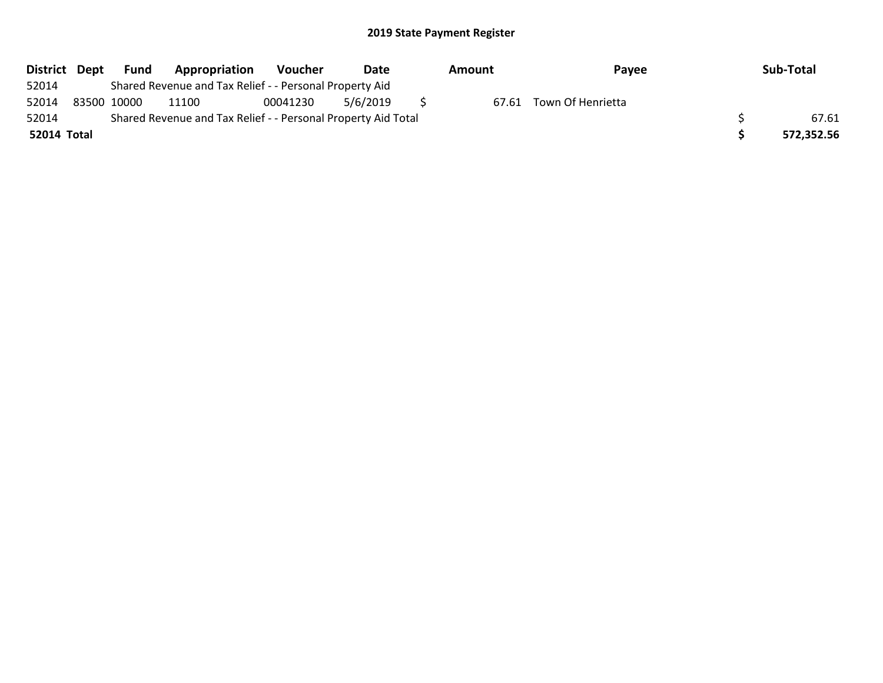| District Dept |             | Fund | Appropriation                                                 | Voucher  | Date     | Amount | Payee                   | Sub-Total  |
|---------------|-------------|------|---------------------------------------------------------------|----------|----------|--------|-------------------------|------------|
| 52014         |             |      | Shared Revenue and Tax Relief - - Personal Property Aid       |          |          |        |                         |            |
| 52014         | 83500 10000 |      | 11100                                                         | 00041230 | 5/6/2019 |        | 67.61 Town Of Henrietta |            |
| 52014         |             |      | Shared Revenue and Tax Relief - - Personal Property Aid Total |          |          |        |                         | 67.61      |
| 52014 Total   |             |      |                                                               |          |          |        |                         | 572,352.56 |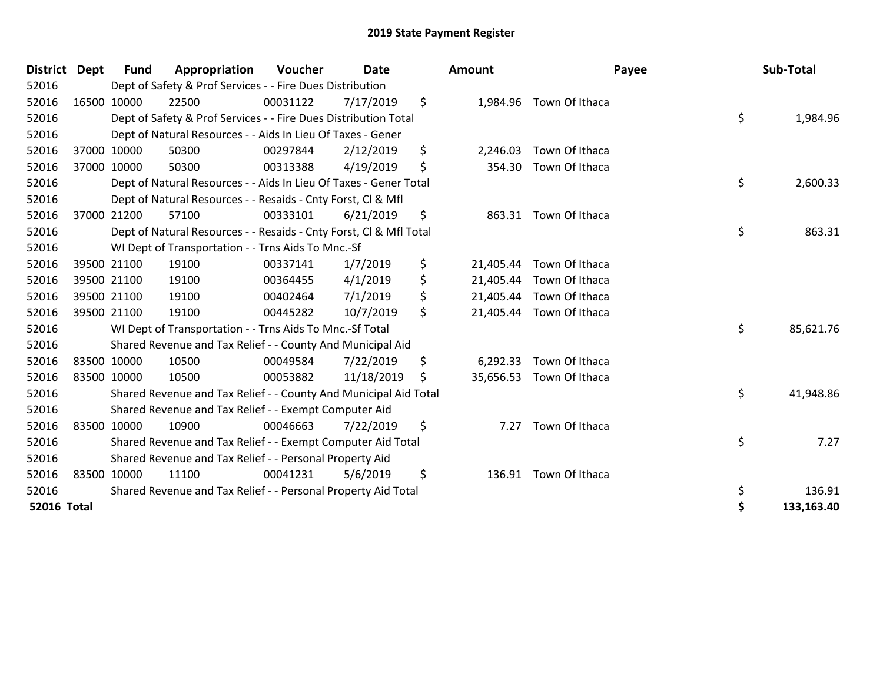| <b>District</b>    | <b>Dept</b> | <b>Fund</b> | Appropriation                                                      | Voucher  | <b>Date</b> | <b>Amount</b>  |                          | Payee | Sub-Total  |
|--------------------|-------------|-------------|--------------------------------------------------------------------|----------|-------------|----------------|--------------------------|-------|------------|
| 52016              |             |             | Dept of Safety & Prof Services - - Fire Dues Distribution          |          |             |                |                          |       |            |
| 52016              | 16500 10000 |             | 22500                                                              | 00031122 | 7/17/2019   | \$             | 1,984.96 Town Of Ithaca  |       |            |
| 52016              |             |             | Dept of Safety & Prof Services - - Fire Dues Distribution Total    |          |             |                |                          | \$    | 1,984.96   |
| 52016              |             |             | Dept of Natural Resources - - Aids In Lieu Of Taxes - Gener        |          |             |                |                          |       |            |
| 52016              |             | 37000 10000 | 50300                                                              | 00297844 | 2/12/2019   | \$<br>2,246.03 | Town Of Ithaca           |       |            |
| 52016              |             | 37000 10000 | 50300                                                              | 00313388 | 4/19/2019   | \$<br>354.30   | Town Of Ithaca           |       |            |
| 52016              |             |             | Dept of Natural Resources - - Aids In Lieu Of Taxes - Gener Total  |          |             |                |                          | \$    | 2,600.33   |
| 52016              |             |             | Dept of Natural Resources - - Resaids - Cnty Forst, CI & Mfl       |          |             |                |                          |       |            |
| 52016              |             | 37000 21200 | 57100                                                              | 00333101 | 6/21/2019   | \$             | 863.31 Town Of Ithaca    |       |            |
| 52016              |             |             | Dept of Natural Resources - - Resaids - Cnty Forst, CI & Mfl Total |          |             |                |                          | \$    | 863.31     |
| 52016              |             |             | WI Dept of Transportation - - Trns Aids To Mnc.-Sf                 |          |             |                |                          |       |            |
| 52016              |             | 39500 21100 | 19100                                                              | 00337141 | 1/7/2019    | \$             | 21,405.44 Town Of Ithaca |       |            |
| 52016              | 39500 21100 |             | 19100                                                              | 00364455 | 4/1/2019    | \$             | 21,405.44 Town Of Ithaca |       |            |
| 52016              |             | 39500 21100 | 19100                                                              | 00402464 | 7/1/2019    | \$             | 21,405.44 Town Of Ithaca |       |            |
| 52016              | 39500 21100 |             | 19100                                                              | 00445282 | 10/7/2019   | \$             | 21,405.44 Town Of Ithaca |       |            |
| 52016              |             |             | WI Dept of Transportation - - Trns Aids To Mnc.-Sf Total           |          |             |                |                          | \$    | 85,621.76  |
| 52016              |             |             | Shared Revenue and Tax Relief - - County And Municipal Aid         |          |             |                |                          |       |            |
| 52016              | 83500 10000 |             | 10500                                                              | 00049584 | 7/22/2019   | \$<br>6,292.33 | Town Of Ithaca           |       |            |
| 52016              | 83500 10000 |             | 10500                                                              | 00053882 | 11/18/2019  | \$             | 35,656.53 Town Of Ithaca |       |            |
| 52016              |             |             | Shared Revenue and Tax Relief - - County And Municipal Aid Total   |          |             |                |                          | \$    | 41,948.86  |
| 52016              |             |             | Shared Revenue and Tax Relief - - Exempt Computer Aid              |          |             |                |                          |       |            |
| 52016              | 83500 10000 |             | 10900                                                              | 00046663 | 7/22/2019   | \$<br>7.27     | Town Of Ithaca           |       |            |
| 52016              |             |             | Shared Revenue and Tax Relief - - Exempt Computer Aid Total        |          |             |                |                          | \$    | 7.27       |
| 52016              |             |             | Shared Revenue and Tax Relief - - Personal Property Aid            |          |             |                |                          |       |            |
| 52016              | 83500 10000 |             | 11100                                                              | 00041231 | 5/6/2019    | \$             | 136.91 Town Of Ithaca    |       |            |
| 52016              |             |             | Shared Revenue and Tax Relief - - Personal Property Aid Total      |          |             |                |                          | \$    | 136.91     |
| <b>52016 Total</b> |             |             |                                                                    |          |             |                |                          | \$    | 133,163.40 |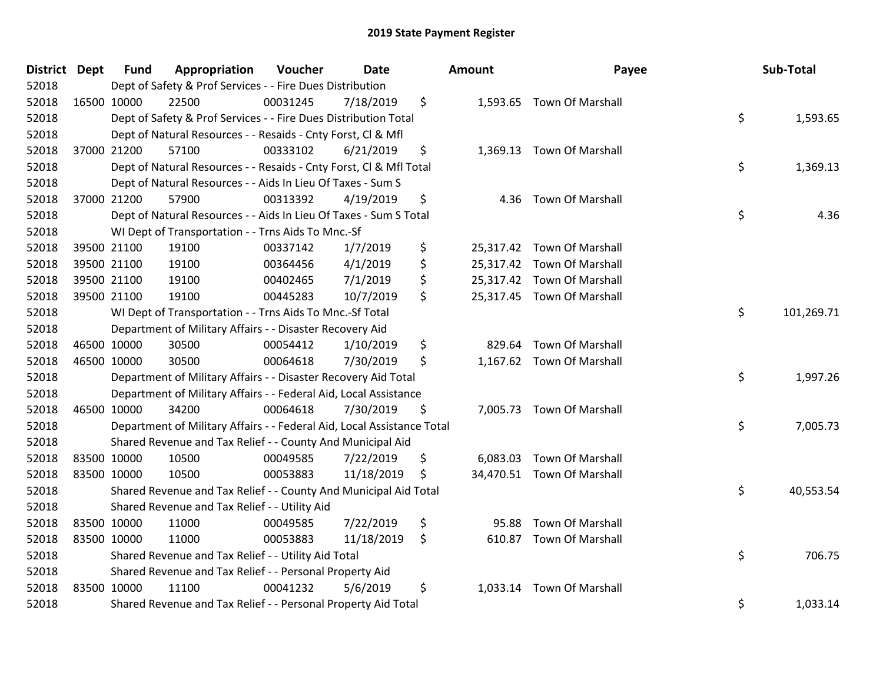| District Dept | <b>Fund</b> | Appropriation                                                          | Voucher  | <b>Date</b> | Amount         | Payee                      | Sub-Total        |
|---------------|-------------|------------------------------------------------------------------------|----------|-------------|----------------|----------------------------|------------------|
| 52018         |             | Dept of Safety & Prof Services - - Fire Dues Distribution              |          |             |                |                            |                  |
| 52018         | 16500 10000 | 22500                                                                  | 00031245 | 7/18/2019   | \$             | 1,593.65 Town Of Marshall  |                  |
| 52018         |             | Dept of Safety & Prof Services - - Fire Dues Distribution Total        |          |             |                |                            | \$<br>1,593.65   |
| 52018         |             | Dept of Natural Resources - - Resaids - Cnty Forst, Cl & Mfl           |          |             |                |                            |                  |
| 52018         | 37000 21200 | 57100                                                                  | 00333102 | 6/21/2019   | \$             | 1,369.13 Town Of Marshall  |                  |
| 52018         |             | Dept of Natural Resources - - Resaids - Cnty Forst, CI & Mfl Total     |          |             |                |                            | \$<br>1,369.13   |
| 52018         |             | Dept of Natural Resources - - Aids In Lieu Of Taxes - Sum S            |          |             |                |                            |                  |
| 52018         | 37000 21200 | 57900                                                                  | 00313392 | 4/19/2019   | \$<br>4.36     | <b>Town Of Marshall</b>    |                  |
| 52018         |             | Dept of Natural Resources - - Aids In Lieu Of Taxes - Sum S Total      |          |             |                |                            | \$<br>4.36       |
| 52018         |             | WI Dept of Transportation - - Trns Aids To Mnc.-Sf                     |          |             |                |                            |                  |
| 52018         | 39500 21100 | 19100                                                                  | 00337142 | 1/7/2019    | \$             | 25,317.42 Town Of Marshall |                  |
| 52018         | 39500 21100 | 19100                                                                  | 00364456 | 4/1/2019    | \$             | 25,317.42 Town Of Marshall |                  |
| 52018         | 39500 21100 | 19100                                                                  | 00402465 | 7/1/2019    | \$             | 25,317.42 Town Of Marshall |                  |
| 52018         | 39500 21100 | 19100                                                                  | 00445283 | 10/7/2019   | \$             | 25,317.45 Town Of Marshall |                  |
| 52018         |             | WI Dept of Transportation - - Trns Aids To Mnc.-Sf Total               |          |             |                |                            | \$<br>101,269.71 |
| 52018         |             | Department of Military Affairs - - Disaster Recovery Aid               |          |             |                |                            |                  |
| 52018         | 46500 10000 | 30500                                                                  | 00054412 | 1/10/2019   | \$<br>829.64   | <b>Town Of Marshall</b>    |                  |
| 52018         | 46500 10000 | 30500                                                                  | 00064618 | 7/30/2019   | \$             | 1,167.62 Town Of Marshall  |                  |
| 52018         |             | Department of Military Affairs - - Disaster Recovery Aid Total         |          |             |                |                            | \$<br>1,997.26   |
| 52018         |             | Department of Military Affairs - - Federal Aid, Local Assistance       |          |             |                |                            |                  |
| 52018         | 46500 10000 | 34200                                                                  | 00064618 | 7/30/2019   | \$             | 7,005.73 Town Of Marshall  |                  |
| 52018         |             | Department of Military Affairs - - Federal Aid, Local Assistance Total |          |             |                |                            | \$<br>7,005.73   |
| 52018         |             | Shared Revenue and Tax Relief - - County And Municipal Aid             |          |             |                |                            |                  |
| 52018         | 83500 10000 | 10500                                                                  | 00049585 | 7/22/2019   | \$             | 6,083.03 Town Of Marshall  |                  |
| 52018         | 83500 10000 | 10500                                                                  | 00053883 | 11/18/2019  | \$             | 34,470.51 Town Of Marshall |                  |
| 52018         |             | Shared Revenue and Tax Relief - - County And Municipal Aid Total       |          |             |                |                            | \$<br>40,553.54  |
| 52018         |             | Shared Revenue and Tax Relief - - Utility Aid                          |          |             |                |                            |                  |
| 52018         | 83500 10000 | 11000                                                                  | 00049585 | 7/22/2019   | \$<br>95.88    | <b>Town Of Marshall</b>    |                  |
| 52018         | 83500 10000 | 11000                                                                  | 00053883 | 11/18/2019  | \$             | 610.87 Town Of Marshall    |                  |
| 52018         |             | Shared Revenue and Tax Relief - - Utility Aid Total                    |          |             |                |                            | \$<br>706.75     |
| 52018         |             | Shared Revenue and Tax Relief - - Personal Property Aid                |          |             |                |                            |                  |
| 52018         | 83500 10000 | 11100                                                                  | 00041232 | 5/6/2019    | \$<br>1,033.14 | <b>Town Of Marshall</b>    |                  |
| 52018         |             | Shared Revenue and Tax Relief - - Personal Property Aid Total          |          |             |                |                            | \$<br>1,033.14   |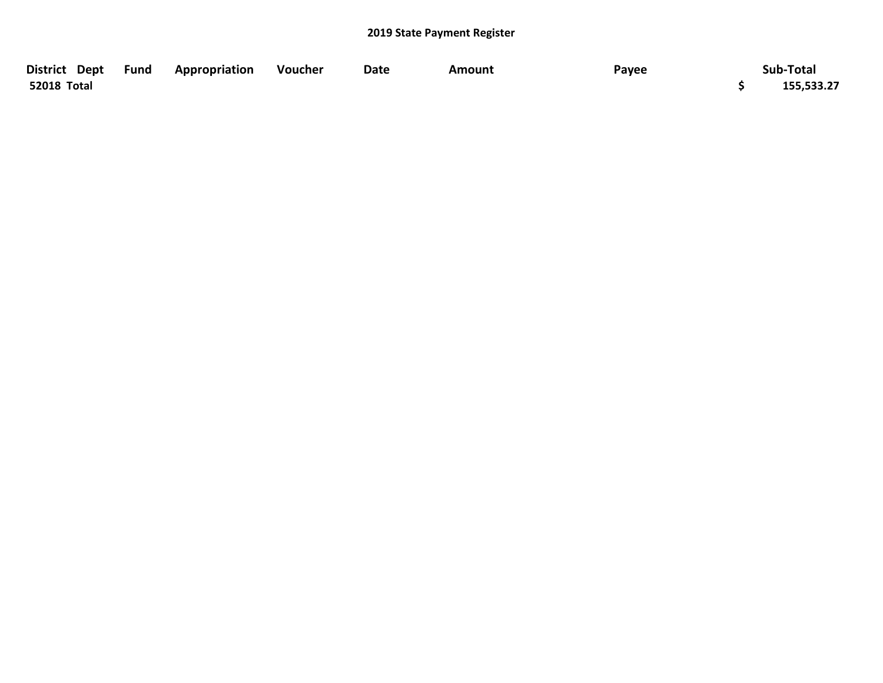| District Dept Fund | Appropriation | Voucher | <b>Date</b> | Amount | Payee | Sub-Total  |
|--------------------|---------------|---------|-------------|--------|-------|------------|
| 52018 Total        |               |         |             |        |       | 155,533.27 |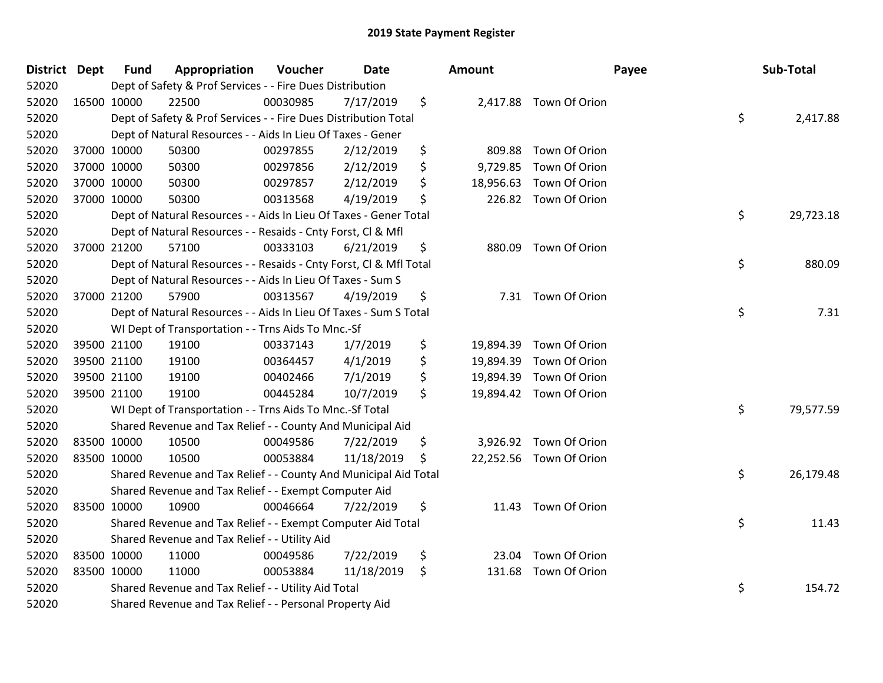| District Dept |             | <b>Fund</b> | Appropriation                                                      | Voucher  | Date       | Amount          |                         | Payee | Sub-Total |
|---------------|-------------|-------------|--------------------------------------------------------------------|----------|------------|-----------------|-------------------------|-------|-----------|
| 52020         |             |             | Dept of Safety & Prof Services - - Fire Dues Distribution          |          |            |                 |                         |       |           |
| 52020         | 16500 10000 |             | 22500                                                              | 00030985 | 7/17/2019  | \$              | 2,417.88 Town Of Orion  |       |           |
| 52020         |             |             | Dept of Safety & Prof Services - - Fire Dues Distribution Total    |          |            |                 |                         | \$    | 2,417.88  |
| 52020         |             |             | Dept of Natural Resources - - Aids In Lieu Of Taxes - Gener        |          |            |                 |                         |       |           |
| 52020         | 37000 10000 |             | 50300                                                              | 00297855 | 2/12/2019  | \$<br>809.88    | Town Of Orion           |       |           |
| 52020         |             | 37000 10000 | 50300                                                              | 00297856 | 2/12/2019  | \$<br>9,729.85  | Town Of Orion           |       |           |
| 52020         | 37000 10000 |             | 50300                                                              | 00297857 | 2/12/2019  | \$<br>18,956.63 | Town Of Orion           |       |           |
| 52020         | 37000 10000 |             | 50300                                                              | 00313568 | 4/19/2019  | \$              | 226.82 Town Of Orion    |       |           |
| 52020         |             |             | Dept of Natural Resources - - Aids In Lieu Of Taxes - Gener Total  |          |            |                 |                         | \$    | 29,723.18 |
| 52020         |             |             | Dept of Natural Resources - - Resaids - Cnty Forst, Cl & Mfl       |          |            |                 |                         |       |           |
| 52020         |             | 37000 21200 | 57100                                                              | 00333103 | 6/21/2019  | \$              | 880.09 Town Of Orion    |       |           |
| 52020         |             |             | Dept of Natural Resources - - Resaids - Cnty Forst, Cl & Mfl Total |          |            |                 |                         | \$    | 880.09    |
| 52020         |             |             | Dept of Natural Resources - - Aids In Lieu Of Taxes - Sum S        |          |            |                 |                         |       |           |
| 52020         | 37000 21200 |             | 57900                                                              | 00313567 | 4/19/2019  | \$<br>7.31      | Town Of Orion           |       |           |
| 52020         |             |             | Dept of Natural Resources - - Aids In Lieu Of Taxes - Sum S Total  |          |            |                 |                         | \$    | 7.31      |
| 52020         |             |             | WI Dept of Transportation - - Trns Aids To Mnc.-Sf                 |          |            |                 |                         |       |           |
| 52020         |             | 39500 21100 | 19100                                                              | 00337143 | 1/7/2019   | \$              | 19,894.39 Town Of Orion |       |           |
| 52020         | 39500 21100 |             | 19100                                                              | 00364457 | 4/1/2019   | \$<br>19,894.39 | Town Of Orion           |       |           |
| 52020         |             | 39500 21100 | 19100                                                              | 00402466 | 7/1/2019   | \$<br>19,894.39 | Town Of Orion           |       |           |
| 52020         | 39500 21100 |             | 19100                                                              | 00445284 | 10/7/2019  | \$              | 19,894.42 Town Of Orion |       |           |
| 52020         |             |             | WI Dept of Transportation - - Trns Aids To Mnc.-Sf Total           |          |            |                 |                         | \$    | 79,577.59 |
| 52020         |             |             | Shared Revenue and Tax Relief - - County And Municipal Aid         |          |            |                 |                         |       |           |
| 52020         | 83500 10000 |             | 10500                                                              | 00049586 | 7/22/2019  | \$              | 3,926.92 Town Of Orion  |       |           |
| 52020         | 83500 10000 |             | 10500                                                              | 00053884 | 11/18/2019 | \$              | 22,252.56 Town Of Orion |       |           |
| 52020         |             |             | Shared Revenue and Tax Relief - - County And Municipal Aid Total   |          |            |                 |                         | \$    | 26,179.48 |
| 52020         |             |             | Shared Revenue and Tax Relief - - Exempt Computer Aid              |          |            |                 |                         |       |           |
| 52020         | 83500 10000 |             | 10900                                                              | 00046664 | 7/22/2019  | \$              | 11.43 Town Of Orion     |       |           |
| 52020         |             |             | Shared Revenue and Tax Relief - - Exempt Computer Aid Total        |          |            |                 |                         | \$    | 11.43     |
| 52020         |             |             | Shared Revenue and Tax Relief - - Utility Aid                      |          |            |                 |                         |       |           |
| 52020         | 83500 10000 |             | 11000                                                              | 00049586 | 7/22/2019  | \$<br>23.04     | Town Of Orion           |       |           |
| 52020         | 83500 10000 |             | 11000                                                              | 00053884 | 11/18/2019 | \$<br>131.68    | Town Of Orion           |       |           |
| 52020         |             |             | Shared Revenue and Tax Relief - - Utility Aid Total                |          |            |                 |                         | \$    | 154.72    |
| 52020         |             |             | Shared Revenue and Tax Relief - - Personal Property Aid            |          |            |                 |                         |       |           |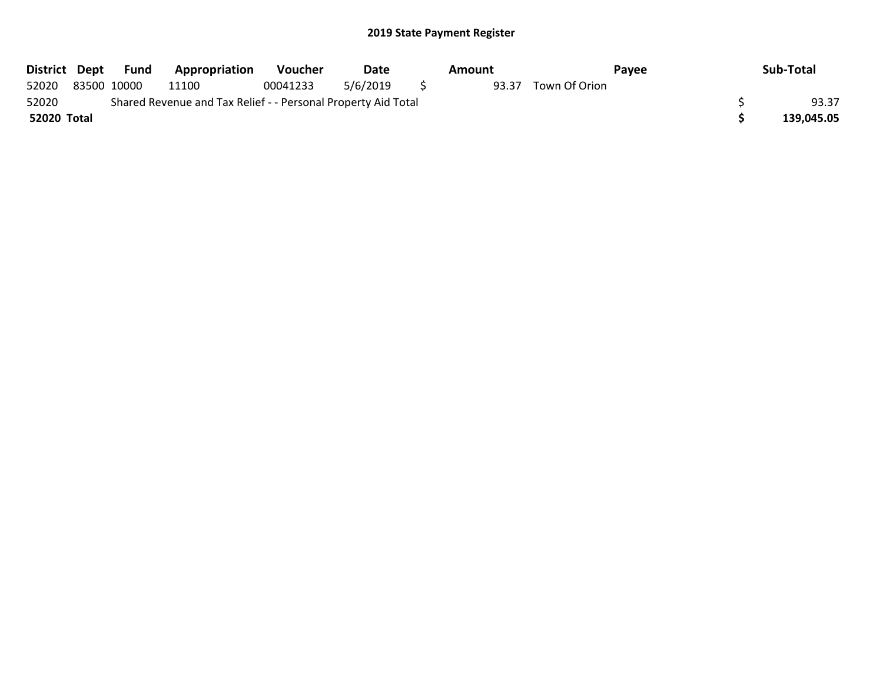| District Dept |             | Fund | <b>Appropriation</b>                                          | Voucher  | Date     | Amount |               | Pavee | Sub-Total  |
|---------------|-------------|------|---------------------------------------------------------------|----------|----------|--------|---------------|-------|------------|
| 52020         | 83500 10000 |      | 11100                                                         | 00041233 | 5/6/2019 | 93.37  | Town Of Orion |       |            |
| 52020         |             |      | Shared Revenue and Tax Relief - - Personal Property Aid Total |          |          |        |               |       | 93.37      |
| 52020 Total   |             |      |                                                               |          |          |        |               |       | 139.045.05 |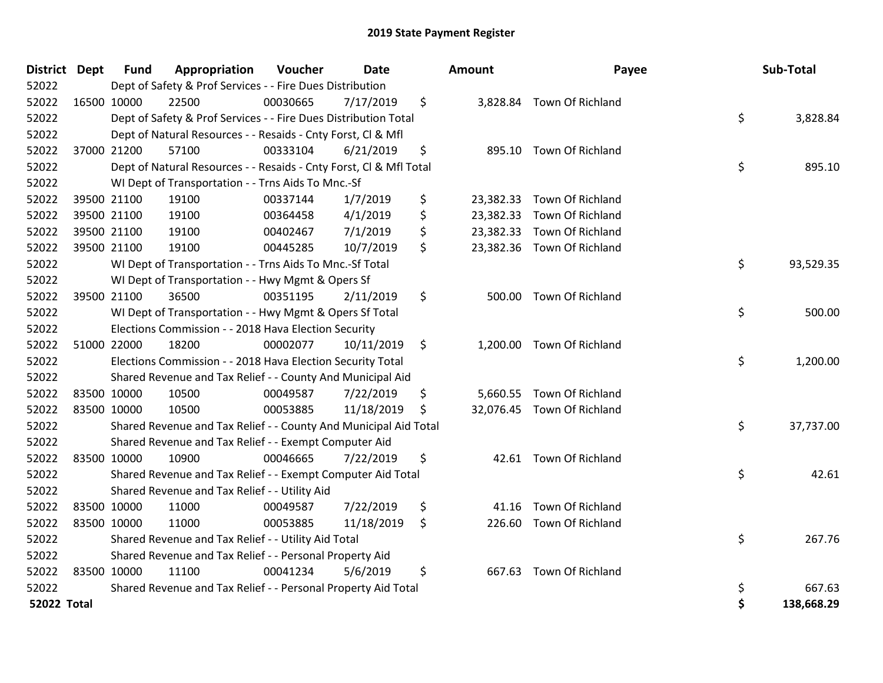| <b>District Dept</b> |             | Fund        | Appropriation                                                      | Voucher  | <b>Date</b> |    | <b>Amount</b> | Payee                      |    | Sub-Total  |
|----------------------|-------------|-------------|--------------------------------------------------------------------|----------|-------------|----|---------------|----------------------------|----|------------|
| 52022                |             |             | Dept of Safety & Prof Services - - Fire Dues Distribution          |          |             |    |               |                            |    |            |
| 52022                |             | 16500 10000 | 22500                                                              | 00030665 | 7/17/2019   | \$ |               | 3,828.84 Town Of Richland  |    |            |
| 52022                |             |             | Dept of Safety & Prof Services - - Fire Dues Distribution Total    |          |             |    |               |                            | \$ | 3,828.84   |
| 52022                |             |             | Dept of Natural Resources - - Resaids - Cnty Forst, CI & Mfl       |          |             |    |               |                            |    |            |
| 52022                |             | 37000 21200 | 57100                                                              | 00333104 | 6/21/2019   | \$ |               | 895.10 Town Of Richland    |    |            |
| 52022                |             |             | Dept of Natural Resources - - Resaids - Cnty Forst, CI & Mfl Total |          |             |    |               |                            | \$ | 895.10     |
| 52022                |             |             | WI Dept of Transportation - - Trns Aids To Mnc.-Sf                 |          |             |    |               |                            |    |            |
| 52022                |             | 39500 21100 | 19100                                                              | 00337144 | 1/7/2019    | \$ | 23,382.33     | Town Of Richland           |    |            |
| 52022                |             | 39500 21100 | 19100                                                              | 00364458 | 4/1/2019    | \$ | 23,382.33     | Town Of Richland           |    |            |
| 52022                |             | 39500 21100 | 19100                                                              | 00402467 | 7/1/2019    | \$ |               | 23,382.33 Town Of Richland |    |            |
| 52022                |             | 39500 21100 | 19100                                                              | 00445285 | 10/7/2019   | \$ |               | 23,382.36 Town Of Richland |    |            |
| 52022                |             |             | WI Dept of Transportation - - Trns Aids To Mnc.-Sf Total           |          |             |    |               |                            | \$ | 93,529.35  |
| 52022                |             |             | WI Dept of Transportation - - Hwy Mgmt & Opers Sf                  |          |             |    |               |                            |    |            |
| 52022                |             | 39500 21100 | 36500                                                              | 00351195 | 2/11/2019   | \$ | 500.00        | Town Of Richland           |    |            |
| 52022                |             |             | WI Dept of Transportation - - Hwy Mgmt & Opers Sf Total            |          |             |    |               |                            | \$ | 500.00     |
| 52022                |             |             | Elections Commission - - 2018 Hava Election Security               |          |             |    |               |                            |    |            |
| 52022                |             | 51000 22000 | 18200                                                              | 00002077 | 10/11/2019  | \$ |               | 1,200.00 Town Of Richland  |    |            |
| 52022                |             |             | Elections Commission - - 2018 Hava Election Security Total         |          |             |    |               |                            | \$ | 1,200.00   |
| 52022                |             |             | Shared Revenue and Tax Relief - - County And Municipal Aid         |          |             |    |               |                            |    |            |
| 52022                |             | 83500 10000 | 10500                                                              | 00049587 | 7/22/2019   | \$ |               | 5,660.55 Town Of Richland  |    |            |
| 52022                | 83500 10000 |             | 10500                                                              | 00053885 | 11/18/2019  | .S |               | 32,076.45 Town Of Richland |    |            |
| 52022                |             |             | Shared Revenue and Tax Relief - - County And Municipal Aid Total   |          |             |    |               |                            | \$ | 37,737.00  |
| 52022                |             |             | Shared Revenue and Tax Relief - - Exempt Computer Aid              |          |             |    |               |                            |    |            |
| 52022                |             | 83500 10000 | 10900                                                              | 00046665 | 7/22/2019   | \$ | 42.61         | Town Of Richland           |    |            |
| 52022                |             |             | Shared Revenue and Tax Relief - - Exempt Computer Aid Total        |          |             |    |               |                            | \$ | 42.61      |
| 52022                |             |             | Shared Revenue and Tax Relief - - Utility Aid                      |          |             |    |               |                            |    |            |
| 52022                |             | 83500 10000 | 11000                                                              | 00049587 | 7/22/2019   | \$ | 41.16         | Town Of Richland           |    |            |
| 52022                | 83500 10000 |             | 11000                                                              | 00053885 | 11/18/2019  | \$ |               | 226.60 Town Of Richland    |    |            |
| 52022                |             |             | Shared Revenue and Tax Relief - - Utility Aid Total                |          |             |    |               |                            | \$ | 267.76     |
| 52022                |             |             | Shared Revenue and Tax Relief - - Personal Property Aid            |          |             |    |               |                            |    |            |
| 52022                | 83500 10000 |             | 11100                                                              | 00041234 | 5/6/2019    | \$ | 667.63        | Town Of Richland           |    |            |
| 52022                |             |             | Shared Revenue and Tax Relief - - Personal Property Aid Total      |          |             |    |               |                            | \$ | 667.63     |
| <b>52022 Total</b>   |             |             |                                                                    |          |             |    |               |                            | Ś  | 138,668.29 |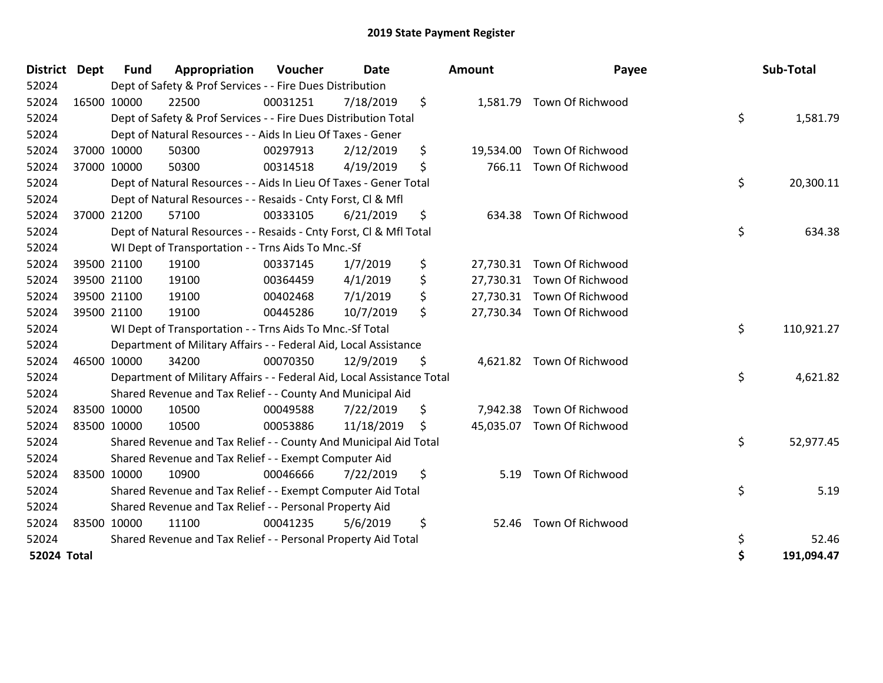| <b>District</b>    | <b>Dept</b> | Fund        | Appropriation                                                          | Voucher  | Date       | <b>Amount</b>   | Payee                      | Sub-Total        |
|--------------------|-------------|-------------|------------------------------------------------------------------------|----------|------------|-----------------|----------------------------|------------------|
| 52024              |             |             | Dept of Safety & Prof Services - - Fire Dues Distribution              |          |            |                 |                            |                  |
| 52024              |             | 16500 10000 | 22500                                                                  | 00031251 | 7/18/2019  | \$              | 1,581.79 Town Of Richwood  |                  |
| 52024              |             |             | Dept of Safety & Prof Services - - Fire Dues Distribution Total        |          |            |                 |                            | \$<br>1,581.79   |
| 52024              |             |             | Dept of Natural Resources - - Aids In Lieu Of Taxes - Gener            |          |            |                 |                            |                  |
| 52024              |             | 37000 10000 | 50300                                                                  | 00297913 | 2/12/2019  | \$<br>19,534.00 | Town Of Richwood           |                  |
| 52024              |             | 37000 10000 | 50300                                                                  | 00314518 | 4/19/2019  | \$<br>766.11    | Town Of Richwood           |                  |
| 52024              |             |             | Dept of Natural Resources - - Aids In Lieu Of Taxes - Gener Total      |          |            |                 |                            | \$<br>20,300.11  |
| 52024              |             |             | Dept of Natural Resources - - Resaids - Cnty Forst, Cl & Mfl           |          |            |                 |                            |                  |
| 52024              |             | 37000 21200 | 57100                                                                  | 00333105 | 6/21/2019  | \$<br>634.38    | Town Of Richwood           |                  |
| 52024              |             |             | Dept of Natural Resources - - Resaids - Cnty Forst, CI & Mfl Total     |          |            |                 |                            | \$<br>634.38     |
| 52024              |             |             | WI Dept of Transportation - - Trns Aids To Mnc.-Sf                     |          |            |                 |                            |                  |
| 52024              |             | 39500 21100 | 19100                                                                  | 00337145 | 1/7/2019   | \$              | 27,730.31 Town Of Richwood |                  |
| 52024              |             | 39500 21100 | 19100                                                                  | 00364459 | 4/1/2019   | \$              | 27,730.31 Town Of Richwood |                  |
| 52024              |             | 39500 21100 | 19100                                                                  | 00402468 | 7/1/2019   | \$              | 27,730.31 Town Of Richwood |                  |
| 52024              |             | 39500 21100 | 19100                                                                  | 00445286 | 10/7/2019  | \$              | 27,730.34 Town Of Richwood |                  |
| 52024              |             |             | WI Dept of Transportation - - Trns Aids To Mnc.-Sf Total               |          |            |                 |                            | \$<br>110,921.27 |
| 52024              |             |             | Department of Military Affairs - - Federal Aid, Local Assistance       |          |            |                 |                            |                  |
| 52024              |             | 46500 10000 | 34200                                                                  | 00070350 | 12/9/2019  | \$              | 4,621.82 Town Of Richwood  |                  |
| 52024              |             |             | Department of Military Affairs - - Federal Aid, Local Assistance Total |          |            |                 |                            | \$<br>4,621.82   |
| 52024              |             |             | Shared Revenue and Tax Relief - - County And Municipal Aid             |          |            |                 |                            |                  |
| 52024              |             | 83500 10000 | 10500                                                                  | 00049588 | 7/22/2019  | \$<br>7,942.38  | Town Of Richwood           |                  |
| 52024              |             | 83500 10000 | 10500                                                                  | 00053886 | 11/18/2019 | \$              | 45,035.07 Town Of Richwood |                  |
| 52024              |             |             | Shared Revenue and Tax Relief - - County And Municipal Aid Total       |          |            |                 |                            | \$<br>52,977.45  |
| 52024              |             |             | Shared Revenue and Tax Relief - - Exempt Computer Aid                  |          |            |                 |                            |                  |
| 52024              |             | 83500 10000 | 10900                                                                  | 00046666 | 7/22/2019  | \$<br>5.19      | Town Of Richwood           |                  |
| 52024              |             |             | Shared Revenue and Tax Relief - - Exempt Computer Aid Total            |          |            |                 |                            | \$<br>5.19       |
| 52024              |             |             | Shared Revenue and Tax Relief - - Personal Property Aid                |          |            |                 |                            |                  |
| 52024              |             | 83500 10000 | 11100                                                                  | 00041235 | 5/6/2019   | \$<br>52.46     | Town Of Richwood           |                  |
| 52024              |             |             | Shared Revenue and Tax Relief - - Personal Property Aid Total          |          |            |                 |                            | \$<br>52.46      |
| <b>52024 Total</b> |             |             |                                                                        |          |            |                 |                            | \$<br>191,094.47 |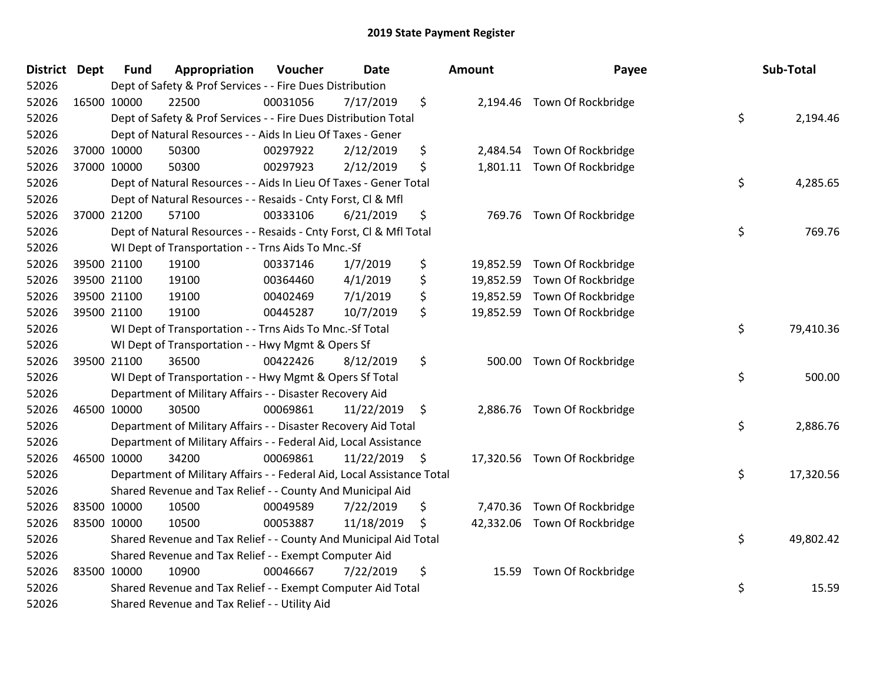| <b>District Dept</b> |             | <b>Fund</b> | Appropriation                                                          | Voucher  | <b>Date</b>   | <b>Amount</b>   | Payee                        | Sub-Total       |
|----------------------|-------------|-------------|------------------------------------------------------------------------|----------|---------------|-----------------|------------------------------|-----------------|
| 52026                |             |             | Dept of Safety & Prof Services - - Fire Dues Distribution              |          |               |                 |                              |                 |
| 52026                | 16500 10000 |             | 22500                                                                  | 00031056 | 7/17/2019     | \$              | 2,194.46 Town Of Rockbridge  |                 |
| 52026                |             |             | Dept of Safety & Prof Services - - Fire Dues Distribution Total        |          |               |                 |                              | \$<br>2,194.46  |
| 52026                |             |             | Dept of Natural Resources - - Aids In Lieu Of Taxes - Gener            |          |               |                 |                              |                 |
| 52026                | 37000 10000 |             | 50300                                                                  | 00297922 | 2/12/2019     | \$              | 2,484.54 Town Of Rockbridge  |                 |
| 52026                | 37000 10000 |             | 50300                                                                  | 00297923 | 2/12/2019     | \$              | 1,801.11 Town Of Rockbridge  |                 |
| 52026                |             |             | Dept of Natural Resources - - Aids In Lieu Of Taxes - Gener Total      |          |               |                 |                              | \$<br>4,285.65  |
| 52026                |             |             | Dept of Natural Resources - - Resaids - Cnty Forst, Cl & Mfl           |          |               |                 |                              |                 |
| 52026                |             | 37000 21200 | 57100                                                                  | 00333106 | 6/21/2019     | \$              | 769.76 Town Of Rockbridge    |                 |
| 52026                |             |             | Dept of Natural Resources - - Resaids - Cnty Forst, Cl & Mfl Total     |          |               |                 |                              | \$<br>769.76    |
| 52026                |             |             | WI Dept of Transportation - - Trns Aids To Mnc.-Sf                     |          |               |                 |                              |                 |
| 52026                |             | 39500 21100 | 19100                                                                  | 00337146 | 1/7/2019      | \$              | 19,852.59 Town Of Rockbridge |                 |
| 52026                |             | 39500 21100 | 19100                                                                  | 00364460 | 4/1/2019      | \$              | 19,852.59 Town Of Rockbridge |                 |
| 52026                |             | 39500 21100 | 19100                                                                  | 00402469 | 7/1/2019      | \$<br>19,852.59 | Town Of Rockbridge           |                 |
| 52026                | 39500 21100 |             | 19100                                                                  | 00445287 | 10/7/2019     | \$              | 19,852.59 Town Of Rockbridge |                 |
| 52026                |             |             | WI Dept of Transportation - - Trns Aids To Mnc.-Sf Total               |          |               |                 |                              | \$<br>79,410.36 |
| 52026                |             |             | WI Dept of Transportation - - Hwy Mgmt & Opers Sf                      |          |               |                 |                              |                 |
| 52026                | 39500 21100 |             | 36500                                                                  | 00422426 | 8/12/2019     | \$              | 500.00 Town Of Rockbridge    |                 |
| 52026                |             |             | WI Dept of Transportation - - Hwy Mgmt & Opers Sf Total                |          |               |                 |                              | \$<br>500.00    |
| 52026                |             |             | Department of Military Affairs - - Disaster Recovery Aid               |          |               |                 |                              |                 |
| 52026                | 46500 10000 |             | 30500                                                                  | 00069861 | 11/22/2019    | \$              | 2,886.76 Town Of Rockbridge  |                 |
| 52026                |             |             | Department of Military Affairs - - Disaster Recovery Aid Total         |          |               |                 |                              | \$<br>2,886.76  |
| 52026                |             |             | Department of Military Affairs - - Federal Aid, Local Assistance       |          |               |                 |                              |                 |
| 52026                | 46500 10000 |             | 34200                                                                  | 00069861 | 11/22/2019 \$ |                 | 17,320.56 Town Of Rockbridge |                 |
| 52026                |             |             | Department of Military Affairs - - Federal Aid, Local Assistance Total |          |               |                 |                              | \$<br>17,320.56 |
| 52026                |             |             | Shared Revenue and Tax Relief - - County And Municipal Aid             |          |               |                 |                              |                 |
| 52026                | 83500 10000 |             | 10500                                                                  | 00049589 | 7/22/2019     | \$<br>7,470.36  | Town Of Rockbridge           |                 |
| 52026                | 83500 10000 |             | 10500                                                                  | 00053887 | 11/18/2019    | \$              | 42,332.06 Town Of Rockbridge |                 |
| 52026                |             |             | Shared Revenue and Tax Relief - - County And Municipal Aid Total       |          |               |                 |                              | \$<br>49,802.42 |
| 52026                |             |             | Shared Revenue and Tax Relief - - Exempt Computer Aid                  |          |               |                 |                              |                 |
| 52026                | 83500 10000 |             | 10900                                                                  | 00046667 | 7/22/2019     | \$<br>15.59     | Town Of Rockbridge           |                 |
| 52026                |             |             | Shared Revenue and Tax Relief - - Exempt Computer Aid Total            |          |               |                 |                              | \$<br>15.59     |
| 52026                |             |             | Shared Revenue and Tax Relief - - Utility Aid                          |          |               |                 |                              |                 |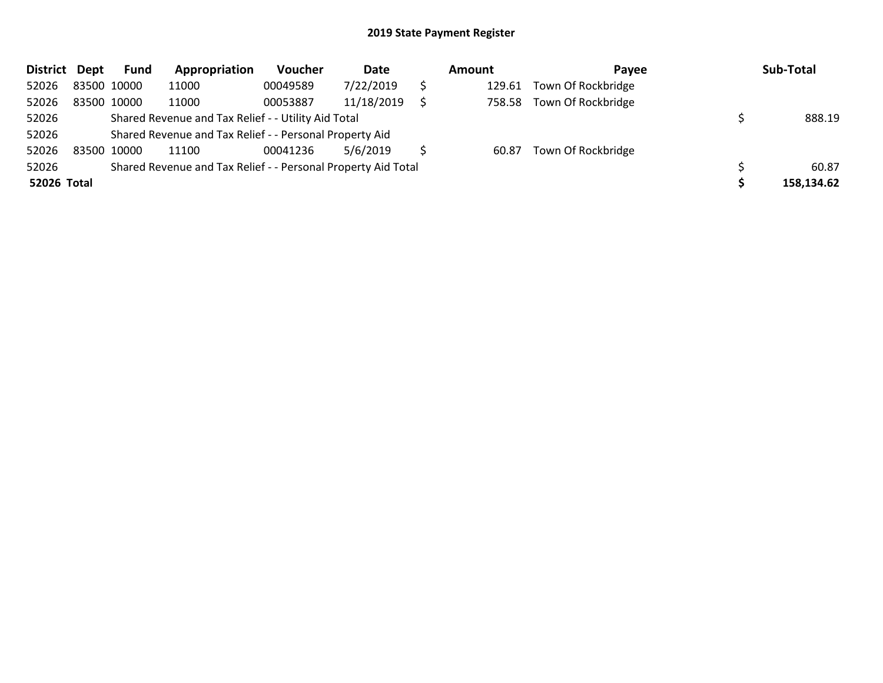| District Dept |             | <b>Fund</b> | Appropriation                                                 | Voucher  | Date       | Amount | <b>Pavee</b>       | Sub-Total  |
|---------------|-------------|-------------|---------------------------------------------------------------|----------|------------|--------|--------------------|------------|
| 52026         | 83500 10000 |             | 11000                                                         | 00049589 | 7/22/2019  | 129.61 | Town Of Rockbridge |            |
| 52026         | 83500 10000 |             | 11000                                                         | 00053887 | 11/18/2019 | 758.58 | Town Of Rockbridge |            |
| 52026         |             |             | Shared Revenue and Tax Relief - - Utility Aid Total           |          |            |        |                    | 888.19     |
| 52026         |             |             | Shared Revenue and Tax Relief - - Personal Property Aid       |          |            |        |                    |            |
| 52026         | 83500 10000 |             | 11100                                                         | 00041236 | 5/6/2019   | 60.87  | Town Of Rockbridge |            |
| 52026         |             |             | Shared Revenue and Tax Relief - - Personal Property Aid Total |          |            |        |                    | 60.87      |
| 52026 Total   |             |             |                                                               |          |            |        |                    | 158,134.62 |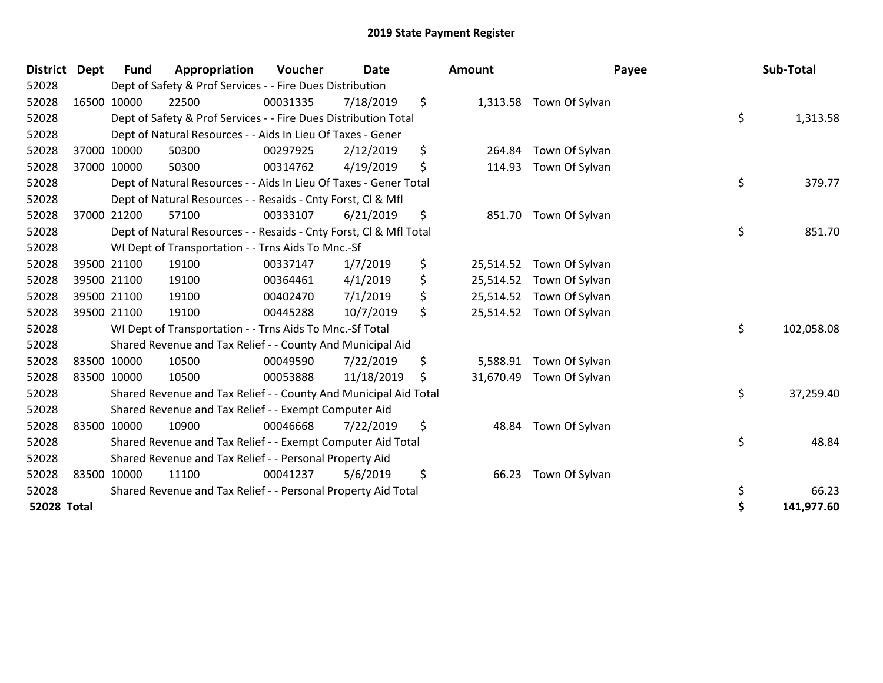| <b>District</b>    | <b>Dept</b> | <b>Fund</b> | Appropriation                                                      | Voucher  | <b>Date</b> |     | Amount    |                         | Payee | Sub-Total  |
|--------------------|-------------|-------------|--------------------------------------------------------------------|----------|-------------|-----|-----------|-------------------------|-------|------------|
| 52028              |             |             | Dept of Safety & Prof Services - - Fire Dues Distribution          |          |             |     |           |                         |       |            |
| 52028              | 16500 10000 |             | 22500                                                              | 00031335 | 7/18/2019   | \$  |           | 1,313.58 Town Of Sylvan |       |            |
| 52028              |             |             | Dept of Safety & Prof Services - - Fire Dues Distribution Total    |          |             |     |           |                         | \$    | 1,313.58   |
| 52028              |             |             | Dept of Natural Resources - - Aids In Lieu Of Taxes - Gener        |          |             |     |           |                         |       |            |
| 52028              |             | 37000 10000 | 50300                                                              | 00297925 | 2/12/2019   | \$  | 264.84    | Town Of Sylvan          |       |            |
| 52028              |             | 37000 10000 | 50300                                                              | 00314762 | 4/19/2019   | \$  | 114.93    | Town Of Sylvan          |       |            |
| 52028              |             |             | Dept of Natural Resources - - Aids In Lieu Of Taxes - Gener Total  |          |             |     |           |                         | \$    | 379.77     |
| 52028              |             |             | Dept of Natural Resources - - Resaids - Cnty Forst, CI & Mfl       |          |             |     |           |                         |       |            |
| 52028              |             | 37000 21200 | 57100                                                              | 00333107 | 6/21/2019   | \$  | 851.70    | Town Of Sylvan          |       |            |
| 52028              |             |             | Dept of Natural Resources - - Resaids - Cnty Forst, Cl & Mfl Total |          |             |     |           |                         | \$    | 851.70     |
| 52028              |             |             | WI Dept of Transportation - - Trns Aids To Mnc.-Sf                 |          |             |     |           |                         |       |            |
| 52028              |             | 39500 21100 | 19100                                                              | 00337147 | 1/7/2019    | \$  | 25,514.52 | Town Of Sylvan          |       |            |
| 52028              |             | 39500 21100 | 19100                                                              | 00364461 | 4/1/2019    | \$  | 25,514.52 | Town Of Sylvan          |       |            |
| 52028              |             | 39500 21100 | 19100                                                              | 00402470 | 7/1/2019    | \$  | 25,514.52 | Town Of Sylvan          |       |            |
| 52028              |             | 39500 21100 | 19100                                                              | 00445288 | 10/7/2019   | \$  | 25,514.52 | Town Of Sylvan          |       |            |
| 52028              |             |             | WI Dept of Transportation - - Trns Aids To Mnc.-Sf Total           |          |             |     |           |                         | \$    | 102,058.08 |
| 52028              |             |             | Shared Revenue and Tax Relief - - County And Municipal Aid         |          |             |     |           |                         |       |            |
| 52028              | 83500 10000 |             | 10500                                                              | 00049590 | 7/22/2019   | \$  | 5,588.91  | Town Of Sylvan          |       |            |
| 52028              | 83500 10000 |             | 10500                                                              | 00053888 | 11/18/2019  | \$. | 31,670.49 | Town Of Sylvan          |       |            |
| 52028              |             |             | Shared Revenue and Tax Relief - - County And Municipal Aid Total   |          |             |     |           |                         | \$    | 37,259.40  |
| 52028              |             |             | Shared Revenue and Tax Relief - - Exempt Computer Aid              |          |             |     |           |                         |       |            |
| 52028              | 83500 10000 |             | 10900                                                              | 00046668 | 7/22/2019   | \$  | 48.84     | Town Of Sylvan          |       |            |
| 52028              |             |             | Shared Revenue and Tax Relief - - Exempt Computer Aid Total        |          |             |     |           |                         | \$    | 48.84      |
| 52028              |             |             | Shared Revenue and Tax Relief - - Personal Property Aid            |          |             |     |           |                         |       |            |
| 52028              | 83500 10000 |             | 11100                                                              | 00041237 | 5/6/2019    | \$  | 66.23     | Town Of Sylvan          |       |            |
| 52028              |             |             | Shared Revenue and Tax Relief - - Personal Property Aid Total      |          |             |     |           |                         | \$    | 66.23      |
| <b>52028 Total</b> |             |             |                                                                    |          |             |     |           |                         | \$    | 141,977.60 |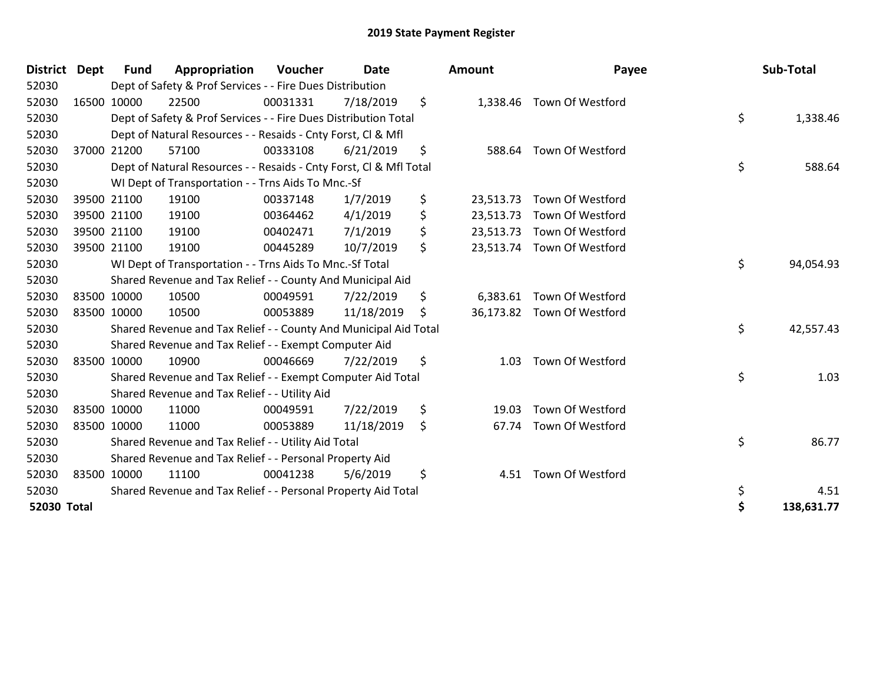| <b>District</b>    | <b>Dept</b> | <b>Fund</b> | Appropriation                                                      | Voucher  | <b>Date</b> | <b>Amount</b>   | Payee                      | Sub-Total        |
|--------------------|-------------|-------------|--------------------------------------------------------------------|----------|-------------|-----------------|----------------------------|------------------|
| 52030              |             |             | Dept of Safety & Prof Services - - Fire Dues Distribution          |          |             |                 |                            |                  |
| 52030              |             | 16500 10000 | 22500                                                              | 00031331 | 7/18/2019   | \$              | 1,338.46 Town Of Westford  |                  |
| 52030              |             |             | Dept of Safety & Prof Services - - Fire Dues Distribution Total    |          |             |                 |                            | \$<br>1,338.46   |
| 52030              |             |             | Dept of Natural Resources - - Resaids - Cnty Forst, Cl & Mfl       |          |             |                 |                            |                  |
| 52030              |             | 37000 21200 | 57100                                                              | 00333108 | 6/21/2019   | \$<br>588.64    | Town Of Westford           |                  |
| 52030              |             |             | Dept of Natural Resources - - Resaids - Cnty Forst, Cl & Mfl Total |          |             |                 |                            | \$<br>588.64     |
| 52030              |             |             | WI Dept of Transportation - - Trns Aids To Mnc.-Sf                 |          |             |                 |                            |                  |
| 52030              |             | 39500 21100 | 19100                                                              | 00337148 | 1/7/2019    | \$<br>23,513.73 | Town Of Westford           |                  |
| 52030              |             | 39500 21100 | 19100                                                              | 00364462 | 4/1/2019    | \$              | 23,513.73 Town Of Westford |                  |
| 52030              |             | 39500 21100 | 19100                                                              | 00402471 | 7/1/2019    | \$              | 23,513.73 Town Of Westford |                  |
| 52030              |             | 39500 21100 | 19100                                                              | 00445289 | 10/7/2019   | \$              | 23,513.74 Town Of Westford |                  |
| 52030              |             |             | WI Dept of Transportation - - Trns Aids To Mnc.-Sf Total           |          |             |                 |                            | \$<br>94,054.93  |
| 52030              |             |             | Shared Revenue and Tax Relief - - County And Municipal Aid         |          |             |                 |                            |                  |
| 52030              |             | 83500 10000 | 10500                                                              | 00049591 | 7/22/2019   | \$<br>6,383.61  | Town Of Westford           |                  |
| 52030              | 83500 10000 |             | 10500                                                              | 00053889 | 11/18/2019  | \$              | 36,173.82 Town Of Westford |                  |
| 52030              |             |             | Shared Revenue and Tax Relief - - County And Municipal Aid Total   |          |             |                 |                            | \$<br>42,557.43  |
| 52030              |             |             | Shared Revenue and Tax Relief - - Exempt Computer Aid              |          |             |                 |                            |                  |
| 52030              |             | 83500 10000 | 10900                                                              | 00046669 | 7/22/2019   | \$<br>1.03      | Town Of Westford           |                  |
| 52030              |             |             | Shared Revenue and Tax Relief - - Exempt Computer Aid Total        |          |             |                 |                            | \$<br>1.03       |
| 52030              |             |             | Shared Revenue and Tax Relief - - Utility Aid                      |          |             |                 |                            |                  |
| 52030              |             | 83500 10000 | 11000                                                              | 00049591 | 7/22/2019   | \$<br>19.03     | Town Of Westford           |                  |
| 52030              | 83500 10000 |             | 11000                                                              | 00053889 | 11/18/2019  | \$<br>67.74     | Town Of Westford           |                  |
| 52030              |             |             | Shared Revenue and Tax Relief - - Utility Aid Total                |          |             |                 |                            | \$<br>86.77      |
| 52030              |             |             | Shared Revenue and Tax Relief - - Personal Property Aid            |          |             |                 |                            |                  |
| 52030              |             | 83500 10000 | 11100                                                              | 00041238 | 5/6/2019    | \$<br>4.51      | Town Of Westford           |                  |
| 52030              |             |             | Shared Revenue and Tax Relief - - Personal Property Aid Total      |          |             |                 |                            | \$<br>4.51       |
| <b>52030 Total</b> |             |             |                                                                    |          |             |                 |                            | \$<br>138,631.77 |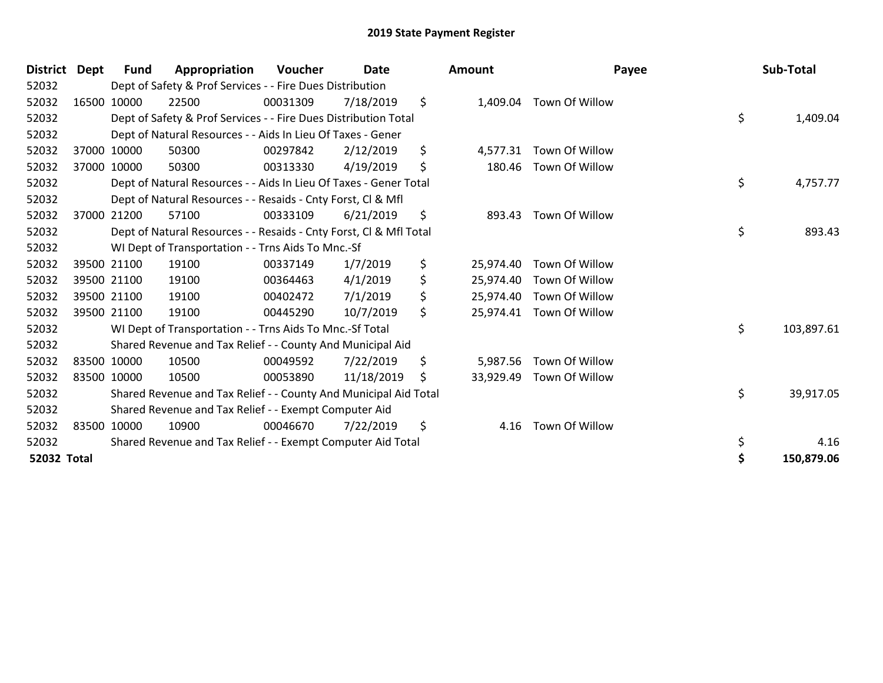| <b>District</b> | Dept | Fund        | Appropriation                                                      | Voucher  | <b>Date</b> | Amount          | Payee                    | Sub-Total        |
|-----------------|------|-------------|--------------------------------------------------------------------|----------|-------------|-----------------|--------------------------|------------------|
| 52032           |      |             | Dept of Safety & Prof Services - - Fire Dues Distribution          |          |             |                 |                          |                  |
| 52032           |      | 16500 10000 | 22500                                                              | 00031309 | 7/18/2019   | \$<br>1,409.04  | Town Of Willow           |                  |
| 52032           |      |             | Dept of Safety & Prof Services - - Fire Dues Distribution Total    |          |             |                 |                          | \$<br>1,409.04   |
| 52032           |      |             | Dept of Natural Resources - - Aids In Lieu Of Taxes - Gener        |          |             |                 |                          |                  |
| 52032           |      | 37000 10000 | 50300                                                              | 00297842 | 2/12/2019   | \$<br>4,577.31  | Town Of Willow           |                  |
| 52032           |      | 37000 10000 | 50300                                                              | 00313330 | 4/19/2019   | \$<br>180.46    | Town Of Willow           |                  |
| 52032           |      |             | Dept of Natural Resources - - Aids In Lieu Of Taxes - Gener Total  |          |             |                 |                          | \$<br>4,757.77   |
| 52032           |      |             | Dept of Natural Resources - - Resaids - Cnty Forst, CI & Mfl       |          |             |                 |                          |                  |
| 52032           |      | 37000 21200 | 57100                                                              | 00333109 | 6/21/2019   | \$<br>893.43    | Town Of Willow           |                  |
| 52032           |      |             | Dept of Natural Resources - - Resaids - Cnty Forst, Cl & Mfl Total |          |             |                 |                          | \$<br>893.43     |
| 52032           |      |             | WI Dept of Transportation - - Trns Aids To Mnc.-Sf                 |          |             |                 |                          |                  |
| 52032           |      | 39500 21100 | 19100                                                              | 00337149 | 1/7/2019    | \$<br>25,974.40 | Town Of Willow           |                  |
| 52032           |      | 39500 21100 | 19100                                                              | 00364463 | 4/1/2019    | \$<br>25,974.40 | Town Of Willow           |                  |
| 52032           |      | 39500 21100 | 19100                                                              | 00402472 | 7/1/2019    | \$<br>25,974.40 | Town Of Willow           |                  |
| 52032           |      | 39500 21100 | 19100                                                              | 00445290 | 10/7/2019   | \$              | 25,974.41 Town Of Willow |                  |
| 52032           |      |             | WI Dept of Transportation - - Trns Aids To Mnc.-Sf Total           |          |             |                 |                          | \$<br>103,897.61 |
| 52032           |      |             | Shared Revenue and Tax Relief - - County And Municipal Aid         |          |             |                 |                          |                  |
| 52032           |      | 83500 10000 | 10500                                                              | 00049592 | 7/22/2019   | \$<br>5,987.56  | Town Of Willow           |                  |
| 52032           |      | 83500 10000 | 10500                                                              | 00053890 | 11/18/2019  | \$<br>33,929.49 | Town Of Willow           |                  |
| 52032           |      |             | Shared Revenue and Tax Relief - - County And Municipal Aid Total   |          |             |                 |                          | \$<br>39,917.05  |
| 52032           |      |             | Shared Revenue and Tax Relief - - Exempt Computer Aid              |          |             |                 |                          |                  |
| 52032           |      | 83500 10000 | 10900                                                              | 00046670 | 7/22/2019   | \$<br>4.16      | Town Of Willow           |                  |
| 52032           |      |             | Shared Revenue and Tax Relief - - Exempt Computer Aid Total        |          |             |                 |                          | 4.16             |
| 52032 Total     |      |             |                                                                    |          |             |                 |                          | 150,879.06       |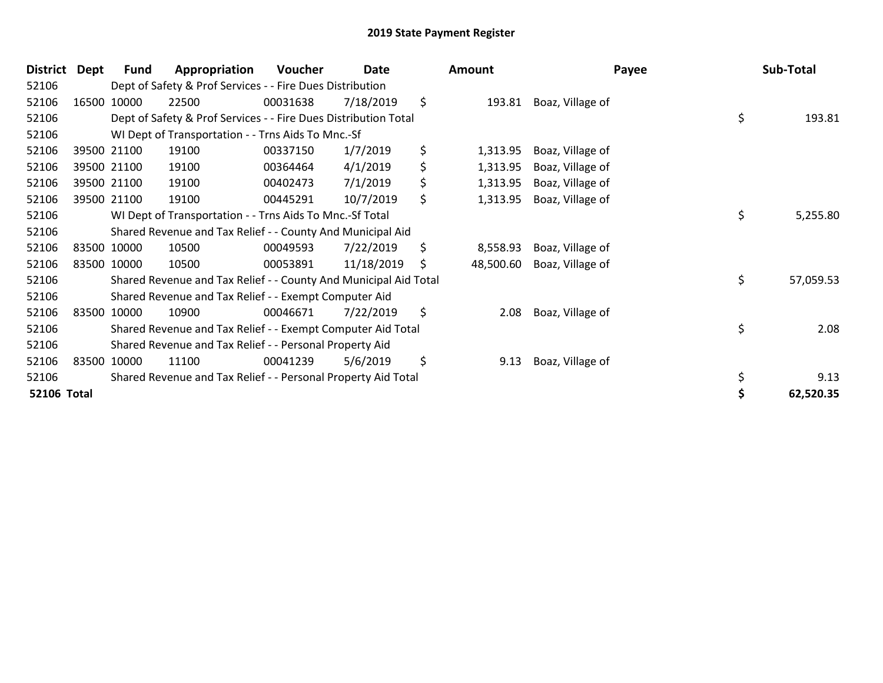| <b>District</b>    | <b>Dept</b> | <b>Fund</b> | Appropriation                                                    | Voucher  | Date       | Amount          |                  | Payee | Sub-Total |
|--------------------|-------------|-------------|------------------------------------------------------------------|----------|------------|-----------------|------------------|-------|-----------|
| 52106              |             |             | Dept of Safety & Prof Services - - Fire Dues Distribution        |          |            |                 |                  |       |           |
| 52106              |             | 16500 10000 | 22500                                                            | 00031638 | 7/18/2019  | \$<br>193.81    | Boaz, Village of |       |           |
| 52106              |             |             | Dept of Safety & Prof Services - - Fire Dues Distribution Total  |          |            |                 |                  | \$    | 193.81    |
| 52106              |             |             | WI Dept of Transportation - - Trns Aids To Mnc.-Sf               |          |            |                 |                  |       |           |
| 52106              |             | 39500 21100 | 19100                                                            | 00337150 | 1/7/2019   | \$<br>1,313.95  | Boaz, Village of |       |           |
| 52106              |             | 39500 21100 | 19100                                                            | 00364464 | 4/1/2019   | \$<br>1,313.95  | Boaz, Village of |       |           |
| 52106              |             | 39500 21100 | 19100                                                            | 00402473 | 7/1/2019   | \$<br>1,313.95  | Boaz, Village of |       |           |
| 52106              |             | 39500 21100 | 19100                                                            | 00445291 | 10/7/2019  | \$<br>1,313.95  | Boaz, Village of |       |           |
| 52106              |             |             | WI Dept of Transportation - - Trns Aids To Mnc.-Sf Total         |          |            |                 |                  | \$    | 5,255.80  |
| 52106              |             |             | Shared Revenue and Tax Relief - - County And Municipal Aid       |          |            |                 |                  |       |           |
| 52106              |             | 83500 10000 | 10500                                                            | 00049593 | 7/22/2019  | \$<br>8,558.93  | Boaz, Village of |       |           |
| 52106              |             | 83500 10000 | 10500                                                            | 00053891 | 11/18/2019 | \$<br>48,500.60 | Boaz, Village of |       |           |
| 52106              |             |             | Shared Revenue and Tax Relief - - County And Municipal Aid Total |          |            |                 |                  | \$    | 57,059.53 |
| 52106              |             |             | Shared Revenue and Tax Relief - - Exempt Computer Aid            |          |            |                 |                  |       |           |
| 52106              |             | 83500 10000 | 10900                                                            | 00046671 | 7/22/2019  | \$<br>2.08      | Boaz, Village of |       |           |
| 52106              |             |             | Shared Revenue and Tax Relief - - Exempt Computer Aid Total      |          |            |                 |                  | \$    | 2.08      |
| 52106              |             |             | Shared Revenue and Tax Relief - - Personal Property Aid          |          |            |                 |                  |       |           |
| 52106              |             | 83500 10000 | 11100                                                            | 00041239 | 5/6/2019   | \$<br>9.13      | Boaz, Village of |       |           |
| 52106              |             |             | Shared Revenue and Tax Relief - - Personal Property Aid Total    |          |            |                 |                  |       | 9.13      |
| <b>52106 Total</b> |             |             |                                                                  |          |            |                 |                  |       | 62,520.35 |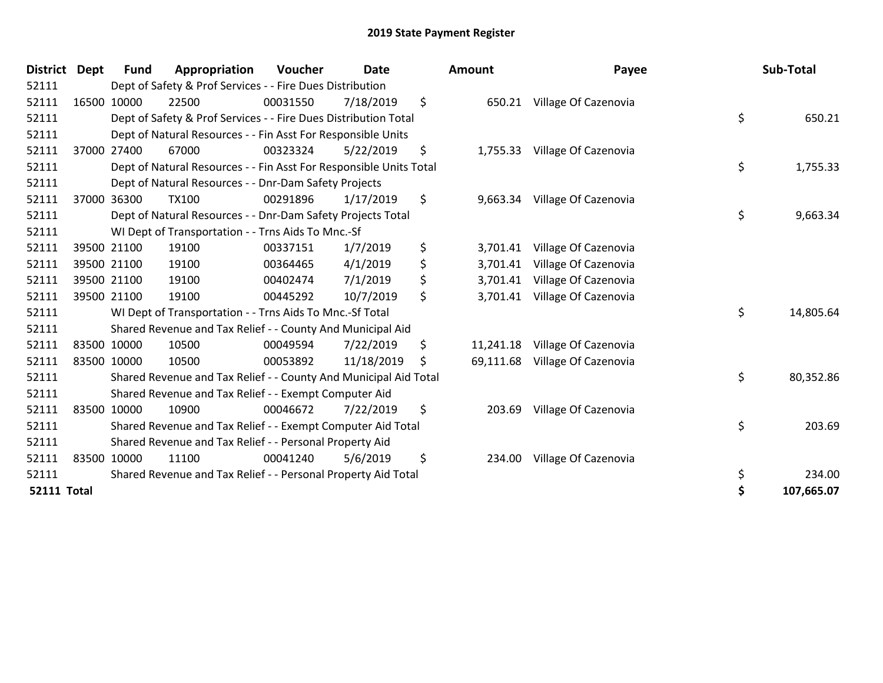| District Dept      | <b>Fund</b> | Appropriation                                                      | Voucher  | <b>Date</b> | <b>Amount</b>   | Payee                         | Sub-Total        |
|--------------------|-------------|--------------------------------------------------------------------|----------|-------------|-----------------|-------------------------------|------------------|
| 52111              |             | Dept of Safety & Prof Services - - Fire Dues Distribution          |          |             |                 |                               |                  |
| 52111              | 16500 10000 | 22500                                                              | 00031550 | 7/18/2019   | \$              | 650.21 Village Of Cazenovia   |                  |
| 52111              |             | Dept of Safety & Prof Services - - Fire Dues Distribution Total    |          |             |                 |                               | \$<br>650.21     |
| 52111              |             | Dept of Natural Resources - - Fin Asst For Responsible Units       |          |             |                 |                               |                  |
| 52111              | 37000 27400 | 67000                                                              | 00323324 | 5/22/2019   | \$              | 1,755.33 Village Of Cazenovia |                  |
| 52111              |             | Dept of Natural Resources - - Fin Asst For Responsible Units Total |          |             |                 |                               | \$<br>1,755.33   |
| 52111              |             | Dept of Natural Resources - - Dnr-Dam Safety Projects              |          |             |                 |                               |                  |
| 52111              | 37000 36300 | <b>TX100</b>                                                       | 00291896 | 1/17/2019   | \$              | 9,663.34 Village Of Cazenovia |                  |
| 52111              |             | Dept of Natural Resources - - Dnr-Dam Safety Projects Total        |          |             |                 |                               | \$<br>9,663.34   |
| 52111              |             | WI Dept of Transportation - - Trns Aids To Mnc.-Sf                 |          |             |                 |                               |                  |
| 52111              | 39500 21100 | 19100                                                              | 00337151 | 1/7/2019    | \$<br>3,701.41  | Village Of Cazenovia          |                  |
| 52111              | 39500 21100 | 19100                                                              | 00364465 | 4/1/2019    | \$<br>3,701.41  | Village Of Cazenovia          |                  |
| 52111              | 39500 21100 | 19100                                                              | 00402474 | 7/1/2019    | 3,701.41        | Village Of Cazenovia          |                  |
| 52111              | 39500 21100 | 19100                                                              | 00445292 | 10/7/2019   | \$<br>3,701.41  | Village Of Cazenovia          |                  |
| 52111              |             | WI Dept of Transportation - - Trns Aids To Mnc.-Sf Total           |          |             |                 |                               | \$<br>14,805.64  |
| 52111              |             | Shared Revenue and Tax Relief - - County And Municipal Aid         |          |             |                 |                               |                  |
| 52111              | 83500 10000 | 10500                                                              | 00049594 | 7/22/2019   | \$<br>11,241.18 | Village Of Cazenovia          |                  |
| 52111              | 83500 10000 | 10500                                                              | 00053892 | 11/18/2019  | \$<br>69,111.68 | Village Of Cazenovia          |                  |
| 52111              |             | Shared Revenue and Tax Relief - - County And Municipal Aid Total   |          |             |                 |                               | \$<br>80,352.86  |
| 52111              |             | Shared Revenue and Tax Relief - - Exempt Computer Aid              |          |             |                 |                               |                  |
| 52111              | 83500 10000 | 10900                                                              | 00046672 | 7/22/2019   | \$<br>203.69    | Village Of Cazenovia          |                  |
| 52111              |             | Shared Revenue and Tax Relief - - Exempt Computer Aid Total        |          |             |                 |                               | \$<br>203.69     |
| 52111              |             | Shared Revenue and Tax Relief - - Personal Property Aid            |          |             |                 |                               |                  |
| 52111              | 83500 10000 | 11100                                                              | 00041240 | 5/6/2019    | \$<br>234.00    | Village Of Cazenovia          |                  |
| 52111              |             | Shared Revenue and Tax Relief - - Personal Property Aid Total      |          |             |                 |                               | \$<br>234.00     |
| <b>52111 Total</b> |             |                                                                    |          |             |                 |                               | \$<br>107,665.07 |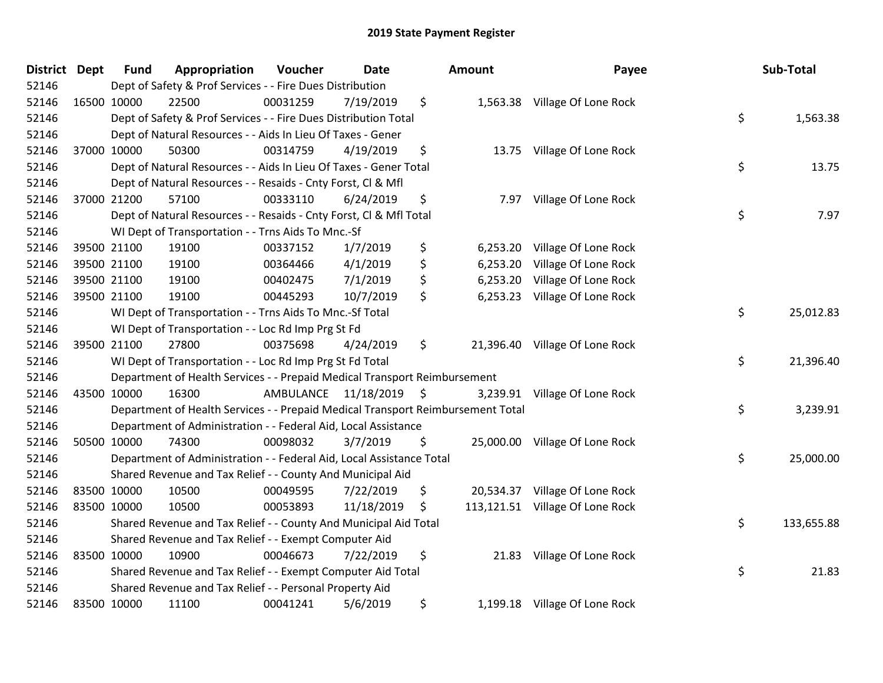| District Dept | <b>Fund</b>                                                 | Appropriation                                                                   | Voucher              | <b>Date</b>     |    | Amount   | Payee                           | Sub-Total        |
|---------------|-------------------------------------------------------------|---------------------------------------------------------------------------------|----------------------|-----------------|----|----------|---------------------------------|------------------|
| 52146         |                                                             | Dept of Safety & Prof Services - - Fire Dues Distribution                       |                      |                 |    |          |                                 |                  |
| 52146         | 16500 10000                                                 | 22500                                                                           | 00031259             | 7/19/2019       | \$ |          | 1,563.38 Village Of Lone Rock   |                  |
| 52146         |                                                             | Dept of Safety & Prof Services - - Fire Dues Distribution Total                 |                      |                 |    |          |                                 | \$<br>1,563.38   |
| 52146         |                                                             | Dept of Natural Resources - - Aids In Lieu Of Taxes - Gener                     |                      |                 |    |          |                                 |                  |
| 52146         | 37000 10000                                                 | 50300                                                                           | 00314759             | 4/19/2019       | \$ |          | 13.75 Village Of Lone Rock      |                  |
| 52146         |                                                             | Dept of Natural Resources - - Aids In Lieu Of Taxes - Gener Total               |                      |                 |    |          |                                 | \$<br>13.75      |
| 52146         |                                                             | Dept of Natural Resources - - Resaids - Cnty Forst, Cl & Mfl                    |                      |                 |    |          |                                 |                  |
| 52146         | 37000 21200                                                 | 57100                                                                           | 00333110             | 6/24/2019       | \$ | 7.97     | Village Of Lone Rock            |                  |
| 52146         |                                                             | Dept of Natural Resources - - Resaids - Cnty Forst, Cl & Mfl Total              |                      |                 |    |          |                                 | \$<br>7.97       |
| 52146         |                                                             | WI Dept of Transportation - - Trns Aids To Mnc.-Sf                              |                      |                 |    |          |                                 |                  |
| 52146         | 39500 21100                                                 | 19100                                                                           | 00337152             | 1/7/2019        | \$ | 6,253.20 | Village Of Lone Rock            |                  |
| 52146         | 39500 21100                                                 | 19100                                                                           | 00364466             | 4/1/2019        | \$ | 6,253.20 | Village Of Lone Rock            |                  |
| 52146         | 39500 21100                                                 | 19100                                                                           | 00402475             | 7/1/2019        | \$ |          | 6,253.20 Village Of Lone Rock   |                  |
| 52146         | 39500 21100                                                 | 19100                                                                           | 00445293             | 10/7/2019       | \$ | 6,253.23 | Village Of Lone Rock            |                  |
| 52146         |                                                             | WI Dept of Transportation - - Trns Aids To Mnc.-Sf Total                        |                      | \$<br>25,012.83 |    |          |                                 |                  |
| 52146         |                                                             | WI Dept of Transportation - - Loc Rd Imp Prg St Fd                              |                      |                 |    |          |                                 |                  |
| 52146         | 39500 21100                                                 | 27800                                                                           | 00375698             | 4/24/2019       | \$ |          | 21,396.40 Village Of Lone Rock  |                  |
| 52146         |                                                             | WI Dept of Transportation - - Loc Rd Imp Prg St Fd Total                        |                      |                 |    |          |                                 | \$<br>21,396.40  |
| 52146         |                                                             | Department of Health Services - - Prepaid Medical Transport Reimbursement       |                      |                 |    |          |                                 |                  |
| 52146         | 43500 10000                                                 | 16300                                                                           | AMBULANCE 11/18/2019 |                 | \$ |          | 3,239.91 Village Of Lone Rock   |                  |
| 52146         |                                                             | Department of Health Services - - Prepaid Medical Transport Reimbursement Total |                      |                 |    |          |                                 | \$<br>3,239.91   |
| 52146         |                                                             | Department of Administration - - Federal Aid, Local Assistance                  |                      |                 |    |          |                                 |                  |
| 52146         | 50500 10000                                                 | 74300                                                                           | 00098032             | 3/7/2019        | \$ |          | 25,000.00 Village Of Lone Rock  |                  |
| 52146         |                                                             | Department of Administration - - Federal Aid, Local Assistance Total            |                      |                 |    |          |                                 | \$<br>25,000.00  |
| 52146         |                                                             | Shared Revenue and Tax Relief - - County And Municipal Aid                      |                      |                 |    |          |                                 |                  |
| 52146         | 83500 10000                                                 | 10500                                                                           | 00049595             | 7/22/2019       | \$ |          | 20,534.37 Village Of Lone Rock  |                  |
| 52146         | 83500 10000                                                 | 10500                                                                           | 00053893             | 11/18/2019      | \$ |          | 113,121.51 Village Of Lone Rock |                  |
| 52146         |                                                             | Shared Revenue and Tax Relief - - County And Municipal Aid Total                |                      |                 |    |          |                                 | \$<br>133,655.88 |
| 52146         |                                                             | Shared Revenue and Tax Relief - - Exempt Computer Aid                           |                      |                 |    |          |                                 |                  |
| 52146         | 83500 10000                                                 | 10900                                                                           | 00046673             | 7/22/2019       | \$ |          | 21.83 Village Of Lone Rock      |                  |
| 52146         | Shared Revenue and Tax Relief - - Exempt Computer Aid Total |                                                                                 |                      |                 |    |          |                                 | \$<br>21.83      |
| 52146         |                                                             | Shared Revenue and Tax Relief - - Personal Property Aid                         |                      |                 |    |          |                                 |                  |
| 52146         | 83500 10000                                                 | 11100                                                                           | 00041241             | 5/6/2019        | \$ |          | 1,199.18 Village Of Lone Rock   |                  |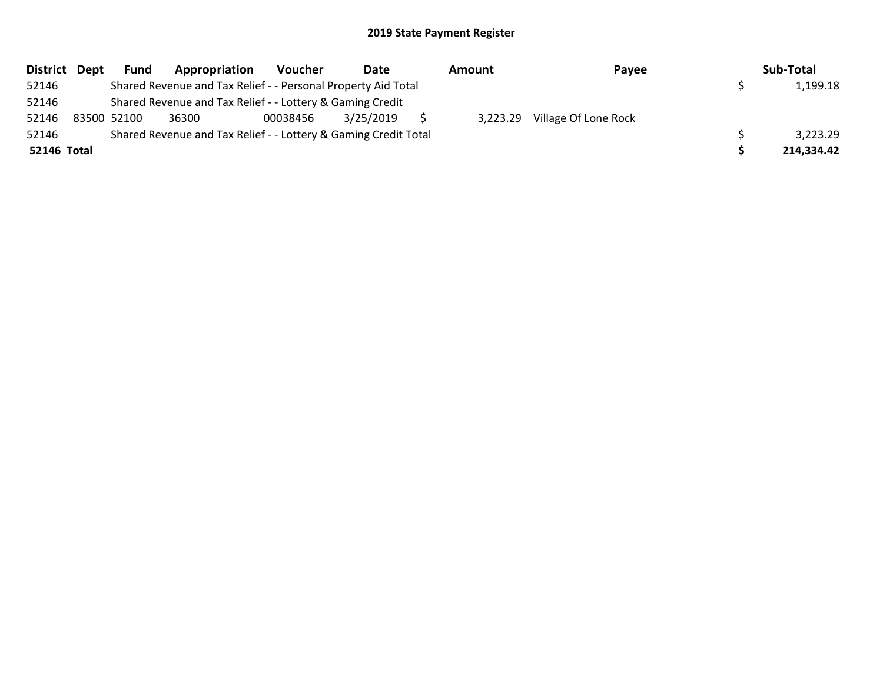|             | District Dept | <b>Fund</b> | Appropriation                                                   | Voucher  | Date      | Amount   | Payee                | Sub-Total  |
|-------------|---------------|-------------|-----------------------------------------------------------------|----------|-----------|----------|----------------------|------------|
| 52146       |               |             | Shared Revenue and Tax Relief - - Personal Property Aid Total   |          |           |          |                      | 1,199.18   |
| 52146       |               |             | Shared Revenue and Tax Relief - - Lottery & Gaming Credit       |          |           |          |                      |            |
| 52146       |               | 83500 52100 | 36300                                                           | 00038456 | 3/25/2019 | 3.223.29 | Village Of Lone Rock |            |
| 52146       |               |             | Shared Revenue and Tax Relief - - Lottery & Gaming Credit Total |          |           |          |                      | 3,223.29   |
| 52146 Total |               |             |                                                                 |          |           |          |                      | 214,334.42 |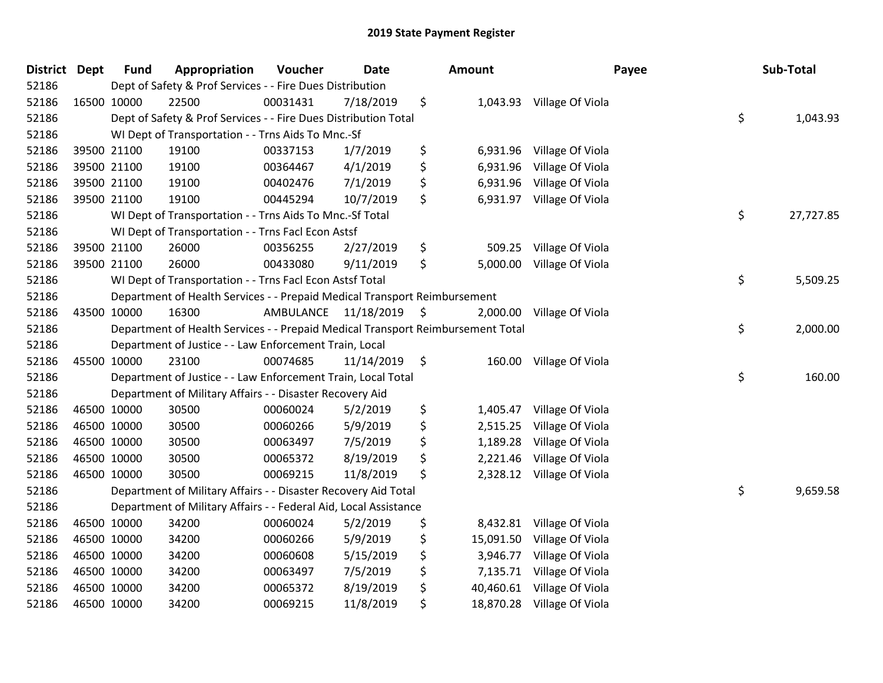| <b>District</b> | <b>Dept</b> | <b>Fund</b> | Appropriation                                                                   | Voucher   | <b>Date</b> |    | Amount    | Payee                     |    | Sub-Total |
|-----------------|-------------|-------------|---------------------------------------------------------------------------------|-----------|-------------|----|-----------|---------------------------|----|-----------|
| 52186           |             |             | Dept of Safety & Prof Services - - Fire Dues Distribution                       |           |             |    |           |                           |    |           |
| 52186           |             | 16500 10000 | 22500                                                                           | 00031431  | 7/18/2019   | \$ |           | 1,043.93 Village Of Viola |    |           |
| 52186           |             |             | Dept of Safety & Prof Services - - Fire Dues Distribution Total                 |           |             |    |           |                           | \$ | 1,043.93  |
| 52186           |             |             | WI Dept of Transportation - - Trns Aids To Mnc.-Sf                              |           |             |    |           |                           |    |           |
| 52186           |             | 39500 21100 | 19100                                                                           | 00337153  | 1/7/2019    | \$ | 6,931.96  | Village Of Viola          |    |           |
| 52186           |             | 39500 21100 | 19100                                                                           | 00364467  | 4/1/2019    | \$ | 6,931.96  | Village Of Viola          |    |           |
| 52186           |             | 39500 21100 | 19100                                                                           | 00402476  | 7/1/2019    | \$ | 6,931.96  | Village Of Viola          |    |           |
| 52186           |             | 39500 21100 | 19100                                                                           | 00445294  | 10/7/2019   | \$ | 6,931.97  | Village Of Viola          |    |           |
| 52186           |             |             | WI Dept of Transportation - - Trns Aids To Mnc.-Sf Total                        |           |             |    |           |                           | \$ | 27,727.85 |
| 52186           |             |             | WI Dept of Transportation - - Trns Facl Econ Astsf                              |           |             |    |           |                           |    |           |
| 52186           |             | 39500 21100 | 26000                                                                           | 00356255  | 2/27/2019   | \$ | 509.25    | Village Of Viola          |    |           |
| 52186           |             | 39500 21100 | 26000                                                                           | 00433080  | 9/11/2019   | \$ | 5,000.00  | Village Of Viola          |    |           |
| 52186           |             |             | WI Dept of Transportation - - Trns Facl Econ Astsf Total                        |           |             |    |           |                           | \$ | 5,509.25  |
| 52186           |             |             | Department of Health Services - - Prepaid Medical Transport Reimbursement       |           |             |    |           |                           |    |           |
| 52186           | 43500 10000 |             | 16300                                                                           | AMBULANCE | 11/18/2019  | \$ | 2,000.00  | Village Of Viola          |    |           |
| 52186           |             |             | Department of Health Services - - Prepaid Medical Transport Reimbursement Total |           |             |    |           |                           |    | 2,000.00  |
| 52186           |             |             | Department of Justice - - Law Enforcement Train, Local                          |           |             |    |           |                           |    |           |
| 52186           | 45500 10000 |             | 23100                                                                           | 00074685  | 11/14/2019  | \$ | 160.00    | Village Of Viola          |    |           |
| 52186           |             |             | Department of Justice - - Law Enforcement Train, Local Total                    |           |             |    |           |                           | \$ | 160.00    |
| 52186           |             |             | Department of Military Affairs - - Disaster Recovery Aid                        |           |             |    |           |                           |    |           |
| 52186           |             | 46500 10000 | 30500                                                                           | 00060024  | 5/2/2019    | \$ | 1,405.47  | Village Of Viola          |    |           |
| 52186           |             | 46500 10000 | 30500                                                                           | 00060266  | 5/9/2019    | \$ | 2,515.25  | Village Of Viola          |    |           |
| 52186           |             | 46500 10000 | 30500                                                                           | 00063497  | 7/5/2019    | \$ | 1,189.28  | Village Of Viola          |    |           |
| 52186           | 46500 10000 |             | 30500                                                                           | 00065372  | 8/19/2019   | \$ | 2,221.46  | Village Of Viola          |    |           |
| 52186           | 46500 10000 |             | 30500                                                                           | 00069215  | 11/8/2019   | \$ | 2,328.12  | Village Of Viola          |    |           |
| 52186           |             |             | Department of Military Affairs - - Disaster Recovery Aid Total                  |           |             |    |           |                           | \$ | 9,659.58  |
| 52186           |             |             | Department of Military Affairs - - Federal Aid, Local Assistance                |           |             |    |           |                           |    |           |
| 52186           |             | 46500 10000 | 34200                                                                           | 00060024  | 5/2/2019    | \$ | 8,432.81  | Village Of Viola          |    |           |
| 52186           | 46500 10000 |             | 34200                                                                           | 00060266  | 5/9/2019    | \$ | 15,091.50 | Village Of Viola          |    |           |
| 52186           | 46500 10000 |             | 34200                                                                           | 00060608  | 5/15/2019   | \$ | 3,946.77  | Village Of Viola          |    |           |
| 52186           | 46500 10000 |             | 34200                                                                           | 00063497  | 7/5/2019    | \$ | 7,135.71  | Village Of Viola          |    |           |
| 52186           |             | 46500 10000 | 34200                                                                           | 00065372  | 8/19/2019   | \$ | 40,460.61 | Village Of Viola          |    |           |
| 52186           |             | 46500 10000 | 34200                                                                           | 00069215  | 11/8/2019   | \$ | 18,870.28 | Village Of Viola          |    |           |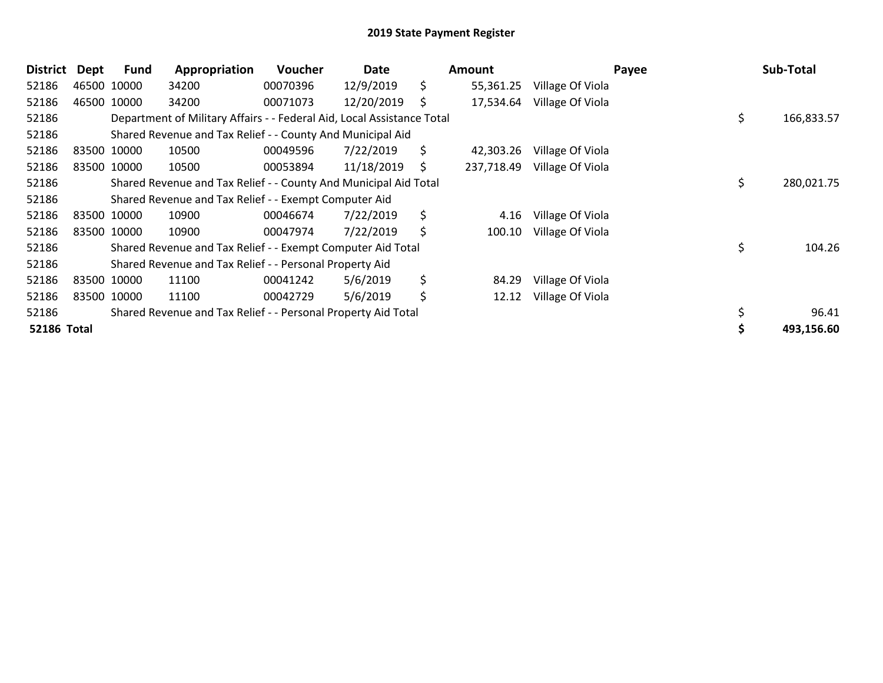| <b>District</b>    | Dept | <b>Fund</b> | Appropriation                                                          | <b>Voucher</b> | Date       |    | <b>Amount</b> |                  | Payee | Sub-Total  |
|--------------------|------|-------------|------------------------------------------------------------------------|----------------|------------|----|---------------|------------------|-------|------------|
| 52186              |      | 46500 10000 | 34200                                                                  | 00070396       | 12/9/2019  | \$ | 55,361.25     | Village Of Viola |       |            |
| 52186              |      | 46500 10000 | 34200                                                                  | 00071073       | 12/20/2019 | S  | 17,534.64     | Village Of Viola |       |            |
| 52186              |      |             | Department of Military Affairs - - Federal Aid, Local Assistance Total |                |            |    |               |                  | \$    | 166,833.57 |
| 52186              |      |             | Shared Revenue and Tax Relief - - County And Municipal Aid             |                |            |    |               |                  |       |            |
| 52186              |      | 83500 10000 | 10500                                                                  | 00049596       | 7/22/2019  | \$ | 42,303.26     | Village Of Viola |       |            |
| 52186              |      | 83500 10000 | 10500                                                                  | 00053894       | 11/18/2019 | S  | 237,718.49    | Village Of Viola |       |            |
| 52186              |      |             | Shared Revenue and Tax Relief - - County And Municipal Aid Total       |                |            |    |               |                  | \$    | 280,021.75 |
| 52186              |      |             | Shared Revenue and Tax Relief - - Exempt Computer Aid                  |                |            |    |               |                  |       |            |
| 52186              |      | 83500 10000 | 10900                                                                  | 00046674       | 7/22/2019  | \$ | 4.16          | Village Of Viola |       |            |
| 52186              |      | 83500 10000 | 10900                                                                  | 00047974       | 7/22/2019  | \$ | 100.10        | Village Of Viola |       |            |
| 52186              |      |             | Shared Revenue and Tax Relief - - Exempt Computer Aid Total            |                |            |    |               |                  | \$    | 104.26     |
| 52186              |      |             | Shared Revenue and Tax Relief - - Personal Property Aid                |                |            |    |               |                  |       |            |
| 52186              |      | 83500 10000 | 11100                                                                  | 00041242       | 5/6/2019   | \$ | 84.29         | Village Of Viola |       |            |
| 52186              |      | 83500 10000 | 11100                                                                  | 00042729       | 5/6/2019   | \$ | 12.12         | Village Of Viola |       |            |
| 52186              |      |             | Shared Revenue and Tax Relief - - Personal Property Aid Total          |                |            |    |               |                  |       | 96.41      |
| <b>52186 Total</b> |      |             |                                                                        |                |            |    |               |                  |       | 493,156.60 |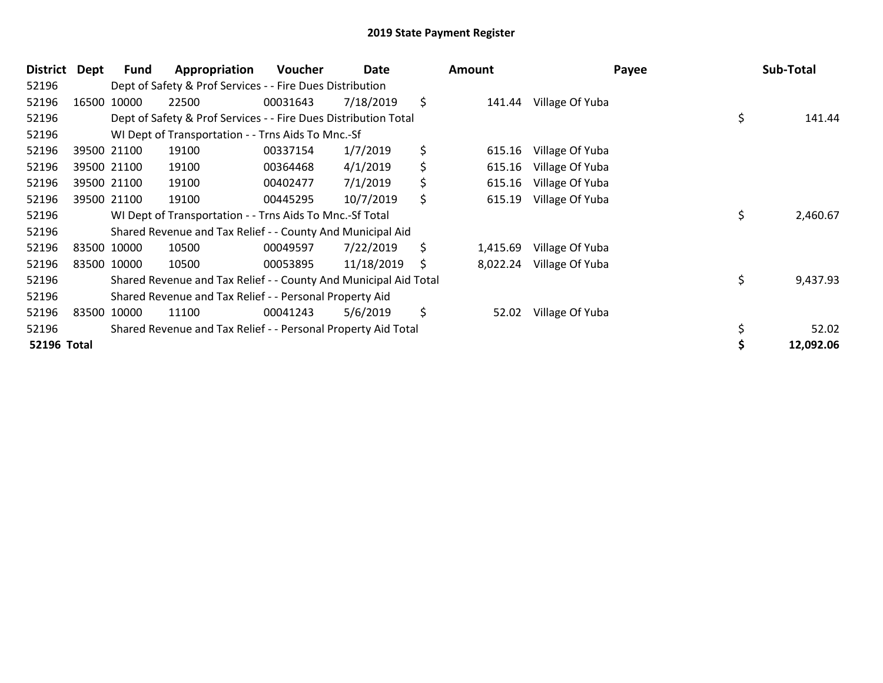| <b>District</b>    | Dept | Fund        | Appropriation                                                    | <b>Voucher</b> | Date       |    | <b>Amount</b> | Payee           | Sub-Total      |
|--------------------|------|-------------|------------------------------------------------------------------|----------------|------------|----|---------------|-----------------|----------------|
| 52196              |      |             | Dept of Safety & Prof Services - - Fire Dues Distribution        |                |            |    |               |                 |                |
| 52196              |      | 16500 10000 | 22500                                                            | 00031643       | 7/18/2019  | \$ | 141.44        | Village Of Yuba |                |
| 52196              |      |             | Dept of Safety & Prof Services - - Fire Dues Distribution Total  |                |            |    |               |                 | \$<br>141.44   |
| 52196              |      |             | WI Dept of Transportation - - Trns Aids To Mnc.-Sf               |                |            |    |               |                 |                |
| 52196              |      | 39500 21100 | 19100                                                            | 00337154       | 1/7/2019   | \$ | 615.16        | Village Of Yuba |                |
| 52196              |      | 39500 21100 | 19100                                                            | 00364468       | 4/1/2019   | \$ | 615.16        | Village Of Yuba |                |
| 52196              |      | 39500 21100 | 19100                                                            | 00402477       | 7/1/2019   | \$ | 615.16        | Village Of Yuba |                |
| 52196              |      | 39500 21100 | 19100                                                            | 00445295       | 10/7/2019  | \$ | 615.19        | Village Of Yuba |                |
| 52196              |      |             | WI Dept of Transportation - - Trns Aids To Mnc.-Sf Total         |                |            |    |               |                 | \$<br>2,460.67 |
| 52196              |      |             | Shared Revenue and Tax Relief - - County And Municipal Aid       |                |            |    |               |                 |                |
| 52196              |      | 83500 10000 | 10500                                                            | 00049597       | 7/22/2019  | \$ | 1,415.69      | Village Of Yuba |                |
| 52196              |      | 83500 10000 | 10500                                                            | 00053895       | 11/18/2019 | S  | 8,022.24      | Village Of Yuba |                |
| 52196              |      |             | Shared Revenue and Tax Relief - - County And Municipal Aid Total |                |            |    |               |                 | \$<br>9,437.93 |
| 52196              |      |             | Shared Revenue and Tax Relief - - Personal Property Aid          |                |            |    |               |                 |                |
| 52196              |      | 83500 10000 | 11100                                                            | 00041243       | 5/6/2019   | \$ | 52.02         | Village Of Yuba |                |
| 52196              |      |             | Shared Revenue and Tax Relief - - Personal Property Aid Total    |                |            |    |               |                 | 52.02          |
| <b>52196 Total</b> |      |             |                                                                  |                |            |    |               |                 | 12,092.06      |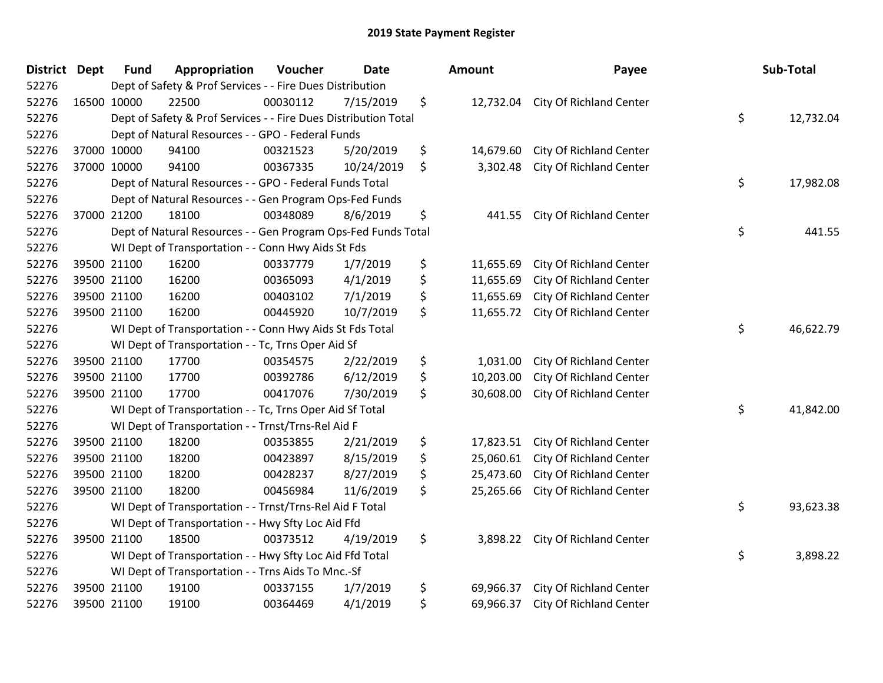| <b>District</b> | <b>Dept</b> | <b>Fund</b> | Appropriation                                                   | Voucher         | <b>Date</b> | <b>Amount</b>   | Payee                             | Sub-Total       |
|-----------------|-------------|-------------|-----------------------------------------------------------------|-----------------|-------------|-----------------|-----------------------------------|-----------------|
| 52276           |             |             | Dept of Safety & Prof Services - - Fire Dues Distribution       |                 |             |                 |                                   |                 |
| 52276           |             | 16500 10000 | 22500                                                           | 00030112        | 7/15/2019   | \$              | 12,732.04 City Of Richland Center |                 |
| 52276           |             |             | Dept of Safety & Prof Services - - Fire Dues Distribution Total |                 |             |                 |                                   | \$<br>12,732.04 |
| 52276           |             |             | Dept of Natural Resources - - GPO - Federal Funds               |                 |             |                 |                                   |                 |
| 52276           |             | 37000 10000 | 94100                                                           | 00321523        | 5/20/2019   | \$<br>14,679.60 | City Of Richland Center           |                 |
| 52276           |             | 37000 10000 | 94100                                                           | 00367335        | 10/24/2019  | \$<br>3,302.48  | City Of Richland Center           |                 |
| 52276           |             |             | Dept of Natural Resources - - GPO - Federal Funds Total         |                 |             |                 |                                   | \$<br>17,982.08 |
| 52276           |             |             | Dept of Natural Resources - - Gen Program Ops-Fed Funds         |                 |             |                 |                                   |                 |
| 52276           |             | 37000 21200 | 18100                                                           | 00348089        | 8/6/2019    | \$<br>441.55    | <b>City Of Richland Center</b>    |                 |
| 52276           |             |             | Dept of Natural Resources - - Gen Program Ops-Fed Funds Total   |                 |             |                 |                                   | \$<br>441.55    |
| 52276           |             |             | WI Dept of Transportation - - Conn Hwy Aids St Fds              |                 |             |                 |                                   |                 |
| 52276           |             | 39500 21100 | 16200                                                           | 00337779        | 1/7/2019    | \$<br>11,655.69 | City Of Richland Center           |                 |
| 52276           |             | 39500 21100 | 16200                                                           | 00365093        | 4/1/2019    | \$<br>11,655.69 | City Of Richland Center           |                 |
| 52276           |             | 39500 21100 | 16200                                                           | 00403102        | 7/1/2019    | \$<br>11,655.69 | City Of Richland Center           |                 |
| 52276           |             | 39500 21100 | 16200                                                           | 00445920        | 10/7/2019   | \$<br>11,655.72 | City Of Richland Center           |                 |
| 52276           |             |             | WI Dept of Transportation - - Conn Hwy Aids St Fds Total        | \$<br>46,622.79 |             |                 |                                   |                 |
| 52276           |             |             | WI Dept of Transportation - - Tc, Trns Oper Aid Sf              |                 |             |                 |                                   |                 |
| 52276           |             | 39500 21100 | 17700                                                           | 00354575        | 2/22/2019   | \$<br>1,031.00  | City Of Richland Center           |                 |
| 52276           |             | 39500 21100 | 17700                                                           | 00392786        | 6/12/2019   | \$<br>10,203.00 | City Of Richland Center           |                 |
| 52276           |             | 39500 21100 | 17700                                                           | 00417076        | 7/30/2019   | \$<br>30,608.00 | City Of Richland Center           |                 |
| 52276           |             |             | WI Dept of Transportation - - Tc, Trns Oper Aid Sf Total        |                 |             |                 |                                   | \$<br>41,842.00 |
| 52276           |             |             | WI Dept of Transportation - - Trnst/Trns-Rel Aid F              |                 |             |                 |                                   |                 |
| 52276           |             | 39500 21100 | 18200                                                           | 00353855        | 2/21/2019   | \$<br>17,823.51 | City Of Richland Center           |                 |
| 52276           |             | 39500 21100 | 18200                                                           | 00423897        | 8/15/2019   | \$<br>25,060.61 | <b>City Of Richland Center</b>    |                 |
| 52276           |             | 39500 21100 | 18200                                                           | 00428237        | 8/27/2019   | \$<br>25,473.60 | City Of Richland Center           |                 |
| 52276           |             | 39500 21100 | 18200                                                           | 00456984        | 11/6/2019   | \$<br>25,265.66 | City Of Richland Center           |                 |
| 52276           |             |             | WI Dept of Transportation - - Trnst/Trns-Rel Aid F Total        |                 |             |                 |                                   | \$<br>93,623.38 |
| 52276           |             |             | WI Dept of Transportation - - Hwy Sfty Loc Aid Ffd              |                 |             |                 |                                   |                 |
| 52276           |             | 39500 21100 | 18500                                                           | 00373512        | 4/19/2019   | \$<br>3,898.22  | <b>City Of Richland Center</b>    |                 |
| 52276           |             |             | WI Dept of Transportation - - Hwy Sfty Loc Aid Ffd Total        |                 |             |                 |                                   | \$<br>3,898.22  |
| 52276           |             |             | WI Dept of Transportation - - Trns Aids To Mnc.-Sf              |                 |             |                 |                                   |                 |
| 52276           |             | 39500 21100 | 19100                                                           | 00337155        | 1/7/2019    | \$<br>69,966.37 | City Of Richland Center           |                 |
| 52276           |             | 39500 21100 | 19100                                                           | 00364469        | 4/1/2019    | \$<br>69,966.37 | City Of Richland Center           |                 |

| າount     | Payee                          | Sub-Total       |
|-----------|--------------------------------|-----------------|
| 12,732.04 | <b>City Of Richland Center</b> | \$<br>12,732.04 |
| 14,679.60 | <b>City Of Richland Center</b> |                 |
| 3,302.48  | City Of Richland Center        |                 |
|           |                                | \$<br>17,982.08 |
| 441.55    | City Of Richland Center        |                 |
|           |                                | \$<br>441.55    |
| 11,655.69 | <b>City Of Richland Center</b> |                 |
| 11,655.69 | City Of Richland Center        |                 |
| 11,655.69 | <b>City Of Richland Center</b> |                 |
| 11,655.72 | <b>City Of Richland Center</b> |                 |
|           |                                | \$<br>46,622.79 |
|           |                                |                 |
| 1,031.00  | <b>City Of Richland Center</b> |                 |
| 10,203.00 | City Of Richland Center        |                 |
| 30,608.00 | <b>City Of Richland Center</b> |                 |
|           |                                | \$<br>41,842.00 |
| 17,823.51 | <b>City Of Richland Center</b> |                 |
| 25,060.61 | City Of Richland Center        |                 |
| 25,473.60 | <b>City Of Richland Center</b> |                 |
| 25,265.66 | <b>City Of Richland Center</b> |                 |
|           |                                | \$<br>93,623.38 |
| 3,898.22  | <b>City Of Richland Center</b> |                 |
|           |                                | \$<br>3,898.22  |
| 69,966.37 | <b>City Of Richland Center</b> |                 |
| 69,966.37 | <b>City Of Richland Center</b> |                 |
|           |                                |                 |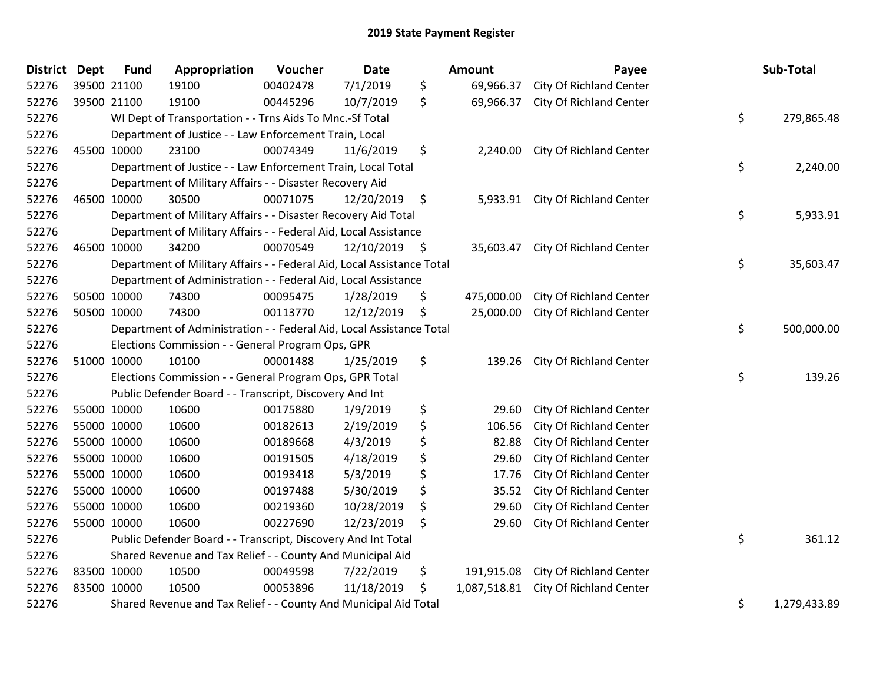| <b>District Dept</b> | <b>Fund</b> | Appropriation                                                          | Voucher  | <b>Date</b> |         | Amount       | Payee                          | Sub-Total          |
|----------------------|-------------|------------------------------------------------------------------------|----------|-------------|---------|--------------|--------------------------------|--------------------|
| 52276                | 39500 21100 | 19100                                                                  | 00402478 | 7/1/2019    | \$      | 69,966.37    | City Of Richland Center        |                    |
| 52276                | 39500 21100 | 19100                                                                  | 00445296 | 10/7/2019   | \$      | 69,966.37    | City Of Richland Center        |                    |
| 52276                |             | WI Dept of Transportation - - Trns Aids To Mnc.-Sf Total               |          |             |         |              |                                | \$<br>279,865.48   |
| 52276                |             | Department of Justice - - Law Enforcement Train, Local                 |          |             |         |              |                                |                    |
| 52276                | 45500 10000 | 23100                                                                  | 00074349 | 11/6/2019   | \$      | 2,240.00     | City Of Richland Center        |                    |
| 52276                |             | Department of Justice - - Law Enforcement Train, Local Total           |          |             |         |              |                                | \$<br>2,240.00     |
| 52276                |             | Department of Military Affairs - - Disaster Recovery Aid               |          |             |         |              |                                |                    |
| 52276                | 46500 10000 | 30500                                                                  | 00071075 | 12/20/2019  | $\zeta$ | 5,933.91     | <b>City Of Richland Center</b> |                    |
| 52276                |             | Department of Military Affairs - - Disaster Recovery Aid Total         |          |             |         |              |                                | \$<br>5,933.91     |
| 52276                |             | Department of Military Affairs - - Federal Aid, Local Assistance       |          |             |         |              |                                |                    |
| 52276                | 46500 10000 | 34200                                                                  | 00070549 | 12/10/2019  | -\$     | 35,603.47    | <b>City Of Richland Center</b> |                    |
| 52276                |             | Department of Military Affairs - - Federal Aid, Local Assistance Total |          |             |         |              |                                | \$<br>35,603.47    |
| 52276                |             | Department of Administration - - Federal Aid, Local Assistance         |          |             |         |              |                                |                    |
| 52276                | 50500 10000 | 74300                                                                  | 00095475 | 1/28/2019   | \$      | 475,000.00   | <b>City Of Richland Center</b> |                    |
| 52276                | 50500 10000 | 74300                                                                  | 00113770 | 12/12/2019  | \$      | 25,000.00    | City Of Richland Center        |                    |
| 52276                |             | Department of Administration - - Federal Aid, Local Assistance Total   |          |             |         |              |                                | \$<br>500,000.00   |
| 52276                |             | Elections Commission - - General Program Ops, GPR                      |          |             |         |              |                                |                    |
| 52276                | 51000 10000 | 10100                                                                  | 00001488 | 1/25/2019   | \$      | 139.26       | City Of Richland Center        |                    |
| 52276                |             | Elections Commission - - General Program Ops, GPR Total                |          |             |         |              |                                | \$<br>139.26       |
| 52276                |             | Public Defender Board - - Transcript, Discovery And Int                |          |             |         |              |                                |                    |
| 52276                | 55000 10000 | 10600                                                                  | 00175880 | 1/9/2019    | \$      | 29.60        | City Of Richland Center        |                    |
| 52276                | 55000 10000 | 10600                                                                  | 00182613 | 2/19/2019   | \$      | 106.56       | City Of Richland Center        |                    |
| 52276                | 55000 10000 | 10600                                                                  | 00189668 | 4/3/2019    | \$      | 82.88        | City Of Richland Center        |                    |
| 52276                | 55000 10000 | 10600                                                                  | 00191505 | 4/18/2019   | \$      | 29.60        | City Of Richland Center        |                    |
| 52276                | 55000 10000 | 10600                                                                  | 00193418 | 5/3/2019    | \$      | 17.76        | City Of Richland Center        |                    |
| 52276                | 55000 10000 | 10600                                                                  | 00197488 | 5/30/2019   | \$      | 35.52        | City Of Richland Center        |                    |
| 52276                | 55000 10000 | 10600                                                                  | 00219360 | 10/28/2019  | \$      | 29.60        | City Of Richland Center        |                    |
| 52276                | 55000 10000 | 10600                                                                  | 00227690 | 12/23/2019  | \$      | 29.60        | City Of Richland Center        |                    |
| 52276                |             | Public Defender Board - - Transcript, Discovery And Int Total          |          |             |         |              |                                | \$<br>361.12       |
| 52276                |             | Shared Revenue and Tax Relief - - County And Municipal Aid             |          |             |         |              |                                |                    |
| 52276                | 83500 10000 | 10500                                                                  | 00049598 | 7/22/2019   | \$      | 191,915.08   | <b>City Of Richland Center</b> |                    |
| 52276                | 83500 10000 | 10500                                                                  | 00053896 | 11/18/2019  | \$      | 1,087,518.81 | <b>City Of Richland Center</b> |                    |
| 52276                |             | Shared Revenue and Tax Relief - - County And Municipal Aid Total       |          |             |         |              |                                | \$<br>1,279,433.89 |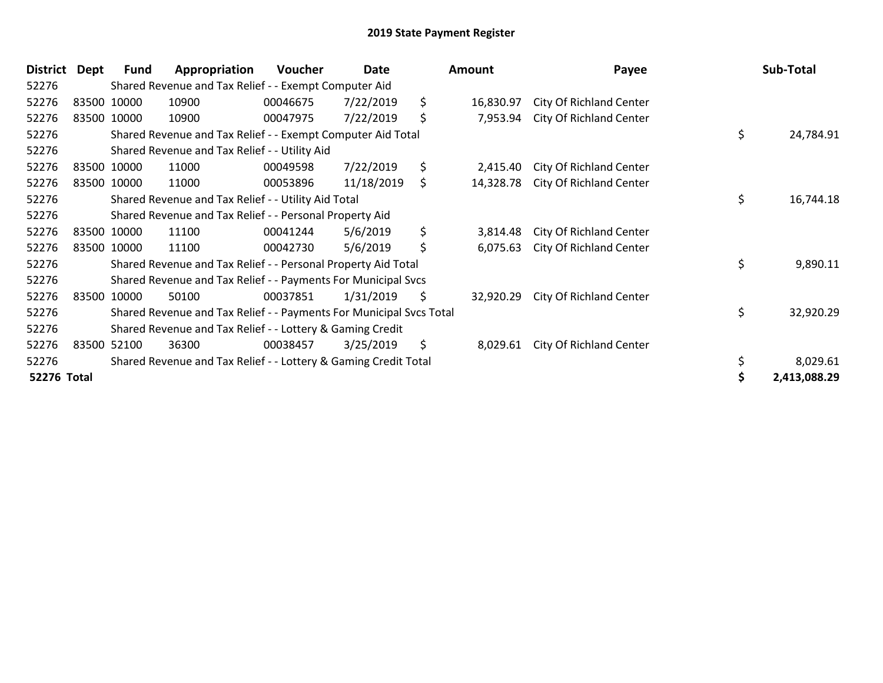| <b>District</b> | Dept | <b>Fund</b> | Appropriation                                                       | Voucher  | Date       | Amount          | Payee                          |    | Sub-Total    |
|-----------------|------|-------------|---------------------------------------------------------------------|----------|------------|-----------------|--------------------------------|----|--------------|
| 52276           |      |             | Shared Revenue and Tax Relief - - Exempt Computer Aid               |          |            |                 |                                |    |              |
| 52276           |      | 83500 10000 | 10900                                                               | 00046675 | 7/22/2019  | \$<br>16,830.97 | <b>City Of Richland Center</b> |    |              |
| 52276           |      | 83500 10000 | 10900                                                               | 00047975 | 7/22/2019  | \$<br>7,953.94  | City Of Richland Center        |    |              |
| 52276           |      |             | Shared Revenue and Tax Relief - - Exempt Computer Aid Total         |          |            |                 |                                | \$ | 24,784.91    |
| 52276           |      |             | Shared Revenue and Tax Relief - - Utility Aid                       |          |            |                 |                                |    |              |
| 52276           |      | 83500 10000 | 11000                                                               | 00049598 | 7/22/2019  | \$<br>2,415.40  | <b>City Of Richland Center</b> |    |              |
| 52276           |      | 83500 10000 | 11000                                                               | 00053896 | 11/18/2019 | \$<br>14,328.78 | City Of Richland Center        |    |              |
| 52276           |      |             | Shared Revenue and Tax Relief - - Utility Aid Total                 |          |            |                 |                                | \$ | 16,744.18    |
| 52276           |      |             | Shared Revenue and Tax Relief - - Personal Property Aid             |          |            |                 |                                |    |              |
| 52276           |      | 83500 10000 | 11100                                                               | 00041244 | 5/6/2019   | \$<br>3,814.48  | City Of Richland Center        |    |              |
| 52276           |      | 83500 10000 | 11100                                                               | 00042730 | 5/6/2019   | \$<br>6,075.63  | City Of Richland Center        |    |              |
| 52276           |      |             | Shared Revenue and Tax Relief - - Personal Property Aid Total       |          |            |                 |                                | \$ | 9,890.11     |
| 52276           |      |             | Shared Revenue and Tax Relief - - Payments For Municipal Svcs       |          |            |                 |                                |    |              |
| 52276           |      | 83500 10000 | 50100                                                               | 00037851 | 1/31/2019  | \$<br>32,920.29 | City Of Richland Center        |    |              |
| 52276           |      |             | Shared Revenue and Tax Relief - - Payments For Municipal Svcs Total |          |            |                 |                                | \$ | 32,920.29    |
| 52276           |      |             | Shared Revenue and Tax Relief - - Lottery & Gaming Credit           |          |            |                 |                                |    |              |
| 52276           |      | 83500 52100 | 36300                                                               | 00038457 | 3/25/2019  | \$<br>8,029.61  | City Of Richland Center        |    |              |
| 52276           |      |             | Shared Revenue and Tax Relief - - Lottery & Gaming Credit Total     |          |            |                 |                                | \$ | 8,029.61     |
| 52276 Total     |      |             |                                                                     |          |            |                 |                                |    | 2,413,088.29 |